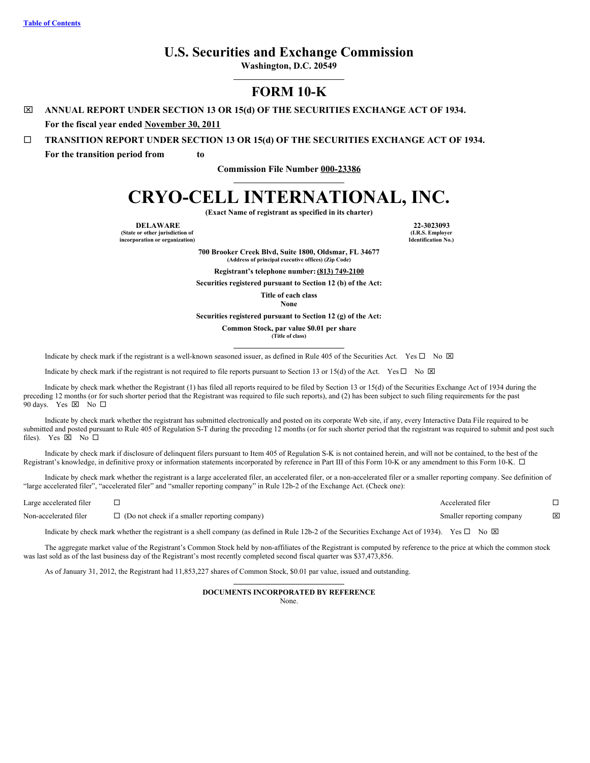# **U.S. Securities and Exchange Commission**

**Washington, D.C. 20549**

# **FORM 10-K**

x **ANNUAL REPORT UNDER SECTION 13 OR 15(d) OF THE SECURITIES EXCHANGE ACT OF 1934.**

**For the fiscal year ended November 30, 2011**

¨ **TRANSITION REPORT UNDER SECTION 13 OR 15(d) OF THE SECURITIES EXCHANGE ACT OF 1934.**

**For the transition period from to**

**Commission File Number 000-23386**

# **CRYO-CELL INTERNATIONAL, INC.**

**(Exact Name of registrant as specified in its charter)**

**DELAWARE 22-3023093 (State or other jurisdiction of**

**incorporation or organization)**

**(I.R.S. Employer Identification No.)**

**700 Brooker Creek Blvd, Suite 1800, Oldsmar, FL 34677 (Address of principal executive offices) (Zip Code)**

**Registrant's telephone number:(813) 749-2100**

**Securities registered pursuant to Section 12 (b) of the Act:**

**Title of each class**

**None**

**Securities registered pursuant to Section 12 (g) of the Act:**

**Common Stock, par value \$0.01 per share**

**(Title of class)**

Indicate by check mark if the registrant is a well-known seasoned issuer, as defined in Rule 405 of the Securities Act. Yes  $\Box$  No  $\boxtimes$ 

Indicate by check mark if the registrant is not required to file reports pursuant to Section 13 or 15(d) of the Act. Yes  $\Box$  No  $\boxtimes$ 

Indicate by check mark whether the Registrant (1) has filed all reports required to be filed by Section 13 or 15(d) of the Securities Exchange Act of 1934 during the preceding 12 months (or for such shorter period that the Registrant was required to file such reports), and (2) has been subject to such filing requirements for the past 90 days. Yes  $\boxtimes$  No  $\square$ 

Indicate by check mark whether the registrant has submitted electronically and posted on its corporate Web site, if any, every Interactive Data File required to be submitted and posted pursuant to Rule 405 of Regulation S-T during the preceding 12 months (or for such shorter period that the registrant was required to submit and post such files). Yes  $\boxtimes$  No  $\square$ 

Indicate by check mark if disclosure of delinquent filers pursuant to Item 405 of Regulation S-K is not contained herein, and will not be contained, to the best of the Registrant's knowledge, in definitive proxy or information statements incorporated by reference in Part III of this Form 10-K or any amendment to this Form 10-K.  $\Box$ 

Indicate by check mark whether the registrant is a large accelerated filer, an accelerated filer, or a non-accelerated filer or a smaller reporting company. See definition of "large accelerated filer", "accelerated filer" and "smaller reporting company" in Rule 12b-2 of the Exchange Act. (Check one):

| Large accelerated filer |                                                      | Accelerated filer         |   |
|-------------------------|------------------------------------------------------|---------------------------|---|
| Non-accelerated filer   | $\Box$ (Do not check if a smaller reporting company) | Smaller reporting company | × |

Indicate by check mark whether the registrant is a shell company (as defined in Rule 12b-2 of the Securities Exchange Act of 1934). Yes  $\square$  No  $\boxtimes$ 

The aggregate market value of the Registrant's Common Stock held by non-affiliates of the Registrant is computed by reference to the price at which the common stock was last sold as of the last business day of the Registrant's most recently completed second fiscal quarter was \$37,473,856.

As of January 31, 2012, the Registrant had 11,853,227 shares of Common Stock, \$0.01 par value, issued and outstanding.

# **DOCUMENTS INCORPORATED BY REFERENCE**

None.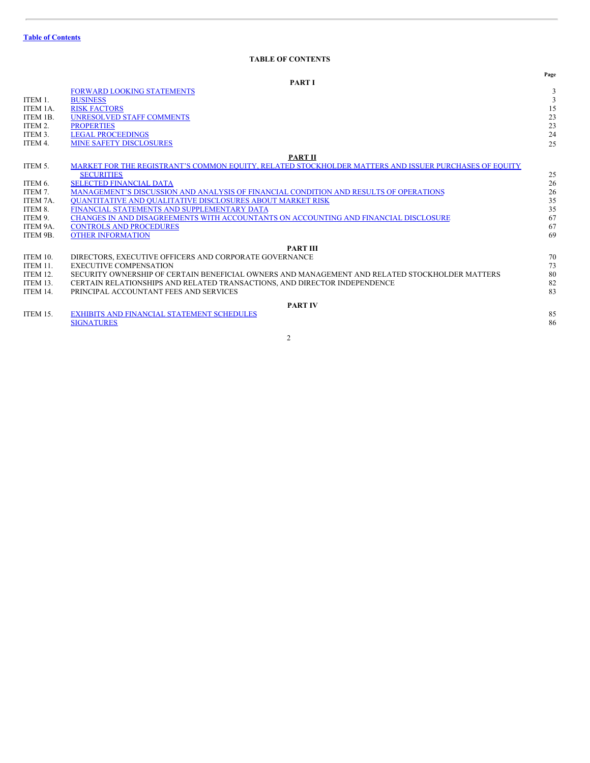# <span id="page-1-0"></span>**TABLE OF CONTENTS**

|                 |                                                                                                       | Page |
|-----------------|-------------------------------------------------------------------------------------------------------|------|
|                 | <b>PART I</b>                                                                                         |      |
|                 | <b>FORWARD LOOKING STATEMENTS</b>                                                                     | 3    |
| ITEM 1.         | <b>BUSINESS</b>                                                                                       | 3    |
| ITEM 1A.        | <b>RISK FACTORS</b>                                                                                   | 15   |
| ITEM 1B.        | <b>UNRESOLVED STAFF COMMENTS</b>                                                                      | 23   |
| ITEM 2.         | <b>PROPERTIES</b>                                                                                     | 23   |
| ITEM 3.         | <b>LEGAL PROCEEDINGS</b>                                                                              | 24   |
| ITEM 4.         | <b>MINE SAFETY DISCLOSURES</b>                                                                        | 25   |
|                 | <b>PART II</b>                                                                                        |      |
| ITEM 5.         | MARKET FOR THE REGISTRANT'S COMMON EQUITY, RELATED STOCKHOLDER MATTERS AND ISSUER PURCHASES OF EQUITY |      |
|                 | <b>SECURITIES</b>                                                                                     | 25   |
| ITEM 6.         | <b>SELECTED FINANCIAL DATA</b>                                                                        | 26   |
| ITEM 7.         | MANAGEMENT'S DISCUSSION AND ANALYSIS OF FINANCIAL CONDITION AND RESULTS OF OPERATIONS                 | 26   |
| ITEM 7A.        | <b>OUANTITATIVE AND OUALITATIVE DISCLOSURES ABOUT MARKET RISK</b>                                     | 35   |
| ITEM 8.         | FINANCIAL STATEMENTS AND SUPPLEMENTARY DATA                                                           | 35   |
| ITEM 9.         | CHANGES IN AND DISAGREEMENTS WITH ACCOUNTANTS ON ACCOUNTING AND FINANCIAL DISCLOSURE                  | 67   |
| ITEM 9A.        | <b>CONTROLS AND PROCEDURES</b>                                                                        | 67   |
| ITEM 9B.        | <b>OTHER INFORMATION</b>                                                                              | 69   |
|                 | <b>PART III</b>                                                                                       |      |
| ITEM 10.        | DIRECTORS, EXECUTIVE OFFICERS AND CORPORATE GOVERNANCE                                                | 70   |
| ITEM 11.        | <b>EXECUTIVE COMPENSATION</b>                                                                         | 73   |
| ITEM 12.        | SECURITY OWNERSHIP OF CERTAIN BENEFICIAL OWNERS AND MANAGEMENT AND RELATED STOCKHOLDER MATTERS        | 80   |
| <b>ITEM 13.</b> | CERTAIN RELATIONSHIPS AND RELATED TRANSACTIONS, AND DIRECTOR INDEPENDENCE                             | 82   |
| ITEM 14.        | PRINCIPAL ACCOUNTANT FEES AND SERVICES                                                                | 83   |
|                 | <b>PART IV</b>                                                                                        |      |
| ITEM 15.        | <b>EXHIBITS AND FINANCIAL STATEMENT SCHEDULES</b>                                                     | 85   |
|                 | <b>SIGNATURES</b>                                                                                     | 86   |
|                 |                                                                                                       |      |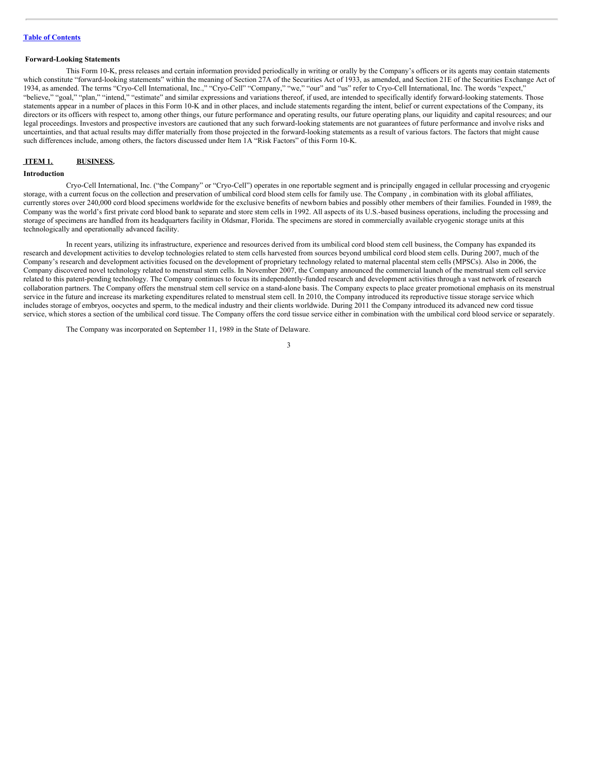#### <span id="page-2-0"></span>**Forward-Looking Statements**

This Form 10-K, press releases and certain information provided periodically in writing or orally by the Company's officers or its agents may contain statements which constitute "forward-looking statements" within the meaning of Section 27A of the Securities Act of 1933, as amended, and Section 21E of the Securities Exchange Act of 1934, as amended. The terms "Cryo-Cell International, Inc.," "Cryo-Cell" "Company," "we," "our" and "us" refer to Cryo-Cell International, Inc. The words "expect," "believe," "goal," "plan," "intend," "estimate" and similar expressions and variations thereof, if used, are intended to specifically identify forward-looking statements. Those statements appear in a number of places in this Form 10-K and in other places, and include statements regarding the intent, belief or current expectations of the Company, its directors or its officers with respect to, among other things, our future performance and operating results, our future operating plans, our liquidity and capital resources; and our legal proceedings. Investors and prospective investors are cautioned that any such forward-looking statements are not guarantees of future performance and involve risks and uncertainties, and that actual results may differ materially from those projected in the forward-looking statements as a result of various factors. The factors that might cause such differences include, among others, the factors discussed under Item 1A "Risk Factors" of this Form 10-K.

#### <span id="page-2-1"></span>**ITEM 1. BUSINESS.**

# **Introduction**

Cryo-Cell International, Inc. ("the Company" or "Cryo-Cell") operates in one reportable segment and is principally engaged in cellular processing and cryogenic storage, with a current focus on the collection and preservation of umbilical cord blood stem cells for family use. The Company, in combination with its global affiliates, currently stores over 240,000 cord blood specimens worldwide for the exclusive benefits of newborn babies and possibly other members of their families. Founded in 1989, the Company was the world's first private cord blood bank to separate and store stem cells in 1992. All aspects of its U.S.-based business operations, including the processing and storage of specimens are handled from its headquarters facility in Oldsmar, Florida. The specimens are stored in commercially available cryogenic storage units at this technologically and operationally advanced facility.

In recent years, utilizing its infrastructure, experience and resources derived from its umbilical cord blood stem cell business, the Company has expanded its research and development activities to develop technologies related to stem cells harvested from sources beyond umbilical cord blood stem cells. During 2007, much of the Company's research and development activities focused on the development of proprietary technology related to maternal placental stem cells (MPSCs). Also in 2006, the Company discovered novel technology related to menstrual stem cells. In November 2007, the Company announced the commercial launch of the menstrual stem cell service related to this patent-pending technology. The Company continues to focus its independently-funded research and development activities through a vast network of research collaboration partners. The Company offers the menstrual stem cell service on a stand-alone basis. The Company expects to place greater promotional emphasis on its menstrual service in the future and increase its marketing expenditures related to menstrual stem cell. In 2010, the Company introduced its reproductive tissue storage service which includes storage of embryos, oocyctes and sperm, to the medical industry and their clients worldwide. During 2011 the Company introduced its advanced new cord tissue service, which stores a section of the umbilical cord tissue. The Company offers the cord tissue service either in combination with the umbilical cord blood service or separately.

The Company was incorporated on September 11, 1989 in the State of Delaware.

<sup>3</sup>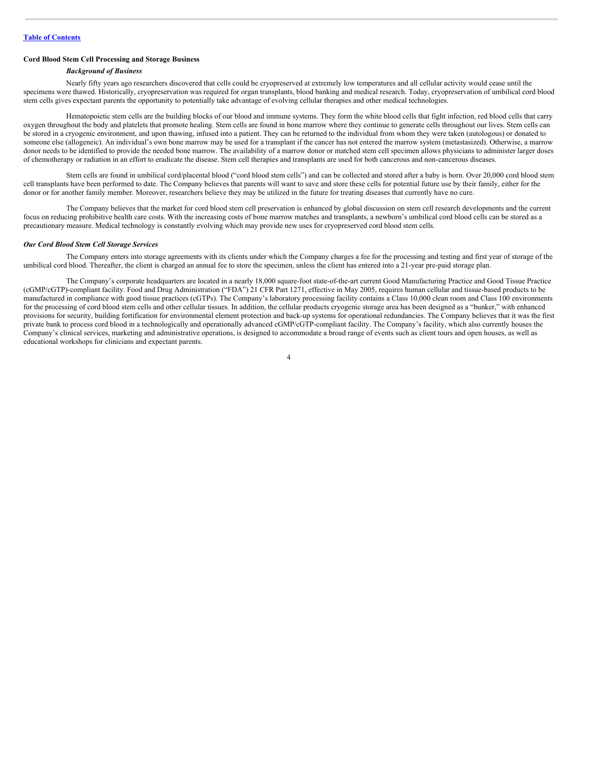## **Cord Blood Stem Cell Processing and Storage Business**

#### *Background of Business*

Nearly fifty years ago researchers discovered that cells could be cryopreserved at extremely low temperatures and all cellular activity would cease until the specimens were thawed. Historically, cryopreservation was required for organ transplants, blood banking and medical research. Today, cryopreservation of umbilical cord blood stem cells gives expectant parents the opportunity to potentially take advantage of evolving cellular therapies and other medical technologies.

Hematopoietic stem cells are the building blocks of our blood and immune systems. They form the white blood cells that fight infection, red blood cells that carry oxygen throughout the body and platelets that promote healing. Stem cells are found in bone marrow where they continue to generate cells throughout our lives. Stem cells can be stored in a cryogenic environment, and upon thawing, infused into a patient. They can be returned to the individual from whom they were taken (autologous) or donated to someone else (allogeneic). An individual's own bone marrow may be used for a transplant if the cancer has not entered the marrow system (metastasized). Otherwise, a marrow donor needs to be identified to provide the needed bone marrow. The availability of a marrow donor or matched stem cell specimen allows physicians to administer larger doses of chemotherapy or radiation in an effort to eradicate the disease. Stem cell therapies and transplants are used for both cancerous and non-cancerous diseases.

Stem cells are found in umbilical cord/placental blood ("cord blood stem cells") and can be collected and stored after a baby is born. Over 20,000 cord blood stem cell transplants have been performed to date. The Company believes that parents will want to save and store these cells for potential future use by their family, either for the donor or for another family member. Moreover, researchers believe they may be utilized in the future for treating diseases that currently have no cure.

The Company believes that the market for cord blood stem cell preservation is enhanced by global discussion on stem cell research developments and the current focus on reducing prohibitive health care costs. With the increasing costs of bone marrow matches and transplants, a newborn's umbilical cord blood cells can be stored as a precautionary measure. Medical technology is constantly evolving which may provide new uses for cryopreserved cord blood stem cells.

#### *Our Cord Blood Stem Cell Storage Services*

The Company enters into storage agreements with its clients under which the Company charges a fee for the processing and testing and first year of storage of the umbilical cord blood. Thereafter, the client is charged an annual fee to store the specimen, unless the client has entered into a 21-year pre-paid storage plan.

The Company's corporate headquarters are located in a nearly 18,000 square-foot state-of-the-art current Good Manufacturing Practice and Good Tissue Practice (cGMP/cGTP)-compliant facility. Food and Drug Administration ("FDA") 21 CFR Part 1271, effective in May 2005, requires human cellular and tissue-based products to be manufactured in compliance with good tissue practices (cGTPs). The Company's laboratory processing facility contains a Class 10,000 clean room and Class 100 environments for the processing of cord blood stem cells and other cellular tissues. In addition, the cellular products cryogenic storage area has been designed as a "bunker," with enhanced provisions for security, building fortification for environmental element protection and back-up systems for operational redundancies. The Company believes that it was the first private bank to process cord blood in a technologically and operationally advanced cGMP/cGTP-compliant facility. The Company's facility, which also currently houses the Company's clinical services, marketing and administrative operations, is designed to accommodate a broad range of events such as client tours and open houses, as well as educational workshops for clinicians and expectant parents.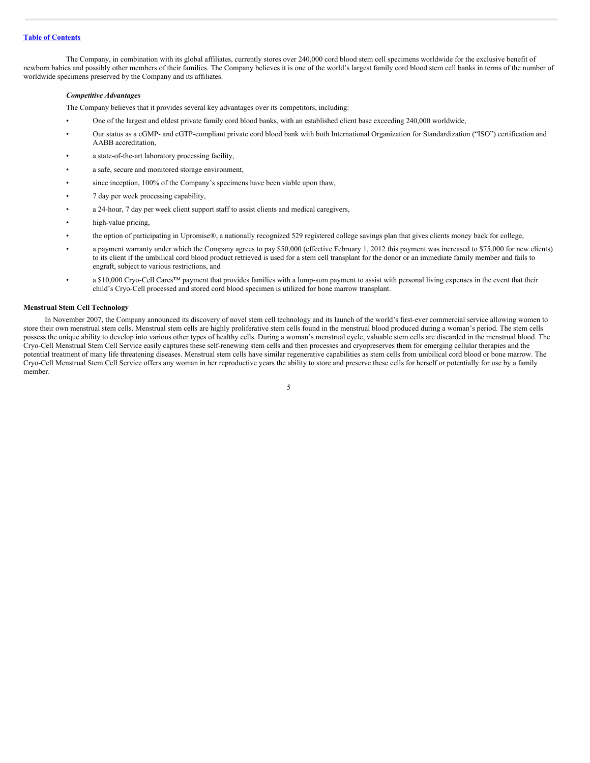The Company, in combination with its global affiliates, currently stores over 240,000 cord blood stem cell specimens worldwide for the exclusive benefit of newborn babies and possibly other members of their families. The Company believes it is one of the world's largest family cord blood stem cell banks in terms of the number of worldwide specimens preserved by the Company and its affiliates.

#### *Competitive Advantages*

The Company believes that it provides several key advantages over its competitors, including:

- One of the largest and oldest private family cord blood banks, with an established client base exceeding 240,000 worldwide,
- Our status as a cGMP- and cGTP-compliant private cord blood bank with both International Organization for Standardization ("ISO") certification and AABB accreditation,
- a state-of-the-art laboratory processing facility,
- a safe, secure and monitored storage environment,
- since inception, 100% of the Company's specimens have been viable upon thaw,
- 7 day per week processing capability,
- a 24-hour, 7 day per week client support staff to assist clients and medical caregivers,
- high-value pricing,
- the option of participating in Upromise®, a nationally recognized 529 registered college savings plan that gives clients money back for college,
- a payment warranty under which the Company agrees to pay \$50,000 (effective February 1, 2012 this payment was increased to \$75,000 for new clients) to its client if the umbilical cord blood product retrieved is used for a stem cell transplant for the donor or an immediate family member and fails to engraft, subject to various restrictions, and
- a \$10,000 Cryo-Cell Cares™ payment that provides families with a lump-sum payment to assist with personal living expenses in the event that their child's Cryo-Cell processed and stored cord blood specimen is utilized for bone marrow transplant.

#### **Menstrual Stem Cell Technology**

In November 2007, the Company announced its discovery of novel stem cell technology and its launch of the world's first-ever commercial service allowing women to store their own menstrual stem cells. Menstrual stem cells are highly proliferative stem cells found in the menstrual blood produced during a woman's period. The stem cells possess the unique ability to develop into various other types of healthy cells. During a woman's menstrual cycle, valuable stem cells are discarded in the menstrual blood. The Cryo-Cell Menstrual Stem Cell Service easily captures these self-renewing stem cells and then processes and cryopreserves them for emerging cellular therapies and the potential treatment of many life threatening diseases. Menstrual stem cells have similar regenerative capabilities as stem cells from umbilical cord blood or bone marrow. The Cryo-Cell Menstrual Stem Cell Service offers any woman in her reproductive years the ability to store and preserve these cells for herself or potentially for use by a family member.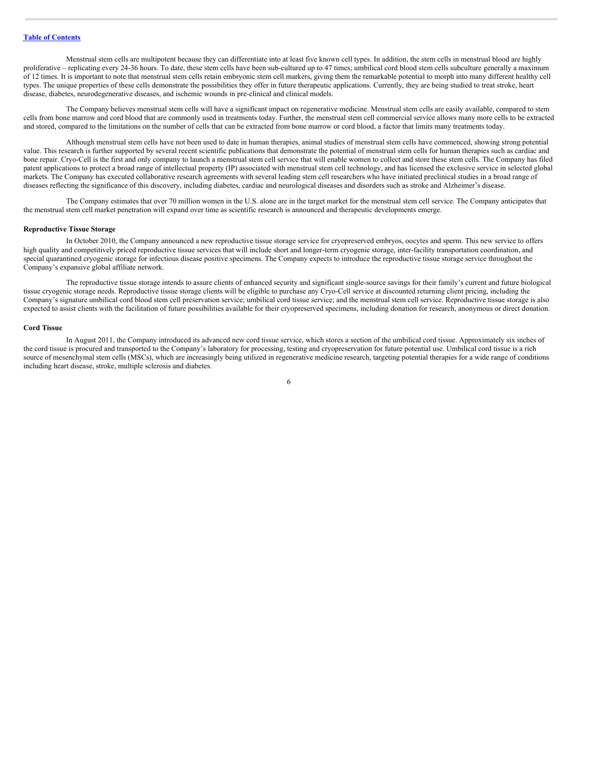Menstrual stem cells are multipotent because they can differentiate into at least five known cell types. In addition, the stem cells in menstrual blood are highly proliferative – replicating every 24-36 hours. To date, these stem cells have been sub-cultured up to 47 times; umbilical cord blood stem cells subculture generally a maximum of 12 times. It is important to note that menstrual stem cells retain embryonic stem cell markers, giving them the remarkable potential to morph into many different healthy cell types. The unique properties of these cells demonstrate the possibilities they offer in future therapeutic applications. Currently, they are being studied to treat stroke, heart disease, diabetes, neurodegenerative diseases, and ischemic wounds in pre-clinical and clinical models.

The Company believes menstrual stem cells will have a significant impact on regenerative medicine. Menstrual stem cells are easily available, compared to stem cells from bone marrow and cord blood that are commonly used in treatments today. Further, the menstrual stem cell commercial service allows many more cells to be extracted and stored, compared to the limitations on the number of cells that can be extracted from bone marrow or cord blood, a factor that limits many treatments today.

Although menstrual stem cells have not been used to date in human therapies, animal studies of menstrual stem cells have commenced, showing strong potential value. This research is further supported by several recent scientific publications that demonstrate the potential of menstrual stem cells for human therapies such as cardiac and bone repair. Cryo-Cell is the first and only company to launch a menstrual stem cell service that will enable women to collect and store these stem cells. The Company has filed patent applications to protect a broad range of intellectual property (IP) associated with menstrual stem cell technology, and has licensed the exclusive service in selected global markets. The Company has executed collaborative research agreements with several leading stem cell researchers who have initiated preclinical studies in a broad range of diseases reflecting the significance of this discovery, including diabetes, cardiac and neurological diseases and disorders such as stroke and Alzheimer's disease.

The Company estimates that over 70 million women in the U.S. alone are in the target market for the menstrual stem cell service. The Company anticipates that the menstrual stem cell market penetration will expand over time as scientific research is announced and therapeutic developments emerge.

#### **Reproductive Tissue Storage**

In October 2010, the Company announced a new reproductive tissue storage service for cryopreserved embryos, oocytes and sperm. This new service to offers high quality and competitively priced reproductive tissue services that will include short and longer-term cryogenic storage, inter-facility transportation coordination, and special quarantined cryogenic storage for infectious disease positive specimens. The Company expects to introduce the reproductive tissue storage service throughout the Company's expansive global affiliate network.

The reproductive tissue storage intends to assure clients of enhanced security and significant single-source savings for their family's current and future biological tissue cryogenic storage needs. Reproductive tissue storage clients will be eligible to purchase any Cryo-Cell service at discounted returning client pricing, including the Company's signature umbilical cord blood stem cell preservation service; umbilical cord tissue service; and the menstrual stem cell service. Reproductive tissue storage is also expected to assist clients with the facilitation of future possibilities available for their cryopreserved specimens, including donation for research, anonymous or direct donation.

#### **Cord Tissue**

In August 2011, the Company introduced its advanced new cord tissue service, which stores a section of the umbilical cord tissue. Approximately six inches of the cord tissue is procured and transported to the Company's laboratory for processing, testing and cryopreservation for future potential use. Umbilical cord tissue is a rich source of mesenchymal stem cells (MSCs), which are increasingly being utilized in regenerative medicine research, targeting potential therapies for a wide range of conditions including heart disease, stroke, multiple sclerosis and diabetes.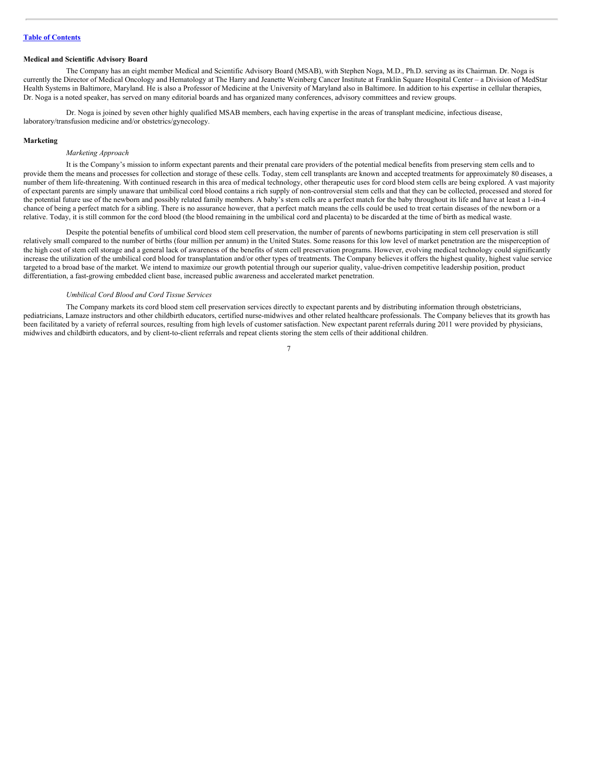#### **Medical and Scientific Advisory Board**

The Company has an eight member Medical and Scientific Advisory Board (MSAB), with Stephen Noga, M.D., Ph.D. serving as its Chairman. Dr. Noga is currently the Director of Medical Oncology and Hematology at The Harry and Jeanette Weinberg Cancer Institute at Franklin Square Hospital Center – a Division of MedStar Health Systems in Baltimore, Maryland. He is also a Professor of Medicine at the University of Maryland also in Baltimore. In addition to his expertise in cellular therapies, Dr. Noga is a noted speaker, has served on many editorial boards and has organized many conferences, advisory committees and review groups.

Dr. Noga is joined by seven other highly qualified MSAB members, each having expertise in the areas of transplant medicine, infectious disease, laboratory/transfusion medicine and/or obstetrics/gynecology.

#### **Marketing**

#### *Marketing Approach*

It is the Company's mission to inform expectant parents and their prenatal care providers of the potential medical benefits from preserving stem cells and to provide them the means and processes for collection and storage of these cells. Today, stem cell transplants are known and accepted treatments for approximately 80 diseases, a number of them life-threatening. With continued research in this area of medical technology, other therapeutic uses for cord blood stem cells are being explored. A vast majority of expectant parents are simply unaware that umbilical cord blood contains a rich supply of non-controversial stem cells and that they can be collected, processed and stored for the potential future use of the newborn and possibly related family members. A baby's stem cells are a perfect match for the baby throughout its life and have at least a 1-in-4 chance of being a perfect match for a sibling. There is no assurance however, that a perfect match means the cells could be used to treat certain diseases of the newborn or a relative. Today, it is still common for the cord blood (the blood remaining in the umbilical cord and placenta) to be discarded at the time of birth as medical waste.

Despite the potential benefits of umbilical cord blood stem cell preservation, the number of parents of newborns participating in stem cell preservation is still relatively small compared to the number of births (four million per annum) in the United States. Some reasons for this low level of market penetration are the misperception of the high cost of stem cell storage and a general lack of awareness of the benefits of stem cell preservation programs. However, evolving medical technology could significantly increase the utilization of the umbilical cord blood for transplantation and/or other types of treatments. The Company believes it offers the highest quality, highest value service targeted to a broad base of the market. We intend to maximize our growth potential through our superior quality, value-driven competitive leadership position, product differentiation, a fast-growing embedded client base, increased public awareness and accelerated market penetration.

#### *Umbilical Cord Blood and Cord Tissue Services*

The Company markets its cord blood stem cell preservation services directly to expectant parents and by distributing information through obstetricians, pediatricians, Lamaze instructors and other childbirth educators, certified nurse-midwives and other related healthcare professionals. The Company believes that its growth has been facilitated by a variety of referral sources, resulting from high levels of customer satisfaction. New expectant parent referrals during 2011 were provided by physicians, midwives and childbirth educators, and by client-to-client referrals and repeat clients storing the stem cells of their additional children.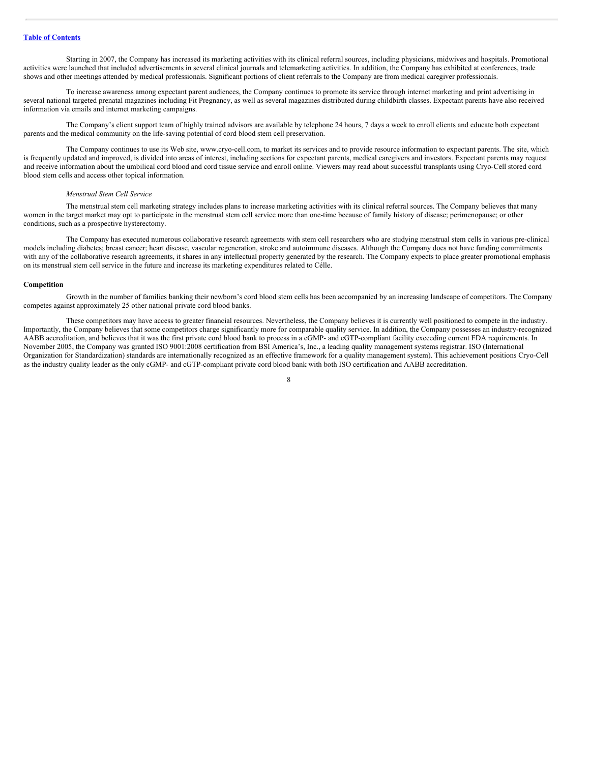Starting in 2007, the Company has increased its marketing activities with its clinical referral sources, including physicians, midwives and hospitals. Promotional activities were launched that included advertisements in several clinical journals and telemarketing activities. In addition, the Company has exhibited at conferences, trade shows and other meetings attended by medical professionals. Significant portions of client referrals to the Company are from medical caregiver professionals.

To increase awareness among expectant parent audiences, the Company continues to promote its service through internet marketing and print advertising in several national targeted prenatal magazines including Fit Pregnancy, as well as several magazines distributed during childbirth classes. Expectant parents have also received information via emails and internet marketing campaigns.

The Company's client support team of highly trained advisors are available by telephone 24 hours, 7 days a week to enroll clients and educate both expectant parents and the medical community on the life-saving potential of cord blood stem cell preservation.

The Company continues to use its Web site, www.cryo-cell.com, to market its services and to provide resource information to expectant parents. The site, which is frequently updated and improved, is divided into areas of interest, including sections for expectant parents, medical caregivers and investors. Expectant parents may request and receive information about the umbilical cord blood and cord tissue service and enroll online. Viewers may read about successful transplants using Cryo-Cell stored cord blood stem cells and access other topical information.

#### *Menstrual Stem Cell Service*

The menstrual stem cell marketing strategy includes plans to increase marketing activities with its clinical referral sources. The Company believes that many women in the target market may opt to participate in the menstrual stem cell service more than one-time because of family history of disease; perimenopause; or other conditions, such as a prospective hysterectomy.

The Company has executed numerous collaborative research agreements with stem cell researchers who are studying menstrual stem cells in various pre-clinical models including diabetes; breast cancer; heart disease, vascular regeneration, stroke and autoimmune diseases. Although the Company does not have funding commitments with any of the collaborative research agreements, it shares in any intellectual property generated by the research. The Company expects to place greater promotional emphasis on its menstrual stem cell service in the future and increase its marketing expenditures related to Célle.

#### **Competition**

Growth in the number of families banking their newborn's cord blood stem cells has been accompanied by an increasing landscape of competitors. The Company competes against approximately 25 other national private cord blood banks.

These competitors may have access to greater financial resources. Nevertheless, the Company believes it is currently well positioned to compete in the industry. Importantly, the Company believes that some competitors charge significantly more for comparable quality service. In addition, the Company possesses an industry-recognized AABB accreditation, and believes that it was the first private cord blood bank to process in a cGMP- and cGTP-compliant facility exceeding current FDA requirements. In November 2005, the Company was granted ISO 9001:2008 certification from BSI America's, Inc., a leading quality management systems registrar. ISO (International Organization for Standardization) standards are internationally recognized as an effective framework for a quality management system). This achievement positions Cryo-Cell as the industry quality leader as the only cGMP- and cGTP-compliant private cord blood bank with both ISO certification and AABB accreditation.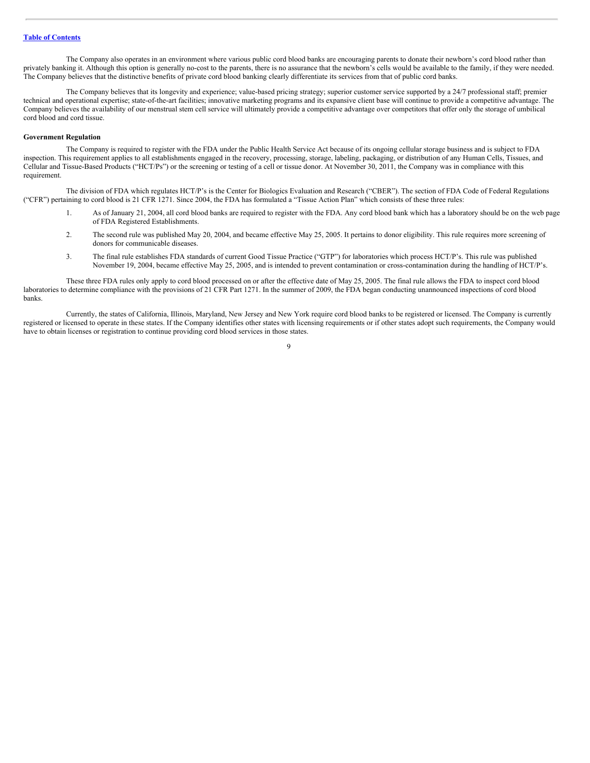The Company also operates in an environment where various public cord blood banks are encouraging parents to donate their newborn's cord blood rather than privately banking it. Although this option is generally no-cost to the parents, there is no assurance that the newborn's cells would be available to the family, if they were needed. The Company believes that the distinctive benefits of private cord blood banking clearly differentiate its services from that of public cord banks.

The Company believes that its longevity and experience; value-based pricing strategy; superior customer service supported by a 24/7 professional staff; premier technical and operational expertise; state-of-the-art facilities; innovative marketing programs and its expansive client base will continue to provide a competitive advantage. The Company believes the availability of our menstrual stem cell service will ultimately provide a competitive advantage over competitors that offer only the storage of umbilical cord blood and cord tissue.

#### **Government Regulation**

The Company is required to register with the FDA under the Public Health Service Act because of its ongoing cellular storage business and is subject to FDA inspection. This requirement applies to all establishments engaged in the recovery, processing, storage, labeling, packaging, or distribution of any Human Cells, Tissues, and Cellular and Tissue-Based Products ("HCT/Ps") or the screening or testing of a cell or tissue donor. At November 30, 2011, the Company was in compliance with this requirement.

The division of FDA which regulates HCT/P's is the Center for Biologics Evaluation and Research ("CBER"). The section of FDA Code of Federal Regulations ("CFR") pertaining to cord blood is 21 CFR 1271. Since 2004, the FDA has formulated a "Tissue Action Plan" which consists of these three rules:

- 1. As of January 21, 2004, all cord blood banks are required to register with the FDA. Any cord blood bank which has a laboratory should be on the web page of FDA Registered Establishments.
- 2. The second rule was published May 20, 2004, and became effective May 25, 2005. It pertains to donor eligibility. This rule requires more screening of donors for communicable diseases.
- 3. The final rule establishes FDA standards of current Good Tissue Practice ("GTP") for laboratories which process HCT/P's. This rule was published November 19, 2004, became effective May 25, 2005, and is intended to prevent contamination or cross-contamination during the handling of HCT/P's.

These three FDA rules only apply to cord blood processed on or after the effective date of May 25, 2005. The final rule allows the FDA to inspect cord blood laboratories to determine compliance with the provisions of 21 CFR Part 1271. In the summer of 2009, the FDA began conducting unannounced inspections of cord blood banks.

Currently, the states of California, Illinois, Maryland, New Jersey and New York require cord blood banks to be registered or licensed. The Company is currently registered or licensed to operate in these states. If the Company identifies other states with licensing requirements or if other states adopt such requirements, the Company would have to obtain licenses or registration to continue providing cord blood services in those states.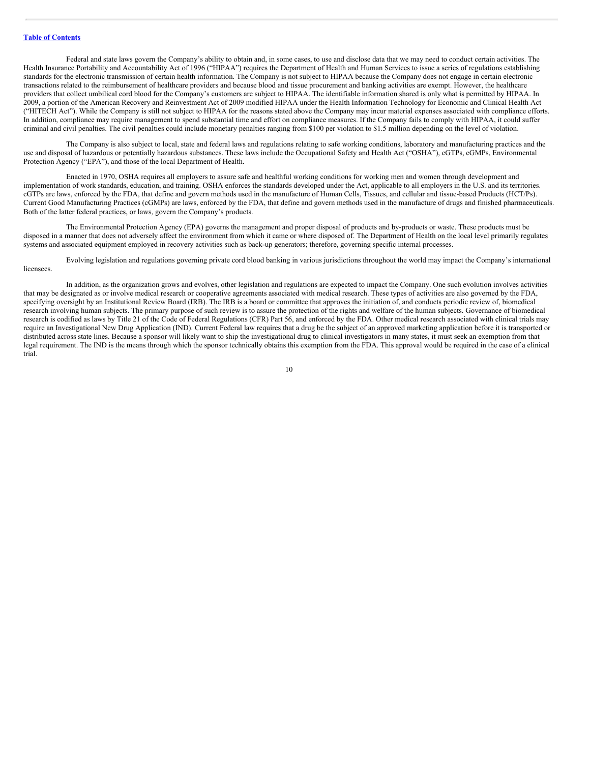Federal and state laws govern the Company's ability to obtain and, in some cases, to use and disclose data that we may need to conduct certain activities. The Health Insurance Portability and Accountability Act of 1996 ("HIPAA") requires the Department of Health and Human Services to issue a series of regulations establishing standards for the electronic transmission of certain health information. The Company is not subject to HIPAA because the Company does not engage in certain electronic transactions related to the reimbursement of healthcare providers and because blood and tissue procurement and banking activities are exempt. However, the healthcare providers that collect umbilical cord blood for the Company's customers are subject to HIPAA. The identifiable information shared is only what is permitted by HIPAA. In 2009, a portion of the American Recovery and Reinvestment Act of 2009 modified HIPAA under the Health Information Technology for Economic and Clinical Health Act ("HITECH Act"). While the Company is still not subject to HIPAA for the reasons stated above the Company may incur material expenses associated with compliance efforts. In addition, compliance may require management to spend substantial time and effort on compliance measures. If the Company fails to comply with HIPAA, it could suffer criminal and civil penalties. The civil penalties could include monetary penalties ranging from \$100 per violation to \$1.5 million depending on the level of violation.

The Company is also subject to local, state and federal laws and regulations relating to safe working conditions, laboratory and manufacturing practices and the use and disposal of hazardous or potentially hazardous substances. These laws include the Occupational Safety and Health Act ("OSHA"), cGTPs, cGMPs, Environmental Protection Agency ("EPA"), and those of the local Department of Health.

Enacted in 1970, OSHA requires all employers to assure safe and healthful working conditions for working men and women through development and implementation of work standards, education, and training. OSHA enforces the standards developed under the Act, applicable to all employers in the U.S. and its territories. cGTPs are laws, enforced by the FDA, that define and govern methods used in the manufacture of Human Cells, Tissues, and cellular and tissue-based Products (HCT/Ps). Current Good Manufacturing Practices (cGMPs) are laws, enforced by the FDA, that define and govern methods used in the manufacture of drugs and finished pharmaceuticals. Both of the latter federal practices, or laws, govern the Company's products.

The Environmental Protection Agency (EPA) governs the management and proper disposal of products and by-products or waste. These products must be disposed in a manner that does not adversely affect the environment from which it came or where disposed of. The Department of Health on the local level primarily regulates systems and associated equipment employed in recovery activities such as back-up generators; therefore, governing specific internal processes.

Evolving legislation and regulations governing private cord blood banking in various jurisdictions throughout the world may impact the Company's international licensees.

In addition, as the organization grows and evolves, other legislation and regulations are expected to impact the Company. One such evolution involves activities that may be designated as or involve medical research or cooperative agreements associated with medical research. These types of activities are also governed by the FDA, specifying oversight by an Institutional Review Board (IRB). The IRB is a board or committee that approves the initiation of, and conducts periodic review of, biomedical research involving human subjects. The primary purpose of such review is to assure the protection of the rights and welfare of the human subjects. Governance of biomedical research is codified as laws by Title 21 of the Code of Federal Regulations (CFR) Part 56, and enforced by the FDA. Other medical research associated with clinical trials may require an Investigational New Drug Application (IND). Current Federal law requires that a drug be the subject of an approved marketing application before it is transported or distributed across state lines. Because a sponsor will likely want to ship the investigational drug to clinical investigators in many states, it must seek an exemption from that legal requirement. The IND is the means through which the sponsor technically obtains this exemption from the FDA. This approval would be required in the case of a clinical trial.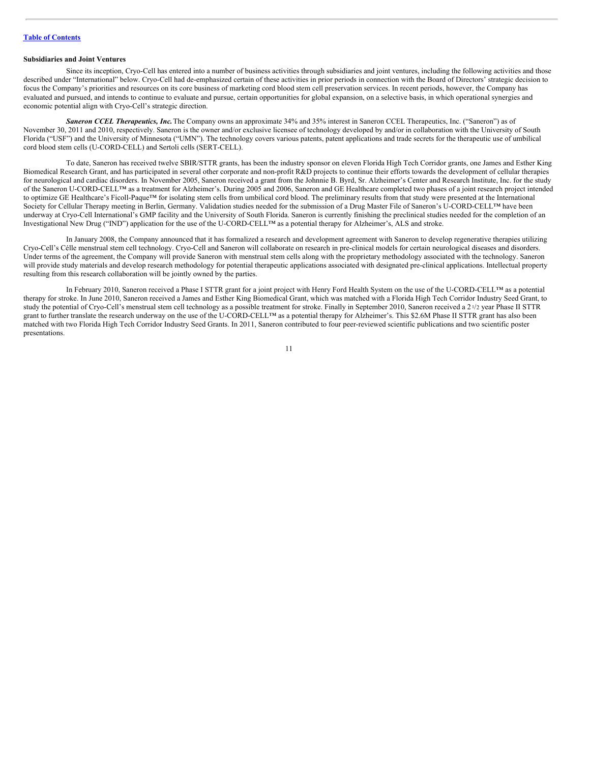#### **Subsidiaries and Joint Ventures**

Since its inception, Cryo-Cell has entered into a number of business activities through subsidiaries and joint ventures, including the following activities and those described under "International" below. Cryo-Cell had de-emphasized certain of these activities in prior periods in connection with the Board of Directors' strategic decision to focus the Company's priorities and resources on its core business of marketing cord blood stem cell preservation services. In recent periods, however, the Company has evaluated and pursued, and intends to continue to evaluate and pursue, certain opportunities for global expansion, on a selective basis, in which operational synergies and economic potential align with Cryo-Cell's strategic direction.

*Saneron CCEL Therapeutics, Inc.*The Company owns an approximate 34% and 35% interest in Saneron CCEL Therapeutics, Inc. ("Saneron") as of November 30, 2011 and 2010, respectively. Saneron is the owner and/or exclusive licensee of technology developed by and/or in collaboration with the University of South Florida ("USF") and the University of Minnesota ("UMN"). The technology covers various patents, patent applications and trade secrets for the therapeutic use of umbilical cord blood stem cells (U-CORD-CELL) and Sertoli cells (SERT-CELL).

To date, Saneron has received twelve SBIR/STTR grants, has been the industry sponsor on eleven Florida High Tech Corridor grants, one James and Esther King Biomedical Research Grant, and has participated in several other corporate and non-profit R&D projects to continue their efforts towards the development of cellular therapies for neurological and cardiac disorders. In November 2005, Saneron received a grant from the Johnnie B. Byrd, Sr. Alzheimer's Center and Research Institute, Inc. for the study of the Saneron U-CORD-CELL™ as a treatment for Alzheimer's. During 2005 and 2006, Saneron and GE Healthcare completed two phases of a joint research project intended to optimize GE Healthcare's Ficoll-Paque™ for isolating stem cells from umbilical cord blood. The preliminary results from that study were presented at the International Society for Cellular Therapy meeting in Berlin, Germany. Validation studies needed for the submission of a Drug Master File of Saneron's U-CORD-CELL™ have been underway at Cryo-Cell International's GMP facility and the University of South Florida. Saneron is currently finishing the preclinical studies needed for the completion of an Investigational New Drug ("IND") application for the use of the U-CORD-CELL™ as a potential therapy for Alzheimer's, ALS and stroke.

In January 2008, the Company announced that it has formalized a research and development agreement with Saneron to develop regenerative therapies utilizing Cryo-Cell's Célle menstrual stem cell technology. Cryo-Cell and Saneron will collaborate on research in pre-clinical models for certain neurological diseases and disorders. Under terms of the agreement, the Company will provide Saneron with menstrual stem cells along with the proprietary methodology associated with the technology. Saneron will provide study materials and develop research methodology for potential therapeutic applications associated with designated pre-clinical applications. Intellectual property resulting from this research collaboration will be jointly owned by the parties.

In February 2010, Saneron received a Phase I STTR grant for a joint project with Henry Ford Health System on the use of the U-CORD-CELL™ as a potential therapy for stroke. In June 2010, Saneron received a James and Esther King Biomedical Grant, which was matched with a Florida High Tech Corridor Industry Seed Grant, to study the potential of Cryo-Cell's menstrual stem cell technology as a possible treatment for stroke. Finally in September 2010, Saneron received a 21/2 year Phase II STTR grant to further translate the research underway on the use of the U-CORD-CELL™ as a potential therapy for Alzheimer's. This \$2.6M Phase II STTR grant has also been matched with two Florida High Tech Corridor Industry Seed Grants. In 2011, Saneron contributed to four peer-reviewed scientific publications and two scientific poster presentations.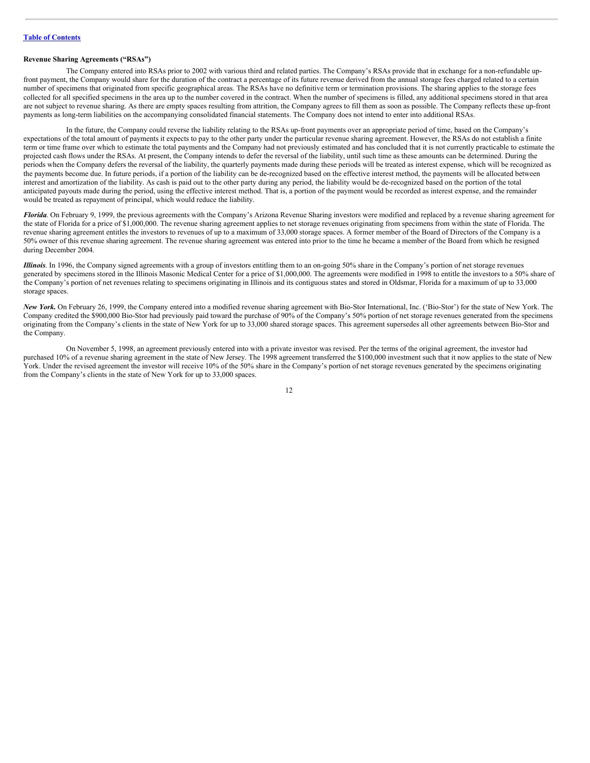#### **Revenue Sharing Agreements ("RSAs")**

The Company entered into RSAs prior to 2002 with various third and related parties. The Company's RSAs provide that in exchange for a non-refundable upfront payment, the Company would share for the duration of the contract a percentage of its future revenue derived from the annual storage fees charged related to a certain number of specimens that originated from specific geographical areas. The RSAs have no definitive term or termination provisions. The sharing applies to the storage fees collected for all specified specimens in the area up to the number covered in the contract. When the number of specimens is filled, any additional specimens stored in that area are not subject to revenue sharing. As there are empty spaces resulting from attrition, the Company agrees to fill them as soon as possible. The Company reflects these up-front payments as long-term liabilities on the accompanying consolidated financial statements. The Company does not intend to enter into additional RSAs.

In the future, the Company could reverse the liability relating to the RSAs up-front payments over an appropriate period of time, based on the Company's expectations of the total amount of payments it expects to pay to the other party under the particular revenue sharing agreement. However, the RSAs do not establish a finite term or time frame over which to estimate the total payments and the Company had not previously estimated and has concluded that it is not currently practicable to estimate the projected cash flows under the RSAs. At present, the Company intends to defer the reversal of the liability, until such time as these amounts can be determined. During the periods when the Company defers the reversal of the liability, the quarterly payments made during these periods will be treated as interest expense, which will be recognized as the payments become due. In future periods, if a portion of the liability can be de-recognized based on the effective interest method, the payments will be allocated between interest and amortization of the liability. As cash is paid out to the other party during any period, the liability would be de-recognized based on the portion of the total anticipated payouts made during the period, using the effective interest method. That is, a portion of the payment would be recorded as interest expense, and the remainder would be treated as repayment of principal, which would reduce the liability.

*Florida*. On February 9, 1999, the previous agreements with the Company's Arizona Revenue Sharing investors were modified and replaced by a revenue sharing agreement for the state of Florida for a price of \$1,000,000. The revenue sharing agreement applies to net storage revenues originating from specimens from within the state of Florida. The revenue sharing agreement entitles the investors to revenues of up to a maximum of 33,000 storage spaces. A former member of the Board of Directors of the Company is a 50% owner of this revenue sharing agreement. The revenue sharing agreement was entered into prior to the time he became a member of the Board from which he resigned during December 2004.

*Illinois*. In 1996, the Company signed agreements with a group of investors entitling them to an on-going 50% share in the Company's portion of net storage revenues generated by specimens stored in the Illinois Masonic Medical Center for a price of \$1,000,000. The agreements were modified in 1998 to entitle the investors to a 50% share of the Company's portion of net revenues relating to specimens originating in Illinois and its contiguous states and stored in Oldsmar, Florida for a maximum of up to 33,000 storage spaces.

*New York.* On February 26, 1999, the Company entered into a modified revenue sharing agreement with Bio-Stor International, Inc. ('Bio-Stor') for the state of New York. The Company credited the \$900,000 Bio-Stor had previously paid toward the purchase of 90% of the Company's 50% portion of net storage revenues generated from the specimens originating from the Company's clients in the state of New York for up to 33,000 shared storage spaces. This agreement supersedes all other agreements between Bio-Stor and the Company.

On November 5, 1998, an agreement previously entered into with a private investor was revised. Per the terms of the original agreement, the investor had purchased 10% of a revenue sharing agreement in the state of New Jersey. The 1998 agreement transferred the \$100,000 investment such that it now applies to the state of New York. Under the revised agreement the investor will receive 10% of the 50% share in the Company's portion of net storage revenues generated by the specimens originating from the Company's clients in the state of New York for up to 33,000 spaces.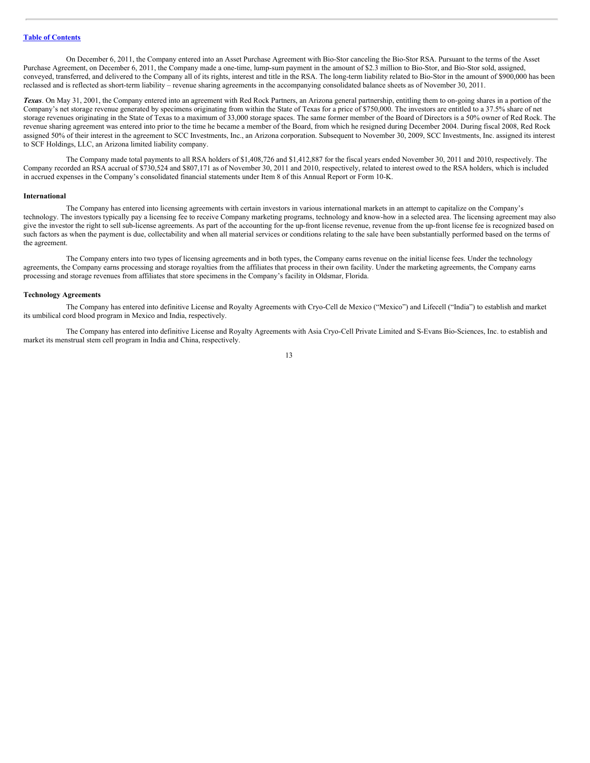On December 6, 2011, the Company entered into an Asset Purchase Agreement with Bio-Stor canceling the Bio-Stor RSA. Pursuant to the terms of the Asset Purchase Agreement, on December 6, 2011, the Company made a one-time, lump-sum payment in the amount of \$2.3 million to Bio-Stor, and Bio-Stor sold, assigned, conveyed, transferred, and delivered to the Company all of its rights, interest and title in the RSA. The long-term liability related to Bio-Stor in the amount of \$900,000 has been reclassed and is reflected as short-term liability – revenue sharing agreements in the accompanying consolidated balance sheets as of November 30, 2011.

*Texas*. On May 31, 2001, the Company entered into an agreement with Red Rock Partners, an Arizona general partnership, entitling them to on-going shares in a portion of the Company's net storage revenue generated by specimens originating from within the State of Texas for a price of \$750,000. The investors are entitled to a 37.5% share of net storage revenues originating in the State of Texas to a maximum of 33,000 storage spaces. The same former member of the Board of Directors is a 50% owner of Red Rock. The revenue sharing agreement was entered into prior to the time he became a member of the Board, from which he resigned during December 2004. During fiscal 2008, Red Rock assigned 50% of their interest in the agreement to SCC Investments, Inc., an Arizona corporation. Subsequent to November 30, 2009, SCC Investments, Inc. assigned its interest to SCF Holdings, LLC, an Arizona limited liability company.

The Company made total payments to all RSA holders of \$1,408,726 and \$1,412,887 for the fiscal years ended November 30, 2011 and 2010, respectively. The Company recorded an RSA accrual of \$730,524 and \$807,171 as of November 30, 2011 and 2010, respectively, related to interest owed to the RSA holders, which is included in accrued expenses in the Company's consolidated financial statements under Item 8 of this Annual Report or Form 10-K.

#### **International**

The Company has entered into licensing agreements with certain investors in various international markets in an attempt to capitalize on the Company's technology. The investors typically pay a licensing fee to receive Company marketing programs, technology and know-how in a selected area. The licensing agreement may also give the investor the right to sell sub-license agreements. As part of the accounting for the up-front license revenue, revenue from the up-front license fee is recognized based on such factors as when the payment is due, collectability and when all material services or conditions relating to the sale have been substantially performed based on the terms of the agreement.

The Company enters into two types of licensing agreements and in both types, the Company earns revenue on the initial license fees. Under the technology agreements, the Company earns processing and storage royalties from the affiliates that process in their own facility. Under the marketing agreements, the Company earns processing and storage revenues from affiliates that store specimens in the Company's facility in Oldsmar, Florida.

#### **Technology Agreements**

The Company has entered into definitive License and Royalty Agreements with Cryo-Cell de Mexico ("Mexico") and Lifecell ("India") to establish and market its umbilical cord blood program in Mexico and India, respectively.

The Company has entered into definitive License and Royalty Agreements with Asia Cryo-Cell Private Limited and S-Evans Bio-Sciences, Inc. to establish and market its menstrual stem cell program in India and China, respectively.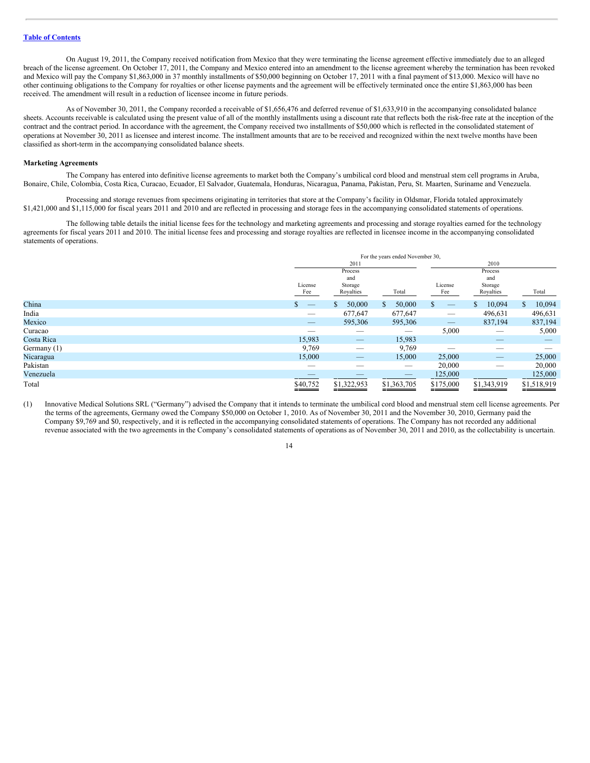On August 19, 2011, the Company received notification from Mexico that they were terminating the license agreement effective immediately due to an alleged breach of the license agreement. On October 17, 2011, the Company and Mexico entered into an amendment to the license agreement whereby the termination has been revoked and Mexico will pay the Company \$1,863,000 in 37 monthly installments of \$50,000 beginning on October 17, 2011 with a final payment of \$13,000. Mexico will have no other continuing obligations to the Company for royalties or other license payments and the agreement will be effectively terminated once the entire \$1,863,000 has been received. The amendment will result in a reduction of licensee income in future periods.

As of November 30, 2011, the Company recorded a receivable of \$1,656,476 and deferred revenue of \$1,633,910 in the accompanying consolidated balance sheets. Accounts receivable is calculated using the present value of all of the monthly installments using a discount rate that reflects both the risk-free rate at the inception of the contract and the contract period. In accordance with the agreement, the Company received two installments of \$50,000 which is reflected in the consolidated statement of operations at November 30, 2011 as licensee and interest income. The installment amounts that are to be received and recognized within the next twelve months have been classified as short-term in the accompanying consolidated balance sheets.

#### **Marketing Agreements**

The Company has entered into definitive license agreements to market both the Company's umbilical cord blood and menstrual stem cell programs in Aruba, Bonaire, Chile, Colombia, Costa Rica, Curacao, Ecuador, El Salvador, Guatemala, Honduras, Nicaragua, Panama, Pakistan, Peru, St. Maarten, Suriname and Venezuela.

Processing and storage revenues from specimens originating in territories that store at the Company's facility in Oldsmar, Florida totaled approximately \$1,421,000 and \$1,115,000 for fiscal years 2011 and 2010 and are reflected in processing and storage fees in the accompanying consolidated statements of operations.

The following table details the initial license fees for the technology and marketing agreements and processing and storage royalties earned for the technology agreements for fiscal years 2011 and 2010. The initial license fees and processing and storage royalties are reflected in licensee income in the accompanying consolidated statements of operations.

|             | For the years ended November 30, |                           |                                |                                      |              |              |  |
|-------------|----------------------------------|---------------------------|--------------------------------|--------------------------------------|--------------|--------------|--|
|             |                                  | 2011                      |                                |                                      | 2010         |              |  |
|             | License                          | Process<br>and<br>Storage |                                | Process<br>and<br>License<br>Storage |              |              |  |
|             | Fee                              | Royalties                 | Total                          | Fee                                  | Royalties    | Total        |  |
| China       | S.<br>$\qquad \qquad$            | 50,000<br>S               | $\mathbb{S}$<br>50,000         | \$.                                  | 10,094<br>\$ | 10,094<br>S. |  |
| India       | $\overbrace{\phantom{12332}}$    | 677,647                   | 677,647                        |                                      | 496,631      | 496,631      |  |
| Mexico      | $\qquad \qquad -$                | 595,306                   | 595,306                        |                                      | 837,194      | 837,194      |  |
| Curacao     |                                  |                           | $\overbrace{\hspace{25mm}}^{}$ | 5,000                                |              | 5,000        |  |
| Costa Rica  | 15,983                           | $\qquad \qquad - \qquad$  | 15,983                         |                                      | _            | _            |  |
| Germany (1) | 9,769                            |                           | 9,769                          |                                      | _            |              |  |
| Nicaragua   | 15,000                           |                           | 15,000                         | 25,000                               |              | 25,000       |  |
| Pakistan    | _                                | _                         | $\overline{\phantom{a}}$       | 20,000                               | _            | 20,000       |  |
| Venezuela   | __                               |                           |                                | 125,000                              |              | 125,000      |  |
| Total       | \$40,752                         | \$1,322,953               | \$1,363,705                    | \$175,000                            | \$1,343,919  | \$1,518,919  |  |

(1) Innovative Medical Solutions SRL ("Germany") advised the Company that it intends to terminate the umbilical cord blood and menstrual stem cell license agreements. Per the terms of the agreements, Germany owed the Company \$50,000 on October 1, 2010. As of November 30, 2011 and the November 30, 2010, Germany paid the Company \$9,769 and \$0, respectively, and it is reflected in the accompanying consolidated statements of operations. The Company has not recorded any additional revenue associated with the two agreements in the Company's consolidated statements of operations as of November 30, 2011 and 2010, as the collectability is uncertain.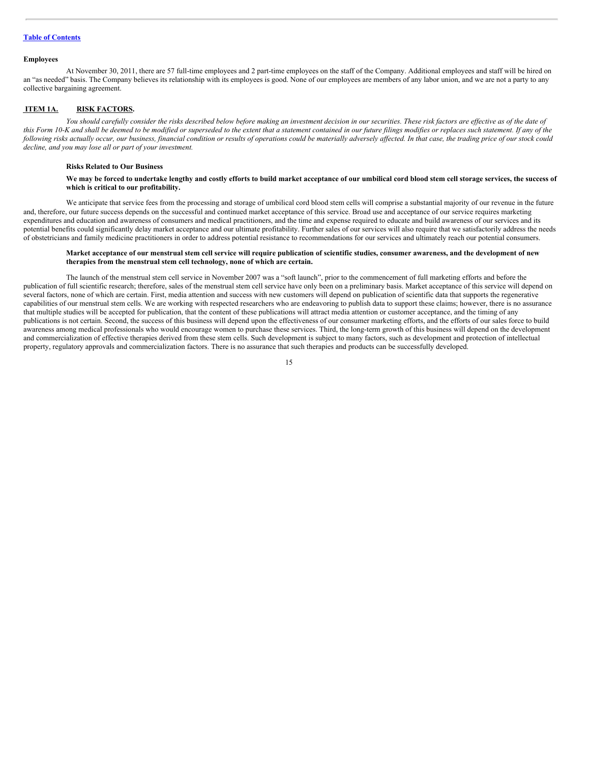# **Table of [Contents](#page-1-0)**

#### **Employees**

At November 30, 2011, there are 57 full-time employees and 2 part-time employees on the staff of the Company. Additional employees and staff will be hired on an "as needed" basis. The Company believes its relationship with its employees is good. None of our employees are members of any labor union, and we are not a party to any collective bargaining agreement.

### <span id="page-14-0"></span>**ITEM 1A. RISK FACTORS.**

You should carefully consider the risks described below before making an investment decision in our securities. These risk factors are effective as of the date of this Form 10-K and shall be deemed to be modified or superseded to the extent that a statement contained in our future filings modifies or replaces such statement. If any of the following risks actually occur, our business, financial condition or results of operations could be materially adversely affected. In that case, the trading price of our stock could *decline, and you may lose all or part of your investment.*

#### **Risks Related to Our Business**

#### We may be forced to undertake lengthy and costly efforts to build market acceptance of our umbilical cord blood stem cell storage services, the success of **which is critical to our profitability.**

We anticipate that service fees from the processing and storage of umbilical cord blood stem cells will comprise a substantial majority of our revenue in the future and, therefore, our future success depends on the successful and continued market acceptance of this service. Broad use and acceptance of our service requires marketing expenditures and education and awareness of consumers and medical practitioners, and the time and expense required to educate and build awareness of our services and its potential benefits could significantly delay market acceptance and our ultimate profitability. Further sales of our services will also require that we satisfactorily address the needs of obstetricians and family medicine practitioners in order to address potential resistance to recommendations for our services and ultimately reach our potential consumers.

#### Market acceptance of our menstrual stem cell service will require publication of scientific studies, consumer awareness, and the development of new **therapies from the menstrual stem cell technology, none of which are certain.**

The launch of the menstrual stem cell service in November 2007 was a "soft launch", prior to the commencement of full marketing efforts and before the publication of full scientific research; therefore, sales of the menstrual stem cell service have only been on a preliminary basis. Market acceptance of this service will depend on several factors, none of which are certain. First, media attention and success with new customers will depend on publication of scientific data that supports the regenerative capabilities of our menstrual stem cells. We are working with respected researchers who are endeavoring to publish data to support these claims; however, there is no assurance that multiple studies will be accepted for publication, that the content of these publications will attract media attention or customer acceptance, and the timing of any publications is not certain. Second, the success of this business will depend upon the effectiveness of our consumer marketing efforts, and the efforts of our sales force to build awareness among medical professionals who would encourage women to purchase these services. Third, the long-term growth of this business will depend on the development and commercialization of effective therapies derived from these stem cells. Such development is subject to many factors, such as development and protection of intellectual property, regulatory approvals and commercialization factors. There is no assurance that such therapies and products can be successfully developed.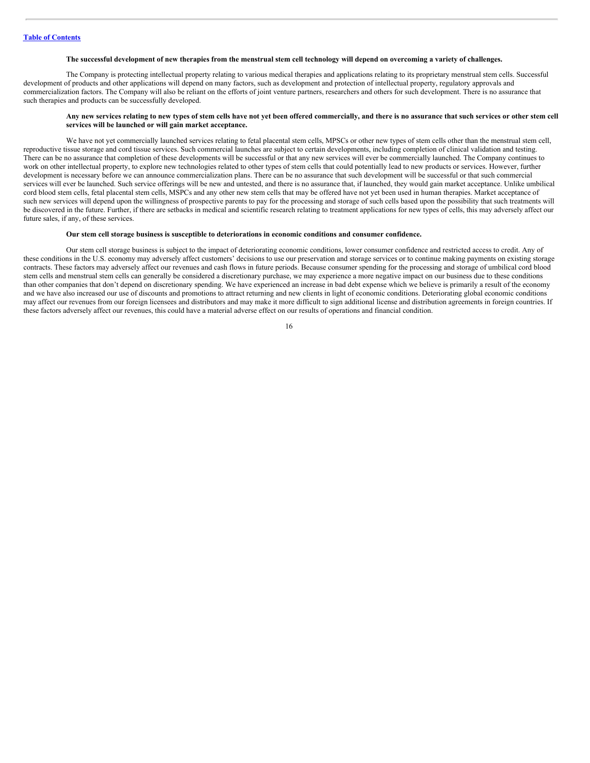#### The successful development of new therapies from the menstrual stem cell technology will depend on overcoming a variety of challenges.

The Company is protecting intellectual property relating to various medical therapies and applications relating to its proprietary menstrual stem cells. Successful development of products and other applications will depend on many factors, such as development and protection of intellectual property, regulatory approvals and commercialization factors. The Company will also be reliant on the efforts of joint venture partners, researchers and others for such development. There is no assurance that such therapies and products can be successfully developed.

#### Any new services relating to new types of stem cells have not yet been offered commercially, and there is no assurance that such services or other stem cell **services will be launched or will gain market acceptance.**

We have not yet commercially launched services relating to fetal placental stem cells. MPSCs or other new types of stem cells other than the menstrual stem cell, reproductive tissue storage and cord tissue services. Such commercial launches are subject to certain developments, including completion of clinical validation and testing. There can be no assurance that completion of these developments will be successful or that any new services will ever be commercially launched. The Company continues to work on other intellectual property, to explore new technologies related to other types of stem cells that could potentially lead to new products or services. However, further development is necessary before we can announce commercialization plans. There can be no assurance that such development will be successful or that such commercial services will ever be launched. Such service offerings will be new and untested, and there is no assurance that, if launched, they would gain market acceptance. Unlike umbilical cord blood stem cells, fetal placental stem cells, MSPCs and any other new stem cells that may be offered have not yet been used in human therapies. Market acceptance of such new services will depend upon the willingness of prospective parents to pay for the processing and storage of such cells based upon the possibility that such treatments will be discovered in the future. Further, if there are setbacks in medical and scientific research relating to treatment applications for new types of cells, this may adversely affect our future sales, if any, of these services.

#### **Our stem cell storage business is susceptible to deteriorations in economic conditions and consumer confidence.**

Our stem cell storage business is subject to the impact of deteriorating economic conditions, lower consumer confidence and restricted access to credit. Any of these conditions in the U.S. economy may adversely affect customers' decisions to use our preservation and storage services or to continue making payments on existing storage contracts. These factors may adversely affect our revenues and cash flows in future periods. Because consumer spending for the processing and storage of umbilical cord blood stem cells and menstrual stem cells can generally be considered a discretionary purchase, we may experience a more negative impact on our business due to these conditions than other companies that don't depend on discretionary spending. We have experienced an increase in bad debt expense which we believe is primarily a result of the economy and we have also increased our use of discounts and promotions to attract returning and new clients in light of economic conditions. Deteriorating global economic conditions may affect our revenues from our foreign licensees and distributors and may make it more difficult to sign additional license and distribution agreements in foreign countries. If these factors adversely affect our revenues, this could have a material adverse effect on our results of operations and financial condition.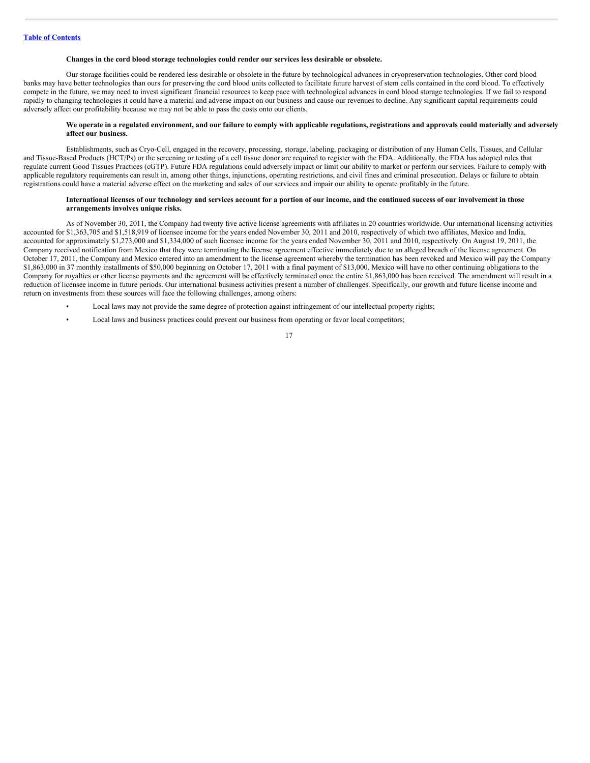#### **Changes in the cord blood storage technologies could render our services less desirable or obsolete.**

Our storage facilities could be rendered less desirable or obsolete in the future by technological advances in cryopreservation technologies. Other cord blood banks may have better technologies than ours for preserving the cord blood units collected to facilitate future harvest of stem cells contained in the cord blood. To effectively compete in the future, we may need to invest significant financial resources to keep pace with technological advances in cord blood storage technologies. If we fail to respond rapidly to changing technologies it could have a material and adverse impact on our business and cause our revenues to decline. Any significant capital requirements could adversely affect our profitability because we may not be able to pass the costs onto our clients.

#### We operate in a regulated environment, and our failure to comply with applicable regulations, registrations and approvals could materially and adversely **affect our business.**

Establishments, such as Cryo-Cell, engaged in the recovery, processing, storage, labeling, packaging or distribution of any Human Cells, Tissues, and Cellular and Tissue-Based Products (HCT/Ps) or the screening or testing of a cell tissue donor are required to register with the FDA. Additionally, the FDA has adopted rules that regulate current Good Tissues Practices (cGTP). Future FDA regulations could adversely impact or limit our ability to market or perform our services. Failure to comply with applicable regulatory requirements can result in, among other things, injunctions, operating restrictions, and civil fines and criminal prosecution. Delays or failure to obtain registrations could have a material adverse effect on the marketing and sales of our services and impair our ability to operate profitably in the future.

#### International licenses of our technology and services account for a portion of our income, and the continued success of our involvement in those **arrangements involves unique risks.**

As of November 30, 2011, the Company had twenty five active license agreements with affiliates in 20 countries worldwide. Our international licensing activities accounted for \$1,363,705 and \$1,518,919 of licensee income for the years ended November 30, 2011 and 2010, respectively of which two affiliates, Mexico and India, accounted for approximately \$1,273,000 and \$1,334,000 of such licensee income for the years ended November 30, 2011 and 2010, respectively. On August 19, 2011, the Company received notification from Mexico that they were terminating the license agreement effective immediately due to an alleged breach of the license agreement. On October 17, 2011, the Company and Mexico entered into an amendment to the license agreement whereby the termination has been revoked and Mexico will pay the Company \$1,863,000 in 37 monthly installments of \$50,000 beginning on October 17, 2011 with a final payment of \$13,000. Mexico will have no other continuing obligations to the Company for royalties or other license payments and the agreement will be effectively terminated once the entire \$1,863,000 has been received. The amendment will result in a reduction of licensee income in future periods. Our international business activities present a number of challenges. Specifically, our growth and future license income and return on investments from these sources will face the following challenges, among others:

- Local laws may not provide the same degree of protection against infringement of our intellectual property rights;
- Local laws and business practices could prevent our business from operating or favor local competitors;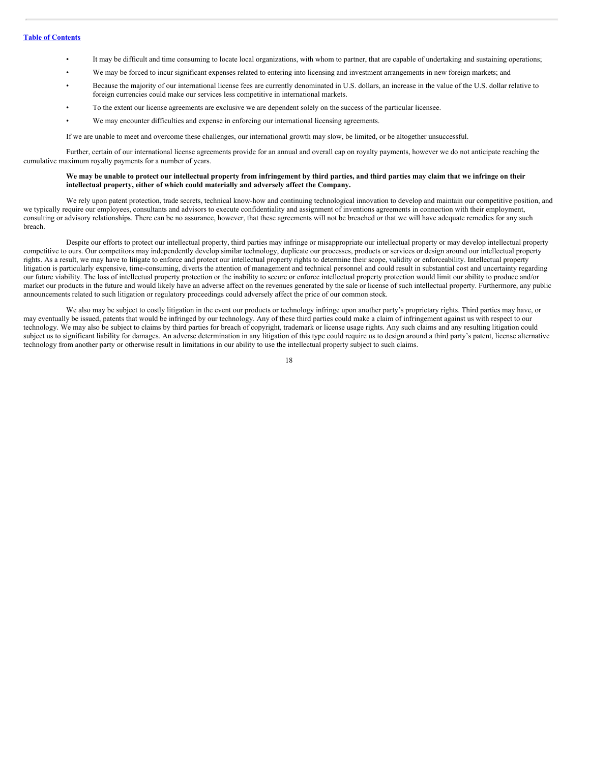- It may be difficult and time consuming to locate local organizations, with whom to partner, that are capable of undertaking and sustaining operations;
- We may be forced to incur significant expenses related to entering into licensing and investment arrangements in new foreign markets; and
- Because the majority of our international license fees are currently denominated in U.S. dollars, an increase in the value of the U.S. dollar relative to foreign currencies could make our services less competitive in international markets.
- To the extent our license agreements are exclusive we are dependent solely on the success of the particular licensee.
- We may encounter difficulties and expense in enforcing our international licensing agreements.

If we are unable to meet and overcome these challenges, our international growth may slow, be limited, or be altogether unsuccessful.

Further, certain of our international license agreements provide for an annual and overall cap on royalty payments, however we do not anticipate reaching the cumulative maximum royalty payments for a number of years.

#### We may be unable to protect our intellectual property from infringement by third parties, and third parties may claim that we infringe on their **intellectual property, either of which could materially and adversely affect the Company.**

We rely upon patent protection, trade secrets, technical know-how and continuing technological innovation to develop and maintain our competitive position, and we typically require our employees, consultants and advisors to execute confidentiality and assignment of inventions agreements in connection with their employment. consulting or advisory relationships. There can be no assurance, however, that these agreements will not be breached or that we will have adequate remedies for any such breach.

Despite our efforts to protect our intellectual property, third parties may infringe or misappropriate our intellectual property or may develop intellectual property competitive to ours. Our competitors may independently develop similar technology, duplicate our processes, products or services or design around our intellectual property rights. As a result, we may have to litigate to enforce and protect our intellectual property rights to determine their scope, validity or enforceability. Intellectual property litigation is particularly expensive, time-consuming, diverts the attention of management and technical personnel and could result in substantial cost and uncertainty regarding our future viability. The loss of intellectual property protection or the inability to secure or enforce intellectual property protection would limit our ability to produce and/or market our products in the future and would likely have an adverse affect on the revenues generated by the sale or license of such intellectual property. Furthermore, any public announcements related to such litigation or regulatory proceedings could adversely affect the price of our common stock.

We also may be subject to costly litigation in the event our products or technology infringe upon another party's proprietary rights. Third parties may have, or may eventually be issued, patents that would be infringed by our technology. Any of these third parties could make a claim of infringement against us with respect to our technology. We may also be subject to claims by third parties for breach of copyright, trademark or license usage rights. Any such claims and any resulting litigation could subject us to significant liability for damages. An adverse determination in any litigation of this type could require us to design around a third party's patent, license alternative technology from another party or otherwise result in limitations in our ability to use the intellectual property subject to such claims.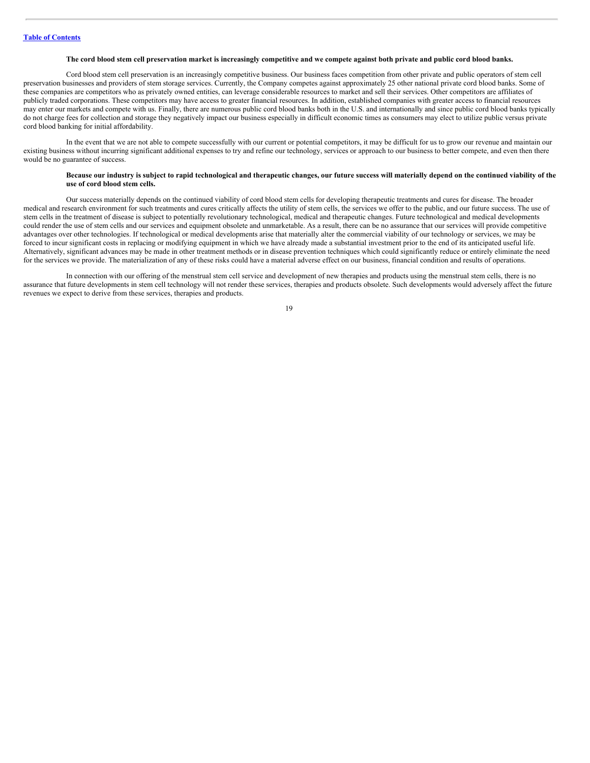#### The cord blood stem cell preservation market is increasingly competitive and we compete against both private and public cord blood banks.

Cord blood stem cell preservation is an increasingly competitive business. Our business faces competition from other private and public operators of stem cell preservation businesses and providers of stem storage services. Currently, the Company competes against approximately 25 other national private cord blood banks. Some of these companies are competitors who as privately owned entities, can leverage considerable resources to market and sell their services. Other competitors are affiliates of publicly traded corporations. These competitors may have access to greater financial resources. In addition, established companies with greater access to financial resources may enter our markets and compete with us. Finally, there are numerous public cord blood banks both in the U.S. and internationally and since public cord blood banks typically do not charge fees for collection and storage they negatively impact our business especially in difficult economic times as consumers may elect to utilize public versus private cord blood banking for initial affordability.

In the event that we are not able to compete successfully with our current or potential competitors, it may be difficult for us to grow our revenue and maintain our existing business without incurring significant additional expenses to try and refine our technology, services or approach to our business to better compete, and even then there would be no guarantee of success.

#### Because our industry is subject to rapid technological and therapeutic changes, our future success will materially depend on the continued viability of the **use of cord blood stem cells.**

Our success materially depends on the continued viability of cord blood stem cells for developing therapeutic treatments and cures for disease. The broader medical and research environment for such treatments and cures critically affects the utility of stem cells, the services we offer to the public, and our future success. The use of stem cells in the treatment of disease is subject to potentially revolutionary technological, medical and therapeutic changes. Future technological and medical developments could render the use of stem cells and our services and equipment obsolete and unmarketable. As a result, there can be no assurance that our services will provide competitive advantages over other technologies. If technological or medical developments arise that materially alter the commercial viability of our technology or services, we may be forced to incur significant costs in replacing or modifying equipment in which we have already made a substantial investment prior to the end of its anticipated useful life. Alternatively, significant advances may be made in other treatment methods or in disease prevention techniques which could significantly reduce or entirely eliminate the need for the services we provide. The materialization of any of these risks could have a material adverse effect on our business, financial condition and results of operations.

In connection with our offering of the menstrual stem cell service and development of new therapies and products using the menstrual stem cells, there is no assurance that future developments in stem cell technology will not render these services, therapies and products obsolete. Such developments would adversely affect the future revenues we expect to derive from these services, therapies and products.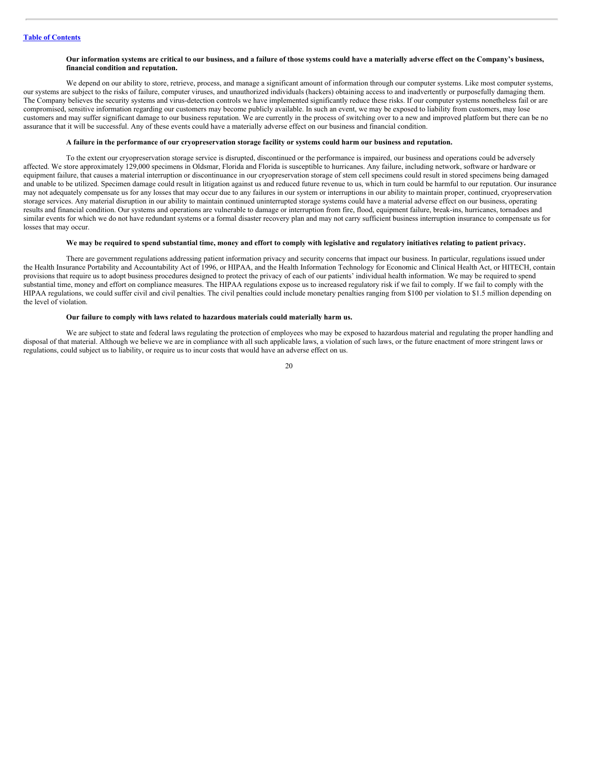#### Our information systems are critical to our business, and a failure of those systems could have a materially adverse effect on the Company's business, **financial condition and reputation.**

We depend on our ability to store, retrieve, process, and manage a significant amount of information through our computer systems. Like most computer systems, our systems are subject to the risks of failure, computer viruses, and unauthorized individuals (hackers) obtaining access to and inadvertently or purposefully damaging them. The Company believes the security systems and virus-detection controls we have implemented significantly reduce these risks. If our computer systems nonetheless fail or are compromised, sensitive information regarding our customers may become publicly available. In such an event, we may be exposed to liability from customers, may lose customers and may suffer significant damage to our business reputation. We are currently in the process of switching over to a new and improved platform but there can be no assurance that it will be successful. Any of these events could have a materially adverse effect on our business and financial condition.

#### A failure in the performance of our cryopreservation storage facility or systems could harm our business and reputation.

To the extent our cryopreservation storage service is disrupted, discontinued or the performance is impaired, our business and operations could be adversely affected. We store approximately 129,000 specimens in Oldsmar, Florida and Florida is susceptible to hurricanes. Any failure, including network, software or hardware or equipment failure, that causes a material interruption or discontinuance in our cryopreservation storage of stem cell specimens could result in stored specimens being damaged and unable to be utilized. Specimen damage could result in litigation against us and reduced future revenue to us, which in turn could be harmful to our reputation. Our insurance may not adequately compensate us for any losses that may occur due to any failures in our system or interruptions in our ability to maintain proper, continued, cryopreservation storage services. Any material disruption in our ability to maintain continued uninterrupted storage systems could have a material adverse effect on our business, operating results and financial condition. Our systems and operations are vulnerable to damage or interruption from fire, flood, equipment failure, break-ins, hurricanes, tornadoes and similar events for which we do not have redundant systems or a formal disaster recovery plan and may not carry sufficient business interruption insurance to compensate us for losses that may occur.

#### We may be required to spend substantial time, money and effort to comply with legislative and regulatory initiatives relating to patient privacy.

There are government regulations addressing patient information privacy and security concerns that impact our business. In particular, regulations issued under the Health Insurance Portability and Accountability Act of 1996, or HIPAA, and the Health Information Technology for Economic and Clinical Health Act, or HITECH, contain provisions that require us to adopt business procedures designed to protect the privacy of each of our patients' individual health information. We may be required to spend substantial time, money and effort on compliance measures. The HIPAA regulations expose us to increased regulatory risk if we fail to comply. If we fail to comply with the HIPAA regulations, we could suffer civil and civil penalties. The civil penalties could include monetary penalties ranging from \$100 per violation to \$1.5 million depending on the level of violation.

#### **Our failure to comply with laws related to hazardous materials could materially harm us.**

We are subject to state and federal laws regulating the protection of employees who may be exposed to hazardous material and regulating the proper handling and disposal of that material. Although we believe we are in compliance with all such applicable laws, a violation of such laws, or the future enactment of more stringent laws or regulations, could subject us to liability, or require us to incur costs that would have an adverse effect on us.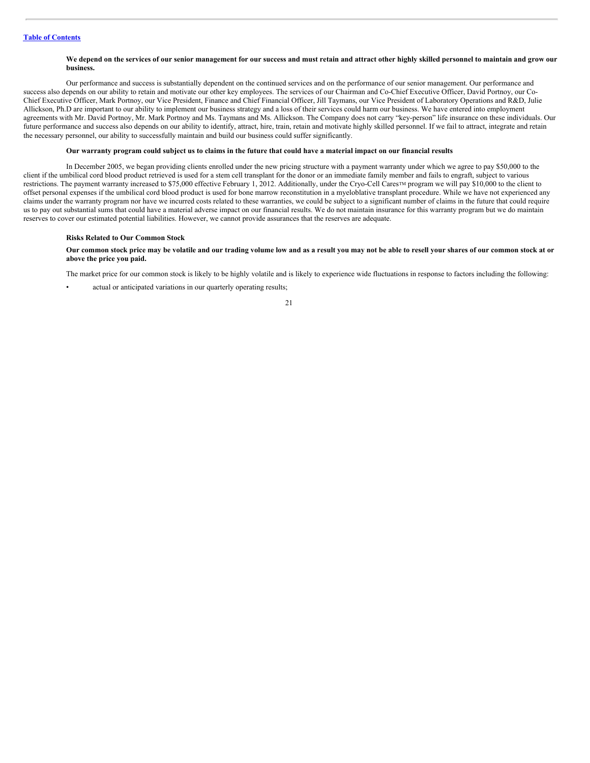#### We depend on the services of our senior management for our success and must retain and attract other highly skilled personnel to maintain and grow our **business.**

Our performance and success is substantially dependent on the continued services and on the performance of our senior management. Our performance and success also depends on our ability to retain and motivate our other key employees. The services of our Chairman and Co-Chief Executive Officer, David Portnoy, our Co-Chief Executive Officer, Mark Portnoy, our Vice President, Finance and Chief Financial Officer, Jill Taymans, our Vice President of Laboratory Operations and R&D, Julie Allickson, Ph.D are important to our ability to implement our business strategy and a loss of their services could harm our business. We have entered into employment agreements with Mr. David Portnoy, Mr. Mark Portnoy and Ms. Taymans and Ms. Allickson. The Company does not carry "key-person" life insurance on these individuals. Our future performance and success also depends on our ability to identify, attract, hire, train, retain and motivate highly skilled personnel. If we fail to attract, integrate and retain the necessary personnel, our ability to successfully maintain and build our business could suffer significantly.

#### Our warranty program could subject us to claims in the future that could have a material impact on our financial results

In December 2005, we began providing clients enrolled under the new pricing structure with a payment warranty under which we agree to pay \$50,000 to the client if the umbilical cord blood product retrieved is used for a stem cell transplant for the donor or an immediate family member and fails to engraft, subject to various restrictions. The payment warranty increased to \$75,000 effective February 1, 2012. Additionally, under the Cryo-Cell Cares<sup>TM</sup> program we will pay \$10,000 to the client to offset personal expenses if the umbilical cord blood product is used for bone marrow reconstitution in a myeloblative transplant procedure. While we have not experienced any claims under the warranty program nor have we incurred costs related to these warranties, we could be subject to a significant number of claims in the future that could require us to pay out substantial sums that could have a material adverse impact on our financial results. We do not maintain insurance for this warranty program but we do maintain reserves to cover our estimated potential liabilities. However, we cannot provide assurances that the reserves are adequate.

#### **Risks Related to Our Common Stock**

#### Our common stock price may be volatile and our trading volume low and as a result you may not be able to resell your shares of our common stock at or **above the price you paid.**

The market price for our common stock is likely to be highly volatile and is likely to experience wide fluctuations in response to factors including the following:

actual or anticipated variations in our quarterly operating results;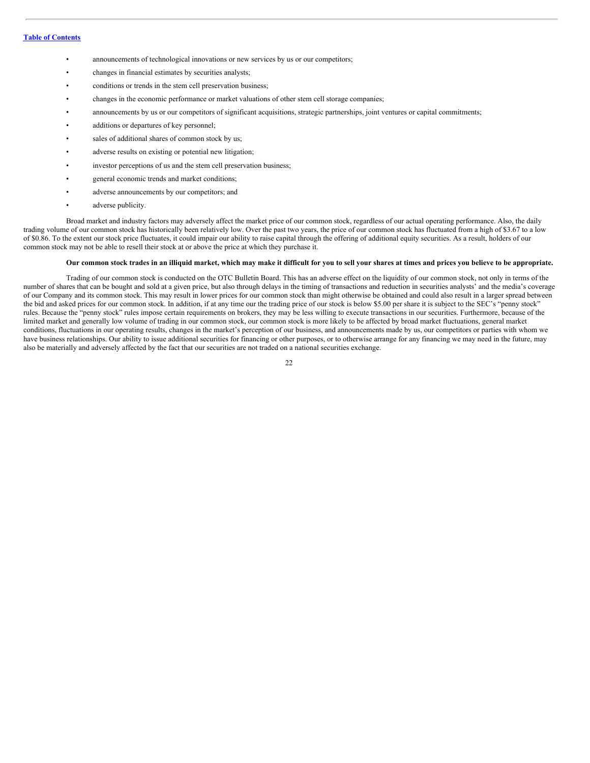- announcements of technological innovations or new services by us or our competitors;
- changes in financial estimates by securities analysts;
- conditions or trends in the stem cell preservation business;
- changes in the economic performance or market valuations of other stem cell storage companies;
- announcements by us or our competitors of significant acquisitions, strategic partnerships, joint ventures or capital commitments;
- additions or departures of key personnel;
- sales of additional shares of common stock by us;
- adverse results on existing or potential new litigation;
- investor perceptions of us and the stem cell preservation business;
- general economic trends and market conditions;
- adverse announcements by our competitors; and
- adverse publicity.

Broad market and industry factors may adversely affect the market price of our common stock, regardless of our actual operating performance. Also, the daily trading volume of our common stock has historically been relatively low. Over the past two years, the price of our common stock has fluctuated from a high of \$3.67 to a low of \$0.86. To the extent our stock price fluctuates, it could impair our ability to raise capital through the offering of additional equity securities. As a result, holders of our common stock may not be able to resell their stock at or above the price at which they purchase it.

#### Our common stock trades in an illiquid market, which may make it difficult for you to sell your shares at times and prices you believe to be appropriate.

Trading of our common stock is conducted on the OTC Bulletin Board. This has an adverse effect on the liquidity of our common stock, not only in terms of the number of shares that can be bought and sold at a given price, but also through delays in the timing of transactions and reduction in securities analysts' and the media's coverage of our Company and its common stock. This may result in lower prices for our common stock than might otherwise be obtained and could also result in a larger spread between the bid and asked prices for our common stock. In addition, if at any time our the trading price of our stock is below \$5.00 per share it is subject to the SEC's "penny stock" rules. Because the "penny stock" rules impose certain requirements on brokers, they may be less willing to execute transactions in our securities. Furthermore, because of the limited market and generally low volume of trading in our common stock, our common stock is more likely to be affected by broad market fluctuations, general market conditions, fluctuations in our operating results, changes in the market's perception of our business, and announcements made by us, our competitors or parties with whom we have business relationships. Our ability to issue additional securities for financing or other purposes, or to otherwise arrange for any financing we may need in the future, may also be materially and adversely affected by the fact that our securities are not traded on a national securities exchange.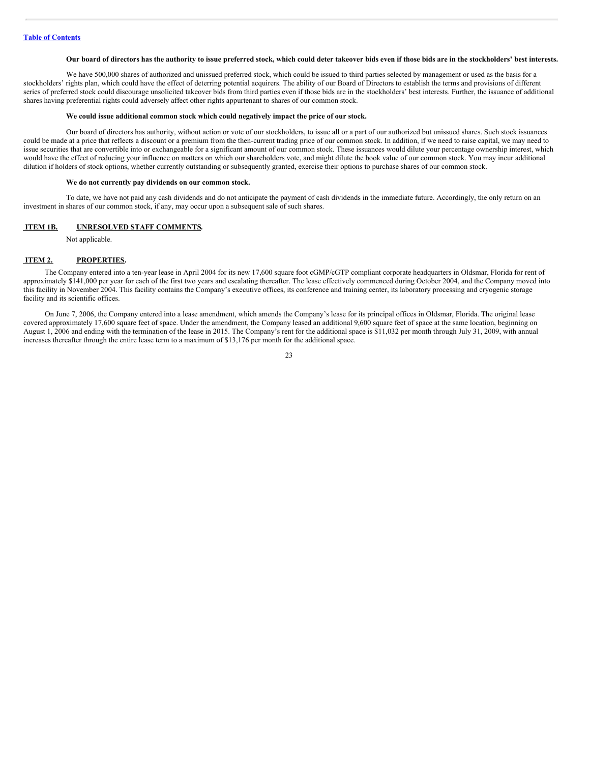#### Our board of directors has the authority to issue preferred stock, which could deter takeover bids even if those bids are in the stockholders' best interests.

We have 500,000 shares of authorized and unissued preferred stock, which could be issued to third parties selected by management or used as the basis for a stockholders' rights plan, which could have the effect of deterring potential acquirers. The ability of our Board of Directors to establish the terms and provisions of different series of preferred stock could discourage unsolicited takeover bids from third parties even if those bids are in the stockholders' best interests. Further, the issuance of additional shares having preferential rights could adversely affect other rights appurtenant to shares of our common stock.

#### **We could issue additional common stock which could negatively impact the price of our stock.**

Our board of directors has authority, without action or vote of our stockholders, to issue all or a part of our authorized but unissued shares. Such stock issuances could be made at a price that reflects a discount or a premium from the then-current trading price of our common stock. In addition, if we need to raise capital, we may need to issue securities that are convertible into or exchangeable for a significant amount of our common stock. These issuances would dilute your percentage ownership interest, which would have the effect of reducing your influence on matters on which our shareholders vote, and might dilute the book value of our common stock. You may incur additional dilution if holders of stock options, whether currently outstanding or subsequently granted, exercise their options to purchase shares of our common stock.

#### **We do not currently pay dividends on our common stock.**

To date, we have not paid any cash dividends and do not anticipate the payment of cash dividends in the immediate future. Accordingly, the only return on an investment in shares of our common stock, if any, may occur upon a subsequent sale of such shares.

#### <span id="page-22-0"></span>**ITEM 1B. UNRESOLVED STAFF COMMENTS.**

Not applicable.

#### <span id="page-22-1"></span>**ITEM 2. PROPERTIES.**

The Company entered into a ten-year lease in April 2004 for its new 17,600 square foot cGMP/cGTP compliant corporate headquarters in Oldsmar, Florida for rent of approximately \$141,000 per year for each of the first two years and escalating thereafter. The lease effectively commenced during October 2004, and the Company moved into this facility in November 2004. This facility contains the Company's executive offices, its conference and training center, its laboratory processing and cryogenic storage facility and its scientific offices.

On June 7, 2006, the Company entered into a lease amendment, which amends the Company's lease for its principal offices in Oldsmar, Florida. The original lease covered approximately 17,600 square feet of space. Under the amendment, the Company leased an additional 9,600 square feet of space at the same location, beginning on August 1, 2006 and ending with the termination of the lease in 2015. The Company's rent for the additional space is \$11,032 per month through July 31, 2009, with annual increases thereafter through the entire lease term to a maximum of \$13,176 per month for the additional space.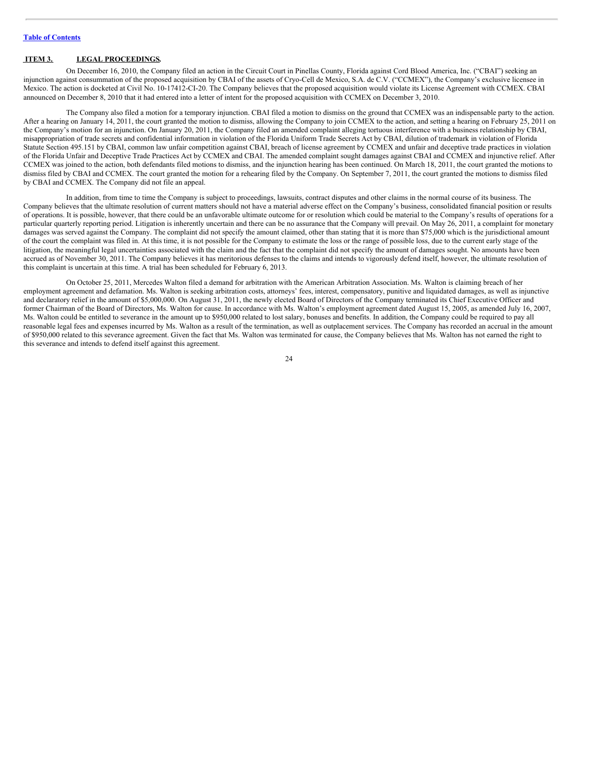# <span id="page-23-0"></span>**ITEM 3. LEGAL PROCEEDINGS.**

On December 16, 2010, the Company filed an action in the Circuit Court in Pinellas County, Florida against Cord Blood America, Inc. ("CBAI") seeking an injunction against consummation of the proposed acquisition by CBAI of the assets of Cryo-Cell de Mexico, S.A. de C.V. ("CCMEX"), the Company's exclusive licensee in Mexico. The action is docketed at Civil No. 10-17412-CI-20. The Company believes that the proposed acquisition would violate its License Agreement with CCMEX. CBAI announced on December 8, 2010 that it had entered into a letter of intent for the proposed acquisition with CCMEX on December 3, 2010.

The Company also filed a motion for a temporary injunction. CBAI filed a motion to dismiss on the ground that CCMEX was an indispensable party to the action. After a hearing on January 14, 2011, the court granted the motion to dismiss, allowing the Company to join CCMEX to the action, and setting a hearing on February 25, 2011 on the Company's motion for an injunction. On January 20, 2011, the Company filed an amended complaint alleging tortuous interference with a business relationship by CBAI, misappropriation of trade secrets and confidential information in violation of the Florida Uniform Trade Secrets Act by CBAI, dilution of trademark in violation of Florida Statute Section 495.151 by CBAI, common law unfair competition against CBAI, breach of license agreement by CCMEX and unfair and deceptive trade practices in violation of the Florida Unfair and Deceptive Trade Practices Act by CCMEX and CBAI. The amended complaint sought damages against CBAI and CCMEX and injunctive relief. After CCMEX was joined to the action, both defendants filed motions to dismiss, and the injunction hearing has been continued. On March 18, 2011, the court granted the motions to dismiss filed by CBAI and CCMEX. The court granted the motion for a rehearing filed by the Company. On September 7, 2011, the court granted the motions to dismiss filed by CBAI and CCMEX. The Company did not file an appeal.

In addition, from time to time the Company is subject to proceedings, lawsuits, contract disputes and other claims in the normal course of its business. The Company believes that the ultimate resolution of current matters should not have a material adverse effect on the Company's business, consolidated financial position or results of operations. It is possible, however, that there could be an unfavorable ultimate outcome for or resolution which could be material to the Company's results of operations for a particular quarterly reporting period. Litigation is inherently uncertain and there can be no assurance that the Company will prevail. On May 26, 2011, a complaint for monetary damages was served against the Company. The complaint did not specify the amount claimed, other than stating that it is more than \$75,000 which is the jurisdictional amount of the court the complaint was filed in. At this time, it is not possible for the Company to estimate the loss or the range of possible loss, due to the current early stage of the litigation, the meaningful legal uncertainties associated with the claim and the fact that the complaint did not specify the amount of damages sought. No amounts have been accrued as of November 30, 2011. The Company believes it has meritorious defenses to the claims and intends to vigorously defend itself, however, the ultimate resolution of this complaint is uncertain at this time. A trial has been scheduled for February 6, 2013.

On October 25, 2011, Mercedes Walton filed a demand for arbitration with the American Arbitration Association. Ms. Walton is claiming breach of her employment agreement and defamation. Ms. Walton is seeking arbitration costs, attorneys' fees, interest, compensatory, punitive and liquidated damages, as well as injunctive and declaratory relief in the amount of \$5,000,000. On August 31, 2011, the newly elected Board of Directors of the Company terminated its Chief Executive Officer and former Chairman of the Board of Directors, Ms. Walton for cause. In accordance with Ms. Walton's employment agreement dated August 15, 2005, as amended July 16, 2007, Ms. Walton could be entitled to severance in the amount up to \$950,000 related to lost salary, bonuses and benefits. In addition, the Company could be required to pay all reasonable legal fees and expenses incurred by Ms. Walton as a result of the termination, as well as outplacement services. The Company has recorded an accrual in the amount of \$950,000 related to this severance agreement. Given the fact that Ms. Walton was terminated for cause, the Company believes that Ms. Walton has not earned the right to this severance and intends to defend itself against this agreement.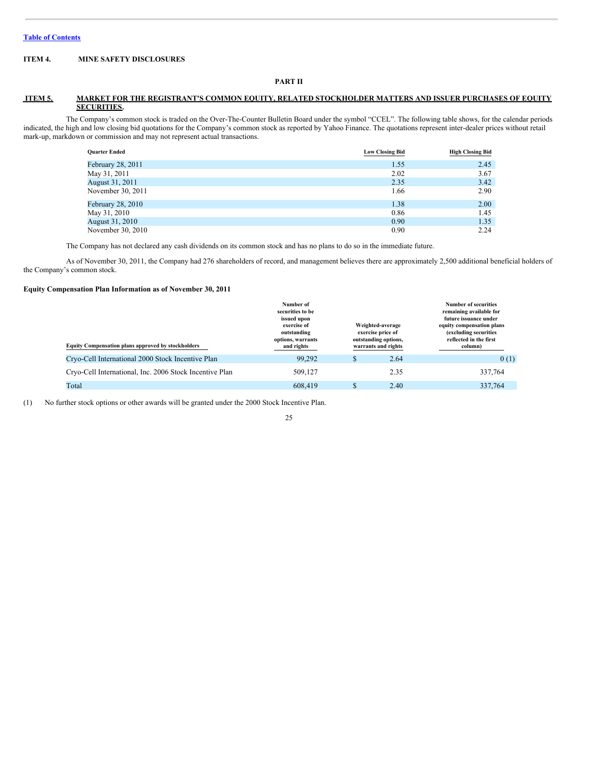# <span id="page-24-0"></span>**ITEM 4. MINE SAFETY DISCLOSURES**

#### **PART II**

# <span id="page-24-1"></span>**ITEM 5. MARKET FOR THE REGISTRANT'S COMMON EQUITY, RELATED STOCKHOLDER MATTERS AND ISSUER PURCHASES OF EQUITY SECURITIES.**

The Company's common stock is traded on the Over-The-Counter Bulletin Board under the symbol "CCEL". The following table shows, for the calendar periods indicated, the high and low closing bid quotations for the Company's common stock as reported by Yahoo Finance. The quotations represent inter-dealer prices without retail mark-up, markdown or commission and may not represent actual transactions.

| <b>Quarter Ended</b> | <b>Low Closing Bid</b> | <b>High Closing Bid</b> |
|----------------------|------------------------|-------------------------|
| February 28, 2011    | 1.55                   | 2.45                    |
| May 31, 2011         | 2.02                   | 3.67                    |
| August 31, 2011      | 2.35                   | 3.42                    |
| November 30, 2011    | 1.66                   | 2.90                    |
| February 28, 2010    | 1.38                   | 2.00                    |
| May 31, 2010         | 0.86                   | 1.45                    |
| August 31, 2010      | 0.90                   | 1.35                    |
| November 30, 2010    | 0.90                   | 2.24                    |

The Company has not declared any cash dividends on its common stock and has no plans to do so in the immediate future.

As of November 30, 2011, the Company had 276 shareholders of record, and management believes there are approximately 2,500 additional beneficial holders of the Company's common stock.

#### **Equity Compensation Plan Information as of November 30, 2011**

| <b>Equity Compensation plans approved by stockholders</b> | Number of<br>securities to be<br>issued upon<br>exercise of<br>outstanding<br>options, warrants<br>and rights | Weighted-average<br>exercise price of<br>outstanding options,<br>warrants and rights | <b>Number of securities</b><br>remaining available for<br>future issuance under<br>equity compensation plans<br>(excluding securities<br>reflected in the first<br>column) |  |
|-----------------------------------------------------------|---------------------------------------------------------------------------------------------------------------|--------------------------------------------------------------------------------------|----------------------------------------------------------------------------------------------------------------------------------------------------------------------------|--|
| Cryo-Cell International 2000 Stock Incentive Plan         | 99.292                                                                                                        | \$<br>2.64                                                                           | 0(1)                                                                                                                                                                       |  |
| Cryo-Cell International, Inc. 2006 Stock Incentive Plan   | 509,127                                                                                                       | 2.35                                                                                 | 337,764                                                                                                                                                                    |  |
| Total                                                     | 608,419                                                                                                       | \$<br>2.40                                                                           | 337,764                                                                                                                                                                    |  |

(1) No further stock options or other awards will be granted under the 2000 Stock Incentive Plan.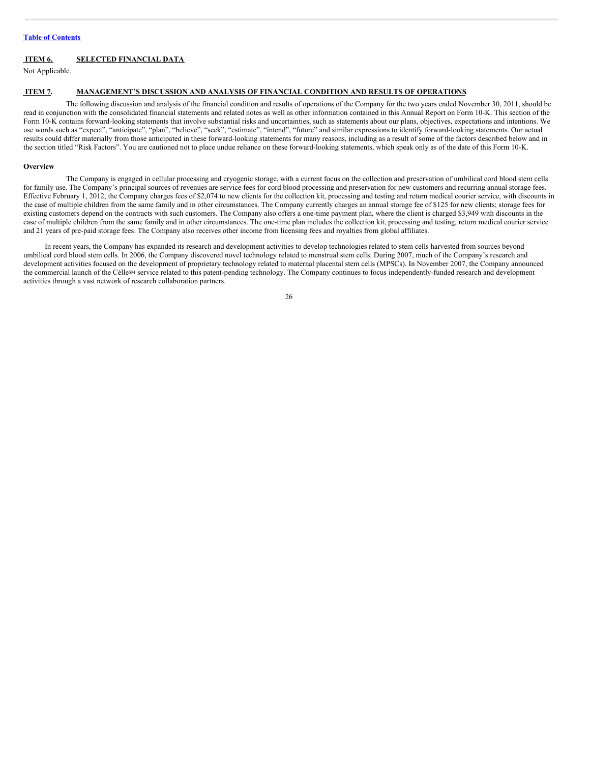# **Table of [Contents](#page-1-0)**

# <span id="page-25-0"></span>**ITEM 6. SELECTED FINANCIAL DATA**

Not Applicable.

# <span id="page-25-1"></span>**ITEM 7. MANAGEMENT'S DISCUSSION AND ANALYSIS OF FINANCIAL CONDITION AND RESULTS OF OPERATIONS.**

The following discussion and analysis of the financial condition and results of operations of the Company for the two years ended November 30, 2011, should be read in conjunction with the consolidated financial statements and related notes as well as other information contained in this Annual Report on Form 10-K. This section of the Form 10-K contains forward-looking statements that involve substantial risks and uncertainties, such as statements about our plans, objectives, expectations and intentions. We use words such as "expect", "anticipate", "plan", "believe", "seek", "estimate", "intend", "future" and similar expressions to identify forward-looking statements. Our actual results could differ materially from those anticipated in these forward-looking statements for many reasons, including as a result of some of the factors described below and in the section titled "Risk Factors". You are cautioned not to place undue reliance on these forward-looking statements, which speak only as of the date of this Form 10-K.

#### **Overview**

The Company is engaged in cellular processing and cryogenic storage, with a current focus on the collection and preservation of umbilical cord blood stem cells for family use. The Company's principal sources of revenues are service fees for cord blood processing and preservation for new customers and recurring annual storage fees. Effective February 1, 2012, the Company charges fees of \$2,074 to new clients for the collection kit, processing and testing and return medical courier service, with discounts in the case of multiple children from the same family and in other circumstances. The Company currently charges an annual storage fee of \$125 for new clients; storage fees for existing customers depend on the contracts with such customers. The Company also offers a one-time payment plan, where the client is charged \$3,949 with discounts in the case of multiple children from the same family and in other circumstances. The one-time plan includes the collection kit, processing and testing, return medical courier service and 21 years of pre-paid storage fees. The Company also receives other income from licensing fees and royalties from global affiliates.

In recent years, the Company has expanded its research and development activities to develop technologies related to stem cells harvested from sources beyond umbilical cord blood stem cells. In 2006, the Company discovered novel technology related to menstrual stem cells. During 2007, much of the Company's research and development activities focused on the development of proprietary technology related to maternal placental stem cells (MPSCs). In November 2007, the Company announced the commercial launch of the Célle<sup>sM</sup> service related to this patent-pending technology. The Company continues to focus independently-funded research and development activities through a vast network of research collaboration partners.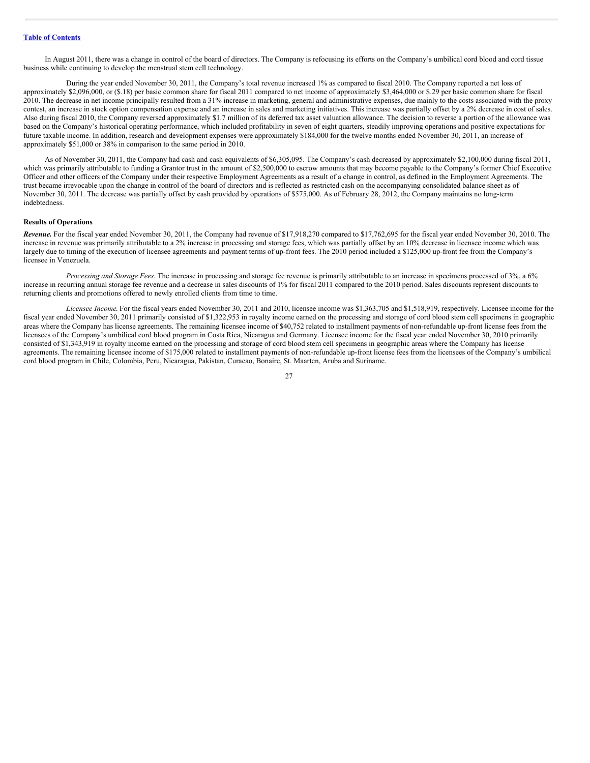In August 2011, there was a change in control of the board of directors. The Company is refocusing its efforts on the Company's umbilical cord blood and cord tissue business while continuing to develop the menstrual stem cell technology.

During the year ended November 30, 2011, the Company's total revenue increased 1% as compared to fiscal 2010. The Company reported a net loss of approximately \$2,096,000, or (\$.18) per basic common share for fiscal 2011 compared to net income of approximately \$3,464,000 or \$.29 per basic common share for fiscal 2010. The decrease in net income principally resulted from a 31% increase in marketing, general and administrative expenses, due mainly to the costs associated with the proxy contest, an increase in stock option compensation expense and an increase in sales and marketing initiatives. This increase was partially offset by a 2% decrease in cost of sales. Also during fiscal 2010, the Company reversed approximately \$1.7 million of its deferred tax asset valuation allowance. The decision to reverse a portion of the allowance was based on the Company's historical operating performance, which included profitability in seven of eight quarters, steadily improving operations and positive expectations for future taxable income. In addition, research and development expenses were approximately \$184,000 for the twelve months ended November 30, 2011, an increase of approximately \$51,000 or 38% in comparison to the same period in 2010.

As of November 30, 2011, the Company had cash and cash equivalents of \$6,305,095. The Company's cash decreased by approximately \$2,100,000 during fiscal 2011, which was primarily attributable to funding a Grantor trust in the amount of \$2,500,000 to escrow amounts that may become payable to the Company's former Chief Executive Officer and other officers of the Company under their respective Employment Agreements as a result of a change in control, as defined in the Employment Agreements. The trust became irrevocable upon the change in control of the board of directors and is reflected as restricted cash on the accompanying consolidated balance sheet as of November 30, 2011. The decrease was partially offset by cash provided by operations of \$575,000. As of February 28, 2012, the Company maintains no long-term indebtedness.

#### **Results of Operations**

*Revenue.* For the fiscal year ended November 30, 2011, the Company had revenue of \$17,918,270 compared to \$17,762,695 for the fiscal year ended November 30, 2010. The increase in revenue was primarily attributable to a 2% increase in processing and storage fees, which was partially offset by an 10% decrease in licensee income which was largely due to timing of the execution of licensee agreements and payment terms of up-front fees. The 2010 period included a \$125,000 up-front fee from the Company's licensee in Venezuela.

*Processing and Storage Fees.* The increase in processing and storage fee revenue is primarily attributable to an increase in specimens processed of 3%, a 6% increase in recurring annual storage fee revenue and a decrease in sales discounts of 1% for fiscal 2011 compared to the 2010 period. Sales discounts represent discounts to returning clients and promotions offered to newly enrolled clients from time to time.

*Licensee Income*. For the fiscal years ended November 30, 2011 and 2010, licensee income was \$1,363,705 and \$1,518,919, respectively. Licensee income for the fiscal year ended November 30, 2011 primarily consisted of \$1,322,953 in royalty income earned on the processing and storage of cord blood stem cell specimens in geographic areas where the Company has license agreements. The remaining licensee income of \$40,752 related to installment payments of non-refundable up-front license fees from the licensees of the Company's umbilical cord blood program in Costa Rica, Nicaragua and Germany. Licensee income for the fiscal year ended November 30, 2010 primarily consisted of \$1,343,919 in royalty income earned on the processing and storage of cord blood stem cell specimens in geographic areas where the Company has license agreements. The remaining licensee income of \$175,000 related to installment payments of non-refundable up-front license fees from the licensees of the Company's umbilical cord blood program in Chile, Colombia, Peru, Nicaragua, Pakistan, Curacao, Bonaire, St. Maarten, Aruba and Suriname.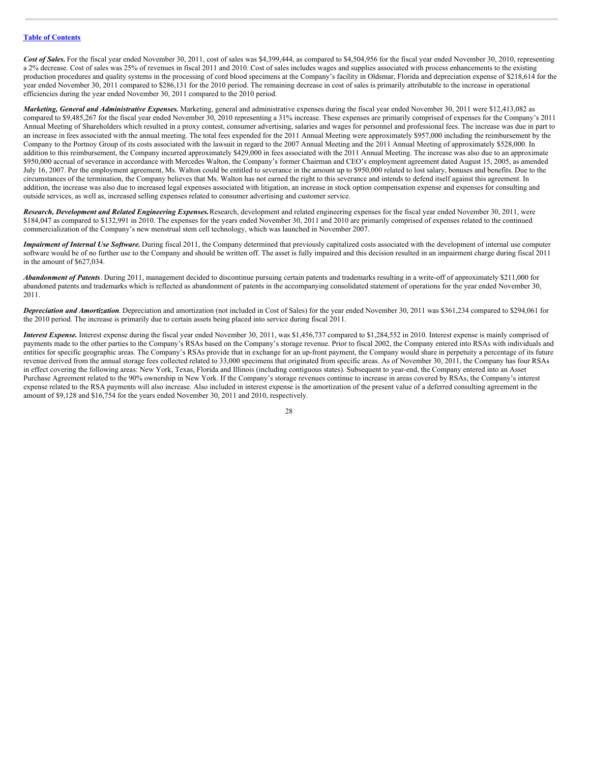Cost of Sales. For the fiscal year ended November 30, 2011, cost of sales was \$4,399,444, as compared to \$4,504,956 for the fiscal year ended November 30, 2010, representing a 2% decrease. Cost of sales was 25% of revenues in fiscal 2011 and 2010. Cost of sales includes wages and supplies associated with process enhancements to the existing production procedures and quality systems in the processing of cord blood specimens at the Company's facility in Oldsmar, Florida and depreciation expense of \$218,614 for the year ended November 30, 2011 compared to \$286,131 for the 2010 period. The remaining decrease in cost of sales is primarily attributable to the increase in operational efficiencies during the year ended November 30, 2011 compared to the 2010 period.

*Marketing, General and Administrative Expenses.* Marketing, general and administrative expenses during the fiscal year ended November 30, 2011 were \$12,413,082 as compared to \$9,485,267 for the fiscal year ended November 30, 2010 representing a 31% increase. These expenses are primarily comprised of expenses for the Company's 2011 Annual Meeting of Shareholders which resulted in a proxy contest, consumer advertising, salaries and wages for personnel and professional fees. The increase was due in part to an increase in fees associated with the annual meeting. The total fees expended for the 2011 Annual Meeting were approximately \$957,000 including the reimbursement by the Company to the Portnoy Group of its costs associated with the lawsuit in regard to the 2007 Annual Meeting and the 2011 Annual Meeting of approximately \$528,000. In addition to this reimbursement, the Company incurred approximately \$429,000 in fees associated with the 2011 Annual Meeting. The increase was also due to an approximate \$950,000 accrual of severance in accordance with Mercedes Walton, the Company's former Chairman and CEO's employment agreement dated August 15, 2005, as amended July 16, 2007. Per the employment agreement, Ms. Walton could be entitled to severance in the amount up to \$950,000 related to lost salary, bonuses and benefits. Due to the circumstances of the termination, the Company believes that Ms. Walton has not earned the right to this severance and intends to defend itself against this agreement. In addition, the increase was also due to increased legal expenses associated with litigation, an increase in stock option compensation expense and expenses for consulting and outside services, as well as, increased selling expenses related to consumer advertising and customer service.

*Research, Development and Related Engineering Expenses.*Research, development and related engineering expenses for the fiscal year ended November 30, 2011, were \$184,047 as compared to \$132,991 in 2010. The expenses for the years ended November 30, 2011 and 2010 are primarily comprised of expenses related to the continued commercialization of the Company's new menstrual stem cell technology, which was launched in November 2007.

*Impairment of Internal Use Software.* During fiscal 2011, the Company determined that previously capitalized costs associated with the development of internal use computer software would be of no further use to the Company and should be written off. The asset is fully impaired and this decision resulted in an impairment charge during fiscal 2011 in the amount of \$627,034.

*Abandonment of Patents*. During 2011, management decided to discontinue pursuing certain patents and trademarks resulting in a write-off of approximately \$211,000 for abandoned patents and trademarks which is reflected as abandonment of patents in the accompanying consolidated statement of operations for the year ended November 30, 2011.

*Depreciation and Amortization*. Depreciation and amortization (not included in Cost of Sales) for the year ended November 30, 2011 was \$361,234 compared to \$294,061 for the 2010 period. The increase is primarily due to certain assets being placed into service during fiscal 2011.

*Interest Expense.* Interest expense during the fiscal year ended November 30, 2011, was \$1,456,737 compared to \$1,284,552 in 2010. Interest expense is mainly comprised of payments made to the other parties to the Company's RSAs based on the Company's storage revenue. Prior to fiscal 2002, the Company entered into RSAs with individuals and entities for specific geographic areas. The Company's RSAs provide that in exchange for an up-front payment, the Company would share in perpetuity a percentage of its future revenue derived from the annual storage fees collected related to 33,000 specimens that originated from specific areas. As of November 30, 2011, the Company has four RSAs in effect covering the following areas: New York, Texas, Florida and Illinois (including contiguous states). Subsequent to year-end, the Company entered into an Asset Purchase Agreement related to the 90% ownership in New York. If the Company's storage revenues continue to increase in areas covered by RSAs, the Company's interest expense related to the RSA payments will also increase. Also included in interest expense is the amortization of the present value of a deferred consulting agreement in the amount of \$9,128 and \$16,754 for the years ended November 30, 2011 and 2010, respectively.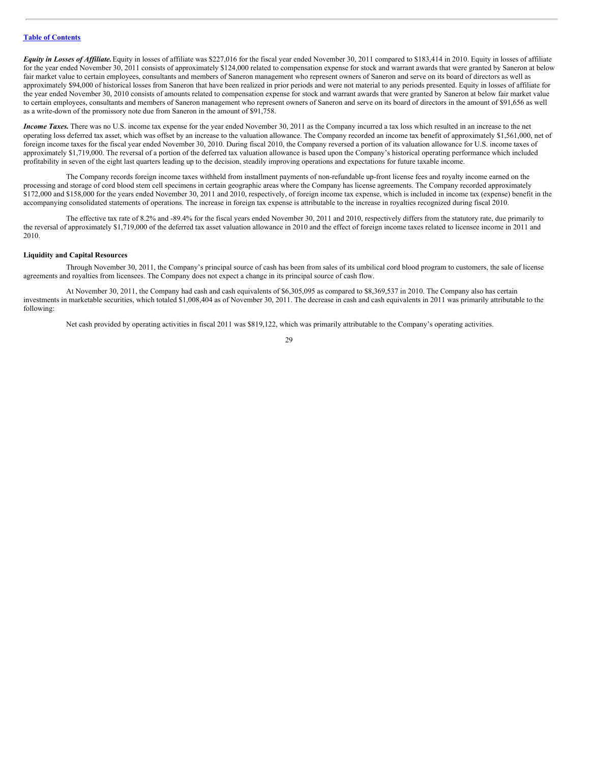*Equity in Losses of Af iliate.*Equity in losses of affiliate was \$227,016 for the fiscal year ended November 30, 2011 compared to \$183,414 in 2010. Equity in losses of affiliate for the year ended November 30, 2011 consists of approximately \$124,000 related to compensation expense for stock and warrant awards that were granted by Saneron at below fair market value to certain employees, consultants and members of Saneron management who represent owners of Saneron and serve on its board of directors as well as approximately \$94,000 of historical losses from Saneron that have been realized in prior periods and were not material to any periods presented. Equity in losses of affiliate for the year ended November 30, 2010 consists of amounts related to compensation expense for stock and warrant awards that were granted by Saneron at below fair market value to certain employees, consultants and members of Saneron management who represent owners of Saneron and serve on its board of directors in the amount of \$91,656 as well as a write-down of the promissory note due from Saneron in the amount of \$91,758.

*Income Taxes.* There was no U.S. income tax expense for the year ended November 30, 2011 as the Company incurred a tax loss which resulted in an increase to the net operating loss deferred tax asset, which was offset by an increase to the valuation allowance. The Company recorded an income tax benefit of approximately \$1,561,000, net of foreign income taxes for the fiscal year ended November 30, 2010. During fiscal 2010, the Company reversed a portion of its valuation allowance for U.S. income taxes of approximately \$1,719,000. The reversal of a portion of the deferred tax valuation allowance is based upon the Company's historical operating performance which included profitability in seven of the eight last quarters leading up to the decision, steadily improving operations and expectations for future taxable income.

The Company records foreign income taxes withheld from installment payments of non-refundable up-front license fees and royalty income earned on the processing and storage of cord blood stem cell specimens in certain geographic areas where the Company has license agreements. The Company recorded approximately \$172,000 and \$158,000 for the years ended November 30, 2011 and 2010, respectively, of foreign income tax expense, which is included in income tax (expense) benefit in the accompanying consolidated statements of operations. The increase in foreign tax expense is attributable to the increase in royalties recognized during fiscal 2010.

The effective tax rate of 8.2% and -89.4% for the fiscal years ended November 30, 2011 and 2010, respectively differs from the statutory rate, due primarily to the reversal of approximately \$1,719,000 of the deferred tax asset valuation allowance in 2010 and the effect of foreign income taxes related to licensee income in 2011 and 2010.

#### **Liquidity and Capital Resources**

Through November 30, 2011, the Company's principal source of cash has been from sales of its umbilical cord blood program to customers, the sale of license agreements and royalties from licensees. The Company does not expect a change in its principal source of cash flow.

At November 30, 2011, the Company had cash and cash equivalents of \$6,305,095 as compared to \$8,369,537 in 2010. The Company also has certain investments in marketable securities, which totaled \$1,008,404 as of November 30, 2011. The decrease in cash and cash equivalents in 2011 was primarily attributable to the following:

Net cash provided by operating activities in fiscal 2011 was \$819,122, which was primarily attributable to the Company's operating activities.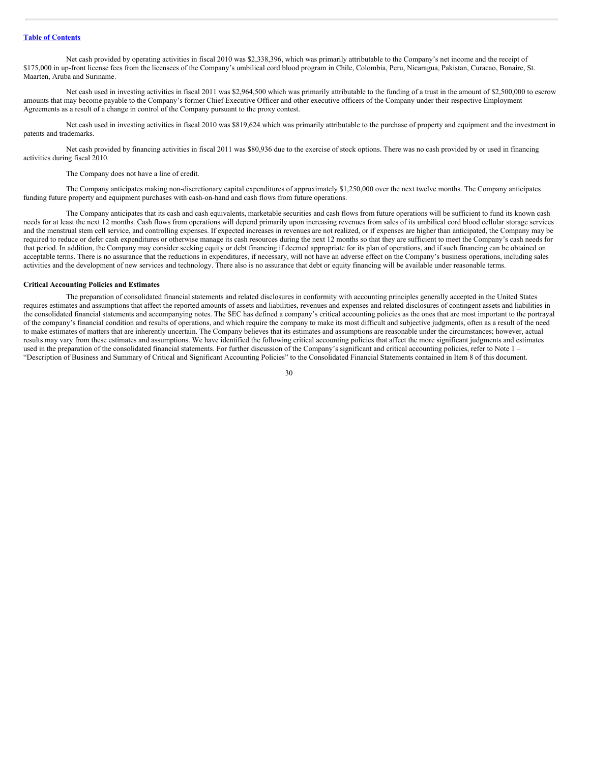Net cash provided by operating activities in fiscal 2010 was \$2,338,396, which was primarily attributable to the Company's net income and the receipt of \$175,000 in up-front license fees from the licensees of the Company's umbilical cord blood program in Chile, Colombia, Peru, Nicaragua, Pakistan, Curacao, Bonaire, St. Maarten, Aruba and Suriname.

Net cash used in investing activities in fiscal 2011 was \$2,964,500 which was primarily attributable to the funding of a trust in the amount of \$2,500,000 to escrow amounts that may become payable to the Company's former Chief Executive Officer and other executive officers of the Company under their respective Employment Agreements as a result of a change in control of the Company pursuant to the proxy contest.

Net cash used in investing activities in fiscal 2010 was \$819,624 which was primarily attributable to the purchase of property and equipment and the investment in patents and trademarks.

Net cash provided by financing activities in fiscal 2011 was \$80,936 due to the exercise of stock options. There was no cash provided by or used in financing activities during fiscal 2010.

The Company does not have a line of credit.

The Company anticipates making non-discretionary capital expenditures of approximately \$1,250,000 over the next twelve months. The Company anticipates funding future property and equipment purchases with cash-on-hand and cash flows from future operations.

The Company anticipates that its cash and cash equivalents, marketable securities and cash flows from future operations will be sufficient to fund its known cash needs for at least the next 12 months. Cash flows from operations will depend primarily upon increasing revenues from sales of its umbilical cord blood cellular storage services and the menstrual stem cell service, and controlling expenses. If expected increases in revenues are not realized, or if expenses are higher than anticipated, the Company may be required to reduce or defer cash expenditures or otherwise manage its cash resources during the next 12 months so that they are sufficient to meet the Company's cash needs for that period. In addition, the Company may consider seeking equity or debt financing if deemed appropriate for its plan of operations, and if such financing can be obtained on acceptable terms. There is no assurance that the reductions in expenditures, if necessary, will not have an adverse effect on the Company's business operations, including sales activities and the development of new services and technology. There also is no assurance that debt or equity financing will be available under reasonable terms.

#### **Critical Accounting Policies and Estimates**

The preparation of consolidated financial statements and related disclosures in conformity with accounting principles generally accepted in the United States requires estimates and assumptions that affect the reported amounts of assets and liabilities, revenues and expenses and related disclosures of contingent assets and liabilities in the consolidated financial statements and accompanying notes. The SEC has defined a company's critical accounting policies as the ones that are most important to the portrayal of the company's financial condition and results of operations, and which require the company to make its most difficult and subjective judgments, often as a result of the need to make estimates of matters that are inherently uncertain. The Company believes that its estimates and assumptions are reasonable under the circumstances; however, actual results may vary from these estimates and assumptions. We have identified the following critical accounting policies that affect the more significant judgments and estimates used in the preparation of the consolidated financial statements. For further discussion of the Company's significant and critical accounting policies, refer to Note 1 – "Description of Business and Summary of Critical and Significant Accounting Policies" to the Consolidated Financial Statements contained in Item 8 of this document.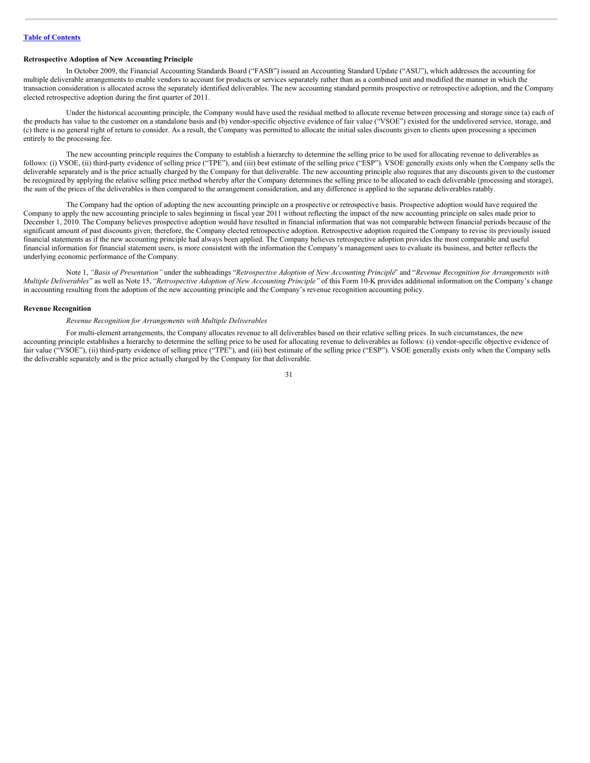#### **Retrospective Adoption of New Accounting Principle**

In October 2009, the Financial Accounting Standards Board ("FASB") issued an Accounting Standard Update ("ASU"), which addresses the accounting for multiple deliverable arrangements to enable vendors to account for products or services separately rather than as a combined unit and modified the manner in which the transaction consideration is allocated across the separately identified deliverables. The new accounting standard permits prospective or retrospective adoption, and the Company elected retrospective adoption during the first quarter of 2011.

Under the historical accounting principle, the Company would have used the residual method to allocate revenue between processing and storage since (a) each of the products has value to the customer on a standalone basis and (b) vendor-specific objective evidence of fair value ("VSOE") existed for the undelivered service, storage, and (c) there is no general right of return to consider. As a result, the Company was permitted to allocate the initial sales discounts given to clients upon processing a specimen entirely to the processing fee.

The new accounting principle requires the Company to establish a hierarchy to determine the selling price to be used for allocating revenue to deliverables as follows: (i) VSOE, (ii) third-party evidence of selling price ("TPE"), and (iii) best estimate of the selling price ("ESP"). VSOE generally exists only when the Company sells the deliverable separately and is the price actually charged by the Company for that deliverable. The new accounting principle also requires that any discounts given to the customer be recognized by applying the relative selling price method whereby after the Company determines the selling price to be allocated to each deliverable (processing and storage), the sum of the prices of the deliverables is then compared to the arrangement consideration, and any difference is applied to the separate deliverables ratably.

The Company had the option of adopting the new accounting principle on a prospective or retrospective basis. Prospective adoption would have required the Company to apply the new accounting principle to sales beginning in fiscal year 2011 without reflecting the impact of the new accounting principle on sales made prior to December 1, 2010. The Company believes prospective adoption would have resulted in financial information that was not comparable between financial periods because of the significant amount of past discounts given; therefore, the Company elected retrospective adoption. Retrospective adoption required the Company to revise its previously issued financial statements as if the new accounting principle had always been applied. The Company believes retrospective adoption provides the most comparable and useful financial information for financial statement users, is more consistent with the information the Company's management uses to evaluate its business, and better reflects the underlying economic performance of the Company.

Note 1, "Basis of Presentation" under the subheadings "Retrospective Adoption of New Accounting Principle" and "Revenue Recognition for Arrangements with *Multiple Deliverables*" as well as Note 15,*"Retrospective Adoption of New Accounting Principle"* of this Form 10-K provides additional information on the Company's change in accounting resulting from the adoption of the new accounting principle and the Company's revenue recognition accounting policy.

#### **Revenue Recognition**

## *Revenue Recognition for Arrangements with Multiple Deliverables*

For multi-element arrangements, the Company allocates revenue to all deliverables based on their relative selling prices. In such circumstances, the new accounting principle establishes a hierarchy to determine the selling price to be used for allocating revenue to deliverables as follows: (i) vendor-specific objective evidence of fair value ("VSOE"), (ii) third-party evidence of selling price ("TPE"), and (iii) best estimate of the selling price ("ESP"). VSOE generally exists only when the Company sells the deliverable separately and is the price actually charged by the Company for that deliverable.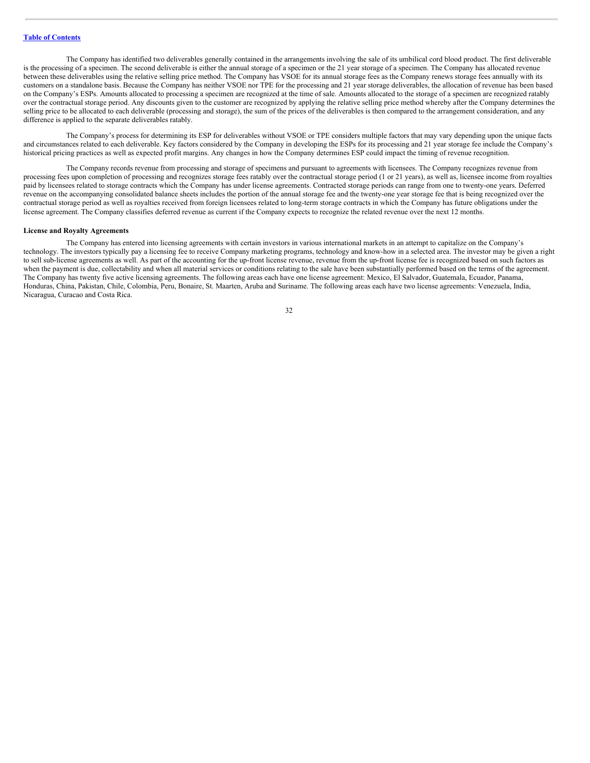The Company has identified two deliverables generally contained in the arrangements involving the sale of its umbilical cord blood product. The first deliverable is the processing of a specimen. The second deliverable is either the annual storage of a specimen or the 21 year storage of a specimen. The Company has allocated revenue between these deliverables using the relative selling price method. The Company has VSOE for its annual storage fees as the Company renews storage fees annually with its customers on a standalone basis. Because the Company has neither VSOE nor TPE for the processing and 21 year storage deliverables, the allocation of revenue has been based on the Company's ESPs. Amounts allocated to processing a specimen are recognized at the time of sale. Amounts allocated to the storage of a specimen are recognized ratably over the contractual storage period. Any discounts given to the customer are recognized by applying the relative selling price method whereby after the Company determines the selling price to be allocated to each deliverable (processing and storage), the sum of the prices of the deliverables is then compared to the arrangement consideration, and any difference is applied to the separate deliverables ratably.

The Company's process for determining its ESP for deliverables without VSOE or TPE considers multiple factors that may vary depending upon the unique facts and circumstances related to each deliverable. Key factors considered by the Company in developing the ESPs for its processing and 21 year storage fee include the Company's historical pricing practices as well as expected profit margins. Any changes in how the Company determines ESP could impact the timing of revenue recognition.

The Company records revenue from processing and storage of specimens and pursuant to agreements with licensees. The Company recognizes revenue from processing fees upon completion of processing and recognizes storage fees ratably over the contractual storage period (1 or 21 years), as well as, licensee income from royalties paid by licensees related to storage contracts which the Company has under license agreements. Contracted storage periods can range from one to twenty-one years. Deferred revenue on the accompanying consolidated balance sheets includes the portion of the annual storage fee and the twenty-one year storage fee that is being recognized over the contractual storage period as well as royalties received from foreign licensees related to long-term storage contracts in which the Company has future obligations under the license agreement. The Company classifies deferred revenue as current if the Company expects to recognize the related revenue over the next 12 months.

#### **License and Royalty Agreements**

The Company has entered into licensing agreements with certain investors in various international markets in an attempt to capitalize on the Company's technology. The investors typically pay a licensing fee to receive Company marketing programs, technology and know-how in a selected area. The investor may be given a right to sell sub-license agreements as well. As part of the accounting for the up-front license revenue, revenue from the up-front license fee is recognized based on such factors as when the payment is due, collectability and when all material services or conditions relating to the sale have been substantially performed based on the terms of the agreement. The Company has twenty five active licensing agreements. The following areas each have one license agreement: Mexico, El Salvador, Guatemala, Ecuador, Panama, Honduras, China, Pakistan, Chile, Colombia, Peru, Bonaire, St. Maarten, Aruba and Suriname. The following areas each have two license agreements: Venezuela, India, Nicaragua, Curacao and Costa Rica.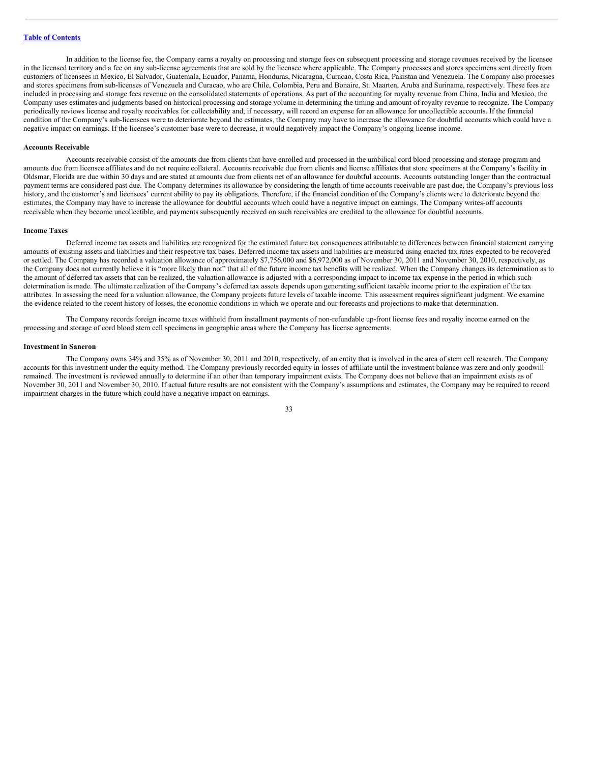In addition to the license fee, the Company earns a royalty on processing and storage fees on subsequent processing and storage revenues received by the licensee in the licensed territory and a fee on any sub-license agreements that are sold by the licensee where applicable. The Company processes and stores specimens sent directly from customers of licensees in Mexico, El Salvador, Guatemala, Ecuador, Panama, Honduras, Nicaragua, Curacao, Costa Rica, Pakistan and Venezuela. The Company also processes and stores specimens from sub-licenses of Venezuela and Curacao, who are Chile, Colombia, Peru and Bonaire, St. Maarten, Aruba and Suriname, respectively. These fees are included in processing and storage fees revenue on the consolidated statements of operations. As part of the accounting for royalty revenue from China, India and Mexico, the Company uses estimates and judgments based on historical processing and storage volume in determining the timing and amount of royalty revenue to recognize. The Company periodically reviews license and royalty receivables for collectability and, if necessary, will record an expense for an allowance for uncollectible accounts. If the financial condition of the Company's sub-licensees were to deteriorate beyond the estimates, the Company may have to increase the allowance for doubtful accounts which could have a negative impact on earnings. If the licensee's customer base were to decrease, it would negatively impact the Company's ongoing license income.

#### **Accounts Receivable**

Accounts receivable consist of the amounts due from clients that have enrolled and processed in the umbilical cord blood processing and storage program and amounts due from licensee affiliates and do not require collateral. Accounts receivable due from clients and license affiliates that store specimens at the Company's facility in Oldsmar, Florida are due within 30 days and are stated at amounts due from clients net of an allowance for doubtful accounts. Accounts outstanding longer than the contractual payment terms are considered past due. The Company determines its allowance by considering the length of time accounts receivable are past due, the Company's previous loss history, and the customer's and licensees' current ability to pay its obligations. Therefore, if the financial condition of the Company's clients were to deteriorate beyond the estimates, the Company may have to increase the allowance for doubtful accounts which could have a negative impact on earnings. The Company writes-off accounts receivable when they become uncollectible, and payments subsequently received on such receivables are credited to the allowance for doubtful accounts.

#### **Income Taxes**

Deferred income tax assets and liabilities are recognized for the estimated future tax consequences attributable to differences between financial statement carrying amounts of existing assets and liabilities and their respective tax bases. Deferred income tax assets and liabilities are measured using enacted tax rates expected to be recovered or settled. The Company has recorded a valuation allowance of approximately \$7,756,000 and \$6,972,000 as of November 30, 2011 and November 30, 2010, respectively, as the Company does not currently believe it is "more likely than not" that all of the future income tax benefits will be realized. When the Company changes its determination as to the amount of deferred tax assets that can be realized, the valuation allowance is adjusted with a corresponding impact to income tax expense in the period in which such determination is made. The ultimate realization of the Company's deferred tax assets depends upon generating sufficient taxable income prior to the expiration of the tax attributes. In assessing the need for a valuation allowance, the Company projects future levels of taxable income. This assessment requires significant judgment. We examine the evidence related to the recent history of losses, the economic conditions in which we operate and our forecasts and projections to make that determination.

The Company records foreign income taxes withheld from installment payments of non-refundable up-front license fees and royalty income earned on the processing and storage of cord blood stem cell specimens in geographic areas where the Company has license agreements.

#### **Investment in Saneron**

The Company owns 34% and 35% as of November 30, 2011 and 2010, respectively, of an entity that is involved in the area of stem cell research. The Company accounts for this investment under the equity method. The Company previously recorded equity in losses of affiliate until the investment balance was zero and only goodwill remained. The investment is reviewed annually to determine if an other than temporary impairment exists. The Company does not believe that an impairment exists as of November 30, 2011 and November 30, 2010. If actual future results are not consistent with the Company's assumptions and estimates, the Company may be required to record impairment charges in the future which could have a negative impact on earnings.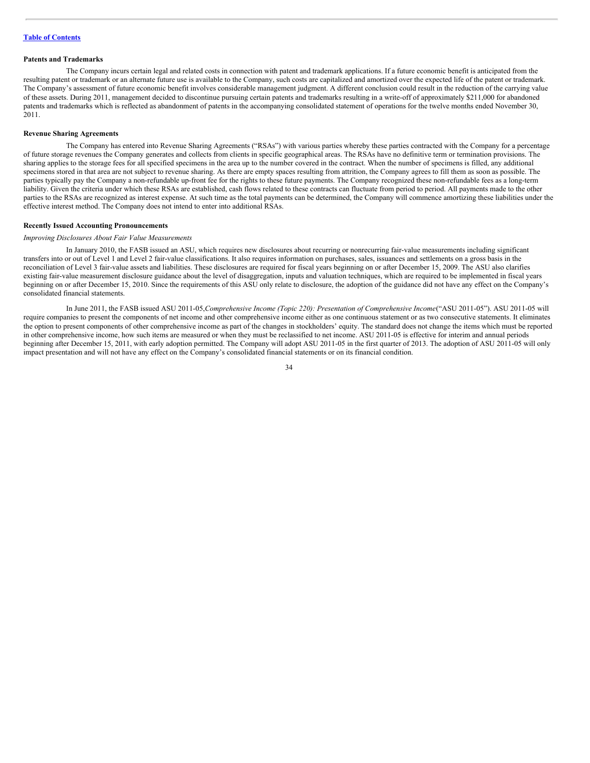#### **Patents and Trademarks**

The Company incurs certain legal and related costs in connection with patent and trademark applications. If a future economic benefit is anticipated from the resulting patent or trademark or an alternate future use is available to the Company, such costs are capitalized and amortized over the expected life of the patent or trademark. The Company's assessment of future economic benefit involves considerable management judgment. A different conclusion could result in the reduction of the carrying value of these assets. During 2011, management decided to discontinue pursuing certain patents and trademarks resulting in a write-off of approximately \$211,000 for abandoned patents and trademarks which is reflected as abandonment of patents in the accompanying consolidated statement of operations for the twelve months ended November 30, 2011.

#### **Revenue Sharing Agreements**

The Company has entered into Revenue Sharing Agreements ("RSAs") with various parties whereby these parties contracted with the Company for a percentage of future storage revenues the Company generates and collects from clients in specific geographical areas. The RSAs have no definitive term or termination provisions. The sharing applies to the storage fees for all specified specimens in the area up to the number covered in the contract. When the number of specimens is filled, any additional specimens stored in that area are not subject to revenue sharing. As there are empty spaces resulting from attrition, the Company agrees to fill them as soon as possible. The parties typically pay the Company a non-refundable up-front fee for the rights to these future payments. The Company recognized these non-refundable fees as a long-term liability. Given the criteria under which these RSAs are established, cash flows related to these contracts can fluctuate from period to period. All payments made to the other parties to the RSAs are recognized as interest expense. At such time as the total payments can be determined, the Company will commence amortizing these liabilities under the effective interest method. The Company does not intend to enter into additional RSAs.

#### **Recently Issued Accounting Pronouncements**

#### *Improving Disclosures About Fair Value Measurements*

In January 2010, the FASB issued an ASU, which requires new disclosures about recurring or nonrecurring fair-value measurements including significant transfers into or out of Level 1 and Level 2 fair-value classifications. It also requires information on purchases, sales, issuances and settlements on a gross basis in the reconciliation of Level 3 fair-value assets and liabilities. These disclosures are required for fiscal years beginning on or after December 15, 2009. The ASU also clarifies existing fair-value measurement disclosure guidance about the level of disaggregation, inputs and valuation techniques, which are required to be implemented in fiscal years beginning on or after December 15, 2010. Since the requirements of this ASU only relate to disclosure, the adoption of the guidance did not have any effect on the Company's consolidated financial statements.

In June 2011, the FASB issued ASU 2011-05,*Comprehensive Income (Topic 220): Presentation of Comprehensive Income*("ASU 2011-05"). ASU 2011-05 will require companies to present the components of net income and other comprehensive income either as one continuous statement or as two consecutive statements. It eliminates the option to present components of other comprehensive income as part of the changes in stockholders' equity. The standard does not change the items which must be reported in other comprehensive income, how such items are measured or when they must be reclassified to net income. ASU 2011-05 is effective for interim and annual periods beginning after December 15, 2011, with early adoption permitted. The Company will adopt ASU 2011-05 in the first quarter of 2013. The adoption of ASU 2011-05 will only impact presentation and will not have any effect on the Company's consolidated financial statements or on its financial condition.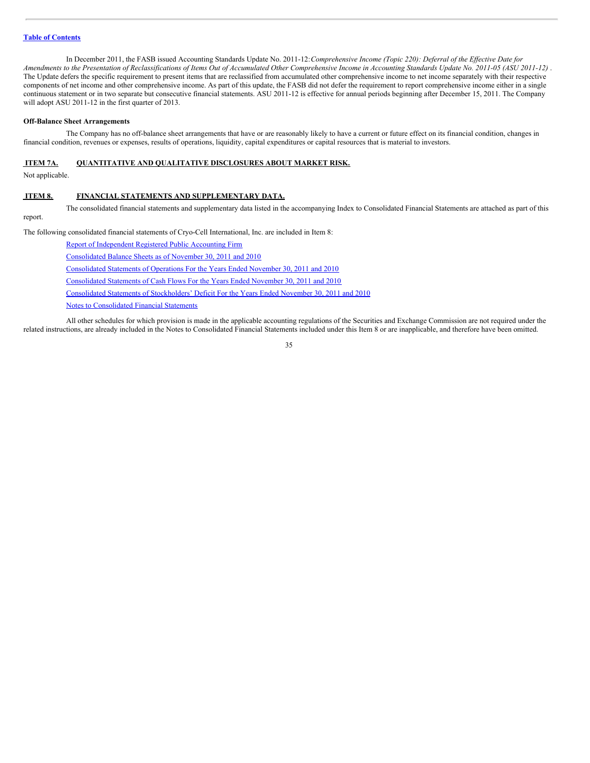In December 2011, the FASB issued Accounting Standards Update No. 2011-12:*Comprehensive Income (Topic 220): Deferral of the Ef ective Date for* Amendments to the Presentation of Reclassifications of Items Out of Accumulated Other Comprehensive Income in Accounting Standards Update No. 2011-05 (ASU 2011-12). The Update defers the specific requirement to present items that are reclassified from accumulated other comprehensive income to net income separately with their respective components of net income and other comprehensive income. As part of this update, the FASB did not defer the requirement to report comprehensive income either in a single continuous statement or in two separate but consecutive financial statements. ASU 2011-12 is effective for annual periods beginning after December 15, 2011. The Company will adopt ASU 2011-12 in the first quarter of 2013.

#### **Off-Balance Sheet Arrangements**

The Company has no off-balance sheet arrangements that have or are reasonably likely to have a current or future effect on its financial condition, changes in financial condition, revenues or expenses, results of operations, liquidity, capital expenditures or capital resources that is material to investors.

#### <span id="page-34-0"></span>**ITEM 7A. QUANTITATIVE AND QUALITATIVE DISCLOSURES ABOUT MARKET RISK.**

Not applicable.

# <span id="page-34-1"></span>**ITEM 8. FINANCIAL STATEMENTS AND SUPPLEMENTARY DATA.**

The consolidated financial statements and supplementary data listed in the accompanying Index to Consolidated Financial Statements are attached as part of this report.

The following consolidated financial statements of Cryo-Cell International, Inc. are included in Item 8:

| Report of Independent Registered Public Accounting Firm                                         |
|-------------------------------------------------------------------------------------------------|
| Consolidated Balance Sheets as of November 30, 2011 and 2010                                    |
| Consolidated Statements of Operations For the Years Ended November 30, 2011 and 2010            |
| Consolidated Statements of Cash Flows For the Years Ended November 30, 2011 and 2010            |
| Consolidated Statements of Stockholders' Deficit For the Years Ended November 30, 2011 and 2010 |
| Notes to Consolidated Financial Statements                                                      |

All other schedules for which provision is made in the applicable accounting regulations of the Securities and Exchange Commission are not required under the related instructions, are already included in the Notes to Consolidated Financial Statements included under this Item 8 or are inapplicable, and therefore have been omitted.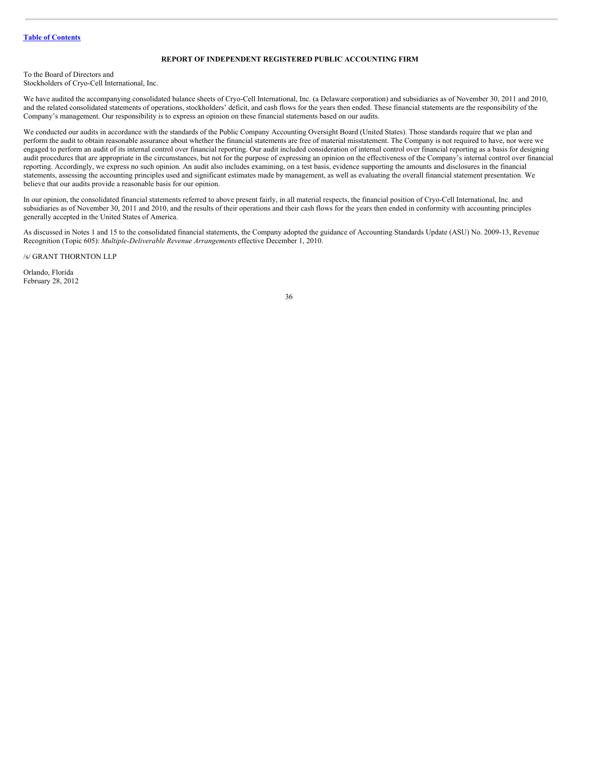# <span id="page-35-0"></span>**REPORT OF INDEPENDENT REGISTERED PUBLIC ACCOUNTING FIRM**

To the Board of Directors and Stockholders of Cryo-Cell International, Inc.

We have audited the accompanying consolidated balance sheets of Cryo-Cell International, Inc. (a Delaware corporation) and subsidiaries as of November 30, 2011 and 2010, and the related consolidated statements of operations, stockholders' deficit, and cash flows for the years then ended. These financial statements are the responsibility of the Company's management. Our responsibility is to express an opinion on these financial statements based on our audits.

We conducted our audits in accordance with the standards of the Public Company Accounting Oversight Board (United States). Those standards require that we plan and perform the audit to obtain reasonable assurance about whether the financial statements are free of material misstatement. The Company is not required to have, nor were we engaged to perform an audit of its internal control over financial reporting. Our audit included consideration of internal control over financial reporting as a basis for designing audit procedures that are appropriate in the circumstances, but not for the purpose of expressing an opinion on the effectiveness of the Company's internal control over financial reporting. Accordingly, we express no such opinion. An audit also includes examining, on a test basis, evidence supporting the amounts and disclosures in the financial statements, assessing the accounting principles used and significant estimates made by management, as well as evaluating the overall financial statement presentation. We believe that our audits provide a reasonable basis for our opinion.

In our opinion, the consolidated financial statements referred to above present fairly, in all material respects, the financial position of Cryo-Cell International, Inc. and subsidiaries as of November 30, 2011 and 2010, and the results of their operations and their cash flows for the years then ended in conformity with accounting principles generally accepted in the United States of America.

As discussed in Notes 1 and 15 to the consolidated financial statements, the Company adopted the guidance of Accounting Standards Update (ASU) No. 2009-13, Revenue Recognition (Topic 605): *Multiple-Deliverable Revenue Arrangements* effective December 1, 2010.

/s/ GRANT THORNTON LLP

Orlando, Florida February 28, 2012

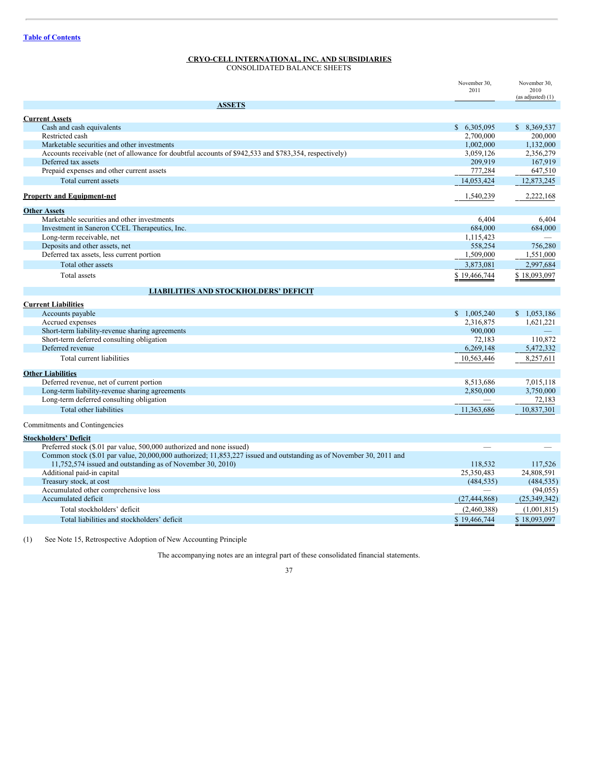# **CRYO-CELL INTERNATIONAL, INC. AND SUBSIDIARIES**

CONSOLIDATED BALANCE SHEETS

|                                                                                                                              | November 30.<br>2011  | November 30.<br>2010<br>(as adjusted) (1) |
|------------------------------------------------------------------------------------------------------------------------------|-----------------------|-------------------------------------------|
| <b>ASSETS</b>                                                                                                                |                       |                                           |
| <b>Current Assets</b>                                                                                                        |                       |                                           |
| Cash and cash equivalents                                                                                                    | \$6,305,095           | \$8,369,537                               |
| Restricted cash                                                                                                              | 2,700,000             | 200,000                                   |
| Marketable securities and other investments                                                                                  | 1,002,000             | 1,132,000                                 |
| Accounts receivable (net of allowance for doubtful accounts of \$942,533 and \$783,354, respectively)<br>Deferred tax assets | 3,059,126<br>209,919  | 2,356,279                                 |
| Prepaid expenses and other current assets                                                                                    | 777,284               | 167,919<br>647,510                        |
| Total current assets                                                                                                         | 14,053,424            | 12,873,245                                |
|                                                                                                                              |                       |                                           |
| <b>Property and Equipment-net</b>                                                                                            | 1,540,239             | 2,222,168                                 |
| <b>Other Assets</b>                                                                                                          |                       |                                           |
| Marketable securities and other investments                                                                                  | 6.404                 | 6.404                                     |
| Investment in Saneron CCEL Therapeutics, Inc.                                                                                | 684,000               | 684,000                                   |
| Long-term receivable, net<br>Deposits and other assets, net                                                                  | 1,115,423<br>558,254  | 756,280                                   |
| Deferred tax assets, less current portion                                                                                    | 1,509,000             | 1,551,000                                 |
| Total other assets                                                                                                           | 3,873,081             | 2,997,684                                 |
| Total assets                                                                                                                 | \$19,466,744          | \$18,093,097                              |
|                                                                                                                              |                       |                                           |
| <b>LIABILITIES AND STOCKHOLDERS' DEFICIT</b>                                                                                 |                       |                                           |
| <b>Current Liabilities</b>                                                                                                   |                       |                                           |
| Accounts payable                                                                                                             | \$1,005,240           | \$1,053,186                               |
| Accrued expenses                                                                                                             | 2,316,875             | 1,621,221                                 |
| Short-term liability-revenue sharing agreements                                                                              | 900,000               |                                           |
| Short-term deferred consulting obligation<br>Deferred revenue                                                                | 72,183                | 110,872                                   |
|                                                                                                                              | 6,269,148             | 5,472,332                                 |
| Total current liabilities                                                                                                    | 10,563,446            | 8,257,611                                 |
| <b>Other Liabilities</b>                                                                                                     |                       |                                           |
| Deferred revenue, net of current portion                                                                                     | 8,513,686             | 7,015,118                                 |
| Long-term liability-revenue sharing agreements                                                                               | 2,850,000             | 3,750,000                                 |
| Long-term deferred consulting obligation                                                                                     |                       | 72,183                                    |
| Total other liabilities                                                                                                      | 11,363,686            | 10,837,301                                |
| Commitments and Contingencies                                                                                                |                       |                                           |
| <b>Stockholders' Deficit</b>                                                                                                 |                       |                                           |
| Preferred stock (\$.01 par value, 500,000 authorized and none issued)                                                        |                       |                                           |
| Common stock (\$.01 par value, 20,000,000 authorized; 11,853,227 issued and outstanding as of November 30, 2011 and          |                       |                                           |
| 11,752,574 issued and outstanding as of November 30, 2010)                                                                   | 118,532<br>25,350,483 | 117.526<br>24,808,591                     |
| Additional paid-in capital<br>Treasury stock, at cost                                                                        | (484, 535)            | (484, 535)                                |
| Accumulated other comprehensive loss                                                                                         |                       | (94, 055)                                 |
| Accumulated deficit                                                                                                          | (27, 444, 868)        | (25,349,342)                              |
| Total stockholders' deficit                                                                                                  | (2,460,388)           | (1,001,815)                               |
| Total liabilities and stockholders' deficit                                                                                  | \$19,466,744          | \$18,093,097                              |
|                                                                                                                              |                       |                                           |

(1) See Note 15, Retrospective Adoption of New Accounting Principle

The accompanying notes are an integral part of these consolidated financial statements.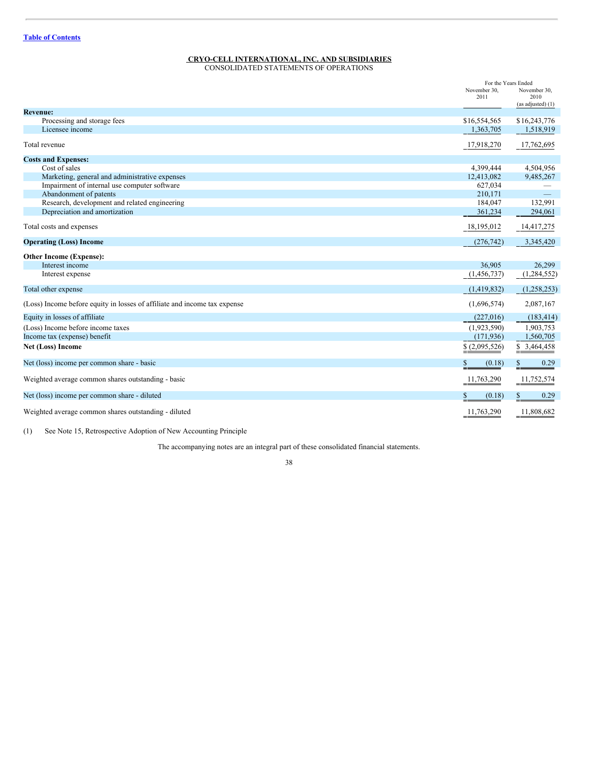#### **CRYO-CELL INTERNATIONAL, INC. AND SUBSIDIARIES** CONSOLIDATED STATEMENTS OF OPERATIONS

|                                                                           | November 30,<br>2011        | For the Years Ended<br>November 30,<br>2010<br>(as adjusted) (1) |
|---------------------------------------------------------------------------|-----------------------------|------------------------------------------------------------------|
| <b>Revenue:</b>                                                           |                             |                                                                  |
| Processing and storage fees<br>Licensee income                            | \$16,554,565<br>1,363,705   | \$16,243,776<br>1,518,919                                        |
| Total revenue                                                             | 17,918,270                  | 17,762,695                                                       |
| <b>Costs and Expenses:</b>                                                |                             |                                                                  |
| Cost of sales                                                             | 4,399,444                   | 4,504,956                                                        |
| Marketing, general and administrative expenses                            | 12,413,082                  | 9,485,267                                                        |
| Impairment of internal use computer software                              | 627,034                     |                                                                  |
| Abandonment of patents                                                    | 210,171                     |                                                                  |
| Research, development and related engineering                             | 184,047                     | 132,991                                                          |
| Depreciation and amortization                                             | 361,234                     | 294,061                                                          |
| Total costs and expenses                                                  | 18,195,012                  | 14,417,275                                                       |
| <b>Operating (Loss) Income</b>                                            | (276, 742)                  | 3,345,420                                                        |
| <b>Other Income (Expense):</b>                                            |                             |                                                                  |
| Interest income                                                           | 36,905                      | 26,299                                                           |
| Interest expense                                                          | (1,456,737)                 | (1,284,552)                                                      |
| Total other expense                                                       | (1,419,832)                 | (1, 258, 253)                                                    |
| (Loss) Income before equity in losses of affiliate and income tax expense | (1,696,574)                 | 2,087,167                                                        |
| Equity in losses of affiliate                                             | (227,016)                   | (183, 414)                                                       |
| (Loss) Income before income taxes                                         | (1,923,590)                 | 1,903,753                                                        |
| Income tax (expense) benefit                                              | (171, 936)                  | 1,560,705                                                        |
| Net (Loss) Income                                                         | $\underline{\$(2,095,526)}$ | \$3,464,458                                                      |
| Net (loss) income per common share - basic                                | \$<br>(0.18)                | 0.29<br>$\frac{1}{2}$                                            |
| Weighted average common shares outstanding - basic                        | 11,763,290                  | 11,752,574                                                       |
| Net (loss) income per common share - diluted                              | S<br>(0.18)                 | 0.29<br>\$.                                                      |
| Weighted average common shares outstanding - diluted                      | 11,763,290                  | 11,808,682                                                       |

(1) See Note 15, Retrospective Adoption of New Accounting Principle

The accompanying notes are an integral part of these consolidated financial statements.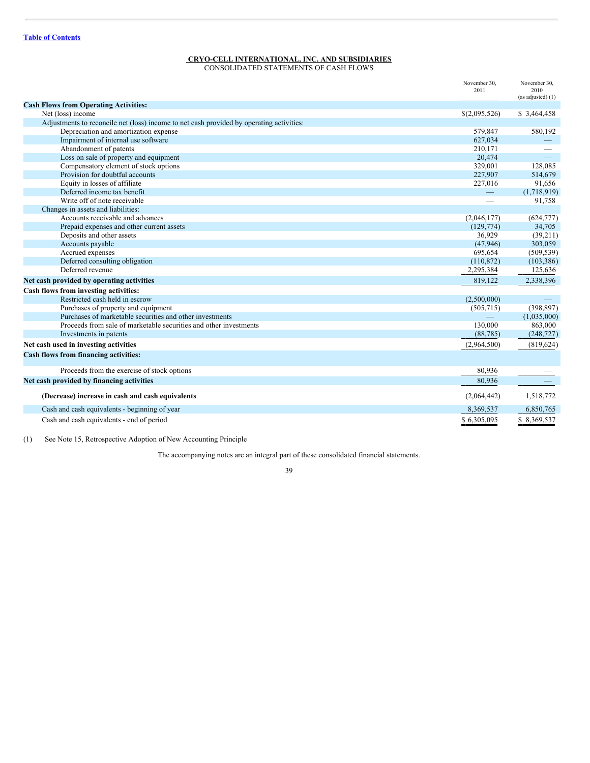# **CRYO-CELL INTERNATIONAL, INC. AND SUBSIDIARIES**

CONSOLIDATED STATEMENTS OF CASH FLOWS

|                                                                                          | November 30,<br>2011 | November 30,<br>2010<br>(as adjusted) (1) |
|------------------------------------------------------------------------------------------|----------------------|-------------------------------------------|
| <b>Cash Flows from Operating Activities:</b>                                             |                      |                                           |
| Net (loss) income                                                                        | \$(2,095,526)        | \$ 3,464,458                              |
| Adjustments to reconcile net (loss) income to net cash provided by operating activities: |                      |                                           |
| Depreciation and amortization expense                                                    | 579,847              | 580,192                                   |
| Impairment of internal use software                                                      | 627,034              |                                           |
| Abandonment of patents                                                                   | 210,171              |                                           |
| Loss on sale of property and equipment                                                   | 20.474               | $\overline{\phantom{0}}$                  |
| Compensatory element of stock options                                                    | 329,001              | 128,085                                   |
| Provision for doubtful accounts                                                          | 227,907              | 514,679                                   |
| Equity in losses of affiliate                                                            | 227,016              | 91,656                                    |
| Deferred income tax benefit                                                              | $\qquad \qquad -$    | (1,718,919)                               |
| Write off of note receivable                                                             |                      | 91,758                                    |
| Changes in assets and liabilities:                                                       |                      |                                           |
| Accounts receivable and advances                                                         | (2,046,177)          | (624, 777)                                |
| Prepaid expenses and other current assets                                                | (129, 774)           | 34,705                                    |
| Deposits and other assets                                                                | 36.929               | (39,211)                                  |
| Accounts payable                                                                         | (47,946)             | 303,059                                   |
| Accrued expenses                                                                         | 695,654              | (509, 539)                                |
| Deferred consulting obligation                                                           | (110, 872)           | (103, 386)                                |
| Deferred revenue                                                                         | 2,295,384            | 125,636                                   |
| Net cash provided by operating activities                                                | 819,122              | 2,338,396                                 |
| Cash flows from investing activities:                                                    |                      |                                           |
| Restricted cash held in escrow                                                           | (2,500,000)          |                                           |
| Purchases of property and equipment                                                      | (505, 715)           | (398, 897)                                |
| Purchases of marketable securities and other investments                                 |                      | (1,035,000)                               |
| Proceeds from sale of marketable securities and other investments                        | 130,000              | 863,000                                   |
| Investments in patents                                                                   | (88, 785)            | (248, 727)                                |
| Net cash used in investing activities                                                    | (2,964,500)          | (819, 624)                                |
| Cash flows from financing activities:                                                    |                      |                                           |
| Proceeds from the exercise of stock options                                              | 80,936               |                                           |
| Net cash provided by financing activities                                                | 80,936               |                                           |
| (Decrease) increase in cash and cash equivalents                                         | (2,064,442)          | 1,518,772                                 |
| Cash and cash equivalents - beginning of year                                            | 8,369,537            | 6,850,765                                 |
| Cash and cash equivalents - end of period                                                | \$6,305,095          | \$8,369,537                               |

(1) See Note 15, Retrospective Adoption of New Accounting Principle

The accompanying notes are an integral part of these consolidated financial statements.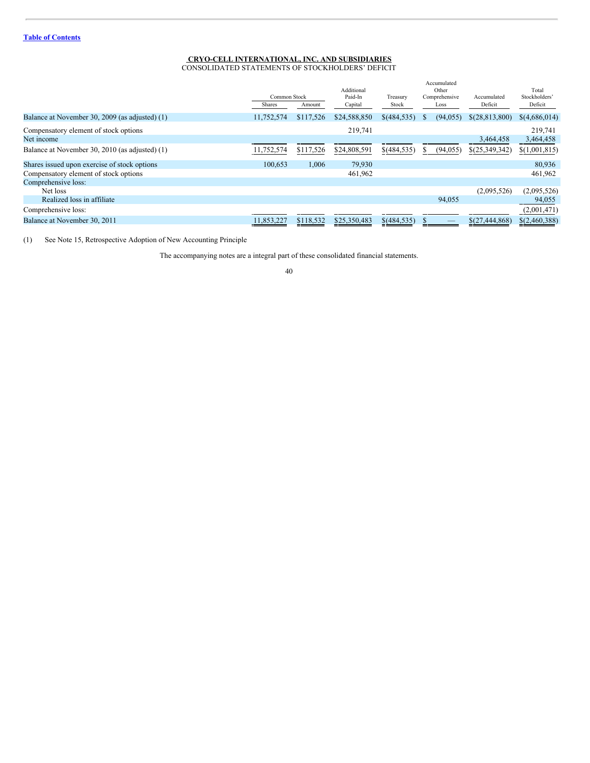# **CRYO-CELL INTERNATIONAL, INC. AND SUBSIDIARIES**

CONSOLIDATED STATEMENTS OF STOCKHOLDERS' DEFICIT

|                                                | Common Stock<br>Shares | Amount    | Additional<br>Paid-In<br>Capital | Treasury<br>Stock | Accumulated<br>Other<br>Comprehensive<br>Loss | Accumulated<br>Deficit | Total<br>Stockholders'<br>Deficit |
|------------------------------------------------|------------------------|-----------|----------------------------------|-------------------|-----------------------------------------------|------------------------|-----------------------------------|
| Balance at November 30, 2009 (as adjusted) (1) | 11,752,574             | \$117,526 | \$24,588,850                     | $$$ (484,535)     | (94, 055)<br>$\mathcal{P}$                    | \$(28,813,800)         | \$(4,686,014)                     |
| Compensatory element of stock options          |                        |           | 219,741                          |                   |                                               |                        | 219.741                           |
| Net income                                     |                        |           |                                  |                   |                                               | 3,464,458              | 3,464,458                         |
| Balance at November 30, 2010 (as adjusted) (1) | 11,752,574             | \$117,526 | \$24,808,591                     | \$(484,535)       | (94, 055)<br>S.                               | \$(25,349,342)         | \$(1,001,815)                     |
| Shares issued upon exercise of stock options   | 100.653                | 1,006     | 79,930                           |                   |                                               |                        | 80,936                            |
| Compensatory element of stock options          |                        |           | 461,962                          |                   |                                               |                        | 461,962                           |
| Comprehensive loss:                            |                        |           |                                  |                   |                                               |                        |                                   |
| Net loss                                       |                        |           |                                  |                   |                                               | (2,095,526)            | (2,095,526)                       |
| Realized loss in affiliate                     |                        |           |                                  |                   | 94,055                                        |                        | 94,055                            |
| Comprehensive loss:                            |                        |           |                                  |                   |                                               |                        | (2,001,471)                       |
| Balance at November 30, 2011                   | 11,853,227             | \$118,532 | \$25,350,483                     | \$(484,535)       |                                               | \$(27,444,868)         | \$(2,460,388)                     |

(1) See Note 15, Retrospective Adoption of New Accounting Principle

The accompanying notes are a integral part of these consolidated financial statements.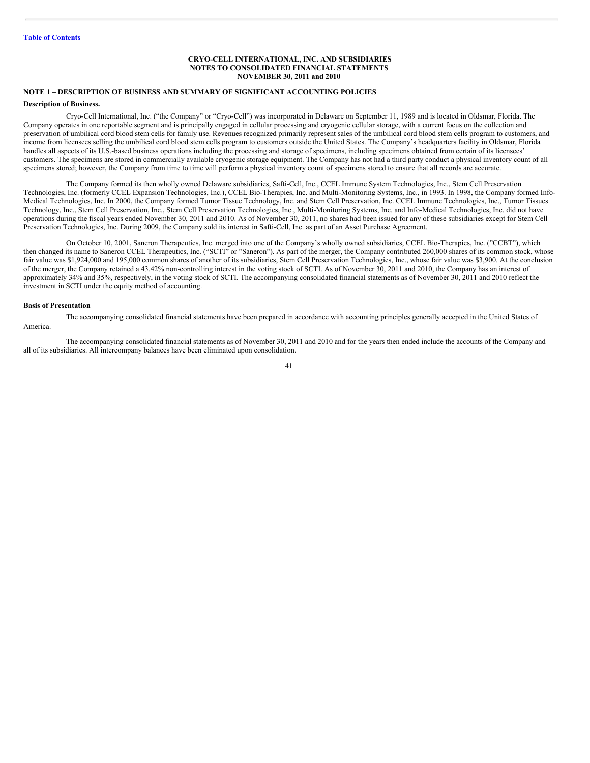### **CRYO-CELL INTERNATIONAL, INC. AND SUBSIDIARIES NOTES TO CONSOLIDATED FINANCIAL STATEMENTS NOVEMBER 30, 2011 and 2010**

# **NOTE 1 – DESCRIPTION OF BUSINESS AND SUMMARY OF SIGNIFICANT ACCOUNTING POLICIES**

## **Description of Business.**

Cryo-Cell International, Inc. ("the Company" or "Cryo-Cell") was incorporated in Delaware on September 11, 1989 and is located in Oldsmar, Florida. The Company operates in one reportable segment and is principally engaged in cellular processing and cryogenic cellular storage, with a current focus on the collection and preservation of umbilical cord blood stem cells for family use. Revenues recognized primarily represent sales of the umbilical cord blood stem cells program to customers, and income from licensees selling the umbilical cord blood stem cells program to customers outside the United States. The Company's headquarters facility in Oldsmar, Florida handles all aspects of its U.S.-based business operations including the processing and storage of specimens, including specimens obtained from certain of its licensees' customers. The specimens are stored in commercially available cryogenic storage equipment. The Company has not had a third party conduct a physical inventory count of all specimens stored; however, the Company from time to time will perform a physical inventory count of specimens stored to ensure that all records are accurate.

The Company formed its then wholly owned Delaware subsidiaries, Safti-Cell, Inc., CCEL Immune System Technologies, Inc., Stem Cell Preservation Technologies, Inc. (formerly CCEL Expansion Technologies, Inc.), CCEL Bio-Therapies, Inc. and Multi-Monitoring Systems, Inc., in 1993. In 1998, the Company formed Info-Medical Technologies, Inc. In 2000, the Company formed Tumor Tissue Technology, Inc. and Stem Cell Preservation, Inc. CCEL Immune Technologies, Inc., Tumor Tissues Technology, Inc., Stem Cell Preservation, Inc., Stem Cell Preservation Technologies, Inc., Multi-Monitoring Systems, Inc. and Info-Medical Technologies, Inc. did not have operations during the fiscal years ended November 30, 2011 and 2010. As of November 30, 2011, no shares had been issued for any of these subsidiaries except for Stem Cell Preservation Technologies, Inc. During 2009, the Company sold its interest in Safti-Cell, Inc. as part of an Asset Purchase Agreement.

On October 10, 2001, Saneron Therapeutics, Inc. merged into one of the Company's wholly owned subsidiaries, CCEL Bio-Therapies, Inc. ("CCBT"), which then changed its name to Saneron CCEL Therapeutics, Inc. ("SCTI" or "Saneron"). As part of the merger, the Company contributed 260,000 shares of its common stock, whose fair value was \$1,924,000 and 195,000 common shares of another of its subsidiaries, Stem Cell Preservation Technologies, Inc., whose fair value was \$3,900. At the conclusion of the merger, the Company retained a 43.42% non-controlling interest in the voting stock of SCTI. As of November 30, 2011 and 2010, the Company has an interest of approximately 34% and 35%, respectively, in the voting stock of SCTI. The accompanying consolidated financial statements as of November 30, 2011 and 2010 reflect the investment in SCTI under the equity method of accounting.

#### **Basis of Presentation**

The accompanying consolidated financial statements have been prepared in accordance with accounting principles generally accepted in the United States of America.

The accompanying consolidated financial statements as of November 30, 2011 and 2010 and for the years then ended include the accounts of the Company and all of its subsidiaries. All intercompany balances have been eliminated upon consolidation.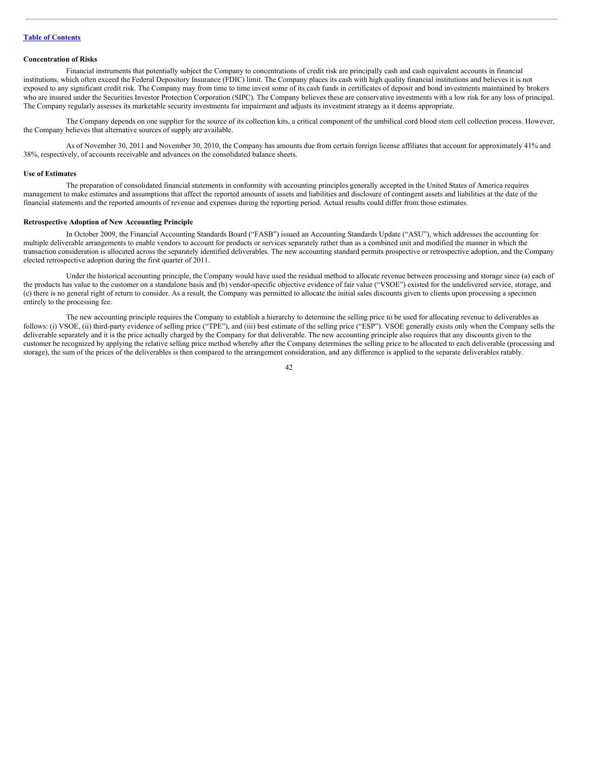### **Concentration of Risks**

Financial instruments that potentially subject the Company to concentrations of credit risk are principally cash and cash equivalent accounts in financial institutions, which often exceed the Federal Depository Insurance (FDIC) limit. The Company places its cash with high quality financial institutions and believes it is not exposed to any significant credit risk. The Company may from time to time invest some of its cash funds in certificates of deposit and bond investments maintained by brokers who are insured under the Securities Investor Protection Corporation (SIPC). The Company believes these are conservative investments with a low risk for any loss of principal. The Company regularly assesses its marketable security investments for impairment and adjusts its investment strategy as it deems appropriate.

The Company depends on one supplier for the source of its collection kits, a critical component of the umbilical cord blood stem cell collection process. However, the Company believes that alternative sources of supply are available.

As of November 30, 2011 and November 30, 2010, the Company has amounts due from certain foreign license affiliates that account for approximately 41% and 38%, respectively, of accounts receivable and advances on the consolidated balance sheets.

# **Use of Estimates**

The preparation of consolidated financial statements in conformity with accounting principles generally accepted in the United States of America requires management to make estimates and assumptions that affect the reported amounts of assets and liabilities and disclosure of contingent assets and liabilities at the date of the financial statements and the reported amounts of revenue and expenses during the reporting period. Actual results could differ from those estimates.

### **Retrospective Adoption of New Accounting Principle**

In October 2009, the Financial Accounting Standards Board ("FASB") issued an Accounting Standards Update ("ASU"), which addresses the accounting for multiple deliverable arrangements to enable vendors to account for products or services separately rather than as a combined unit and modified the manner in which the transaction consideration is allocated across the separately identified deliverables. The new accounting standard permits prospective or retrospective adoption, and the Company elected retrospective adoption during the first quarter of 2011.

Under the historical accounting principle, the Company would have used the residual method to allocate revenue between processing and storage since (a) each of the products has value to the customer on a standalone basis and (b) vendor-specific objective evidence of fair value ("VSOE") existed for the undelivered service, storage, and (c) there is no general right of return to consider. As a result, the Company was permitted to allocate the initial sales discounts given to clients upon processing a specimen entirely to the processing fee.

The new accounting principle requires the Company to establish a hierarchy to determine the selling price to be used for allocating revenue to deliverables as follows: (i) VSOE, (ii) third-party evidence of selling price ("TPE"), and (iii) best estimate of the selling price ("ESP"). VSOE generally exists only when the Company sells the deliverable separately and it is the price actually charged by the Company for that deliverable. The new accounting principle also requires that any discounts given to the customer be recognized by applying the relative selling price method whereby after the Company determines the selling price to be allocated to each deliverable (processing and storage), the sum of the prices of the deliverables is then compared to the arrangement consideration, and any difference is applied to the separate deliverables ratably.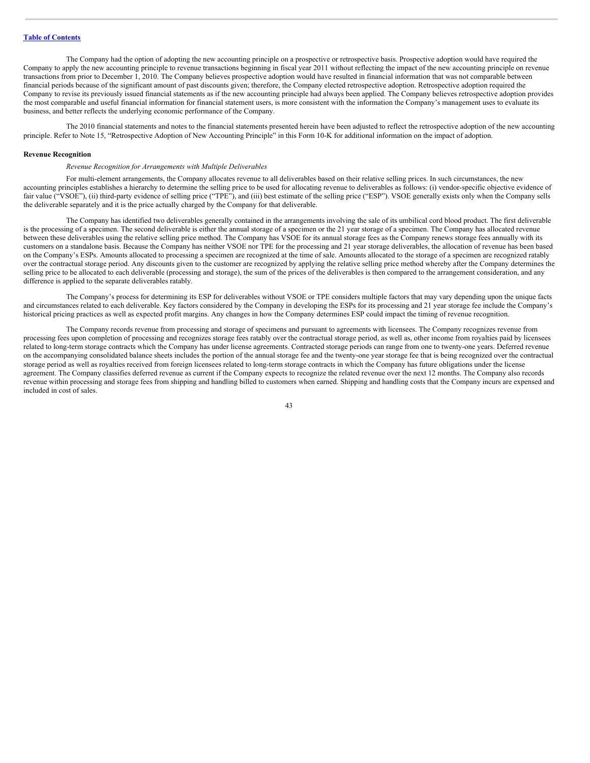The Company had the option of adopting the new accounting principle on a prospective or retrospective basis. Prospective adoption would have required the Company to apply the new accounting principle to revenue transactions beginning in fiscal year 2011 without reflecting the impact of the new accounting principle on revenue transactions from prior to December 1, 2010. The Company believes prospective adoption would have resulted in financial information that was not comparable between financial periods because of the significant amount of past discounts given; therefore, the Company elected retrospective adoption. Retrospective adoption required the Company to revise its previously issued financial statements as if the new accounting principle had always been applied. The Company believes retrospective adoption provides the most comparable and useful financial information for financial statement users, is more consistent with the information the Company's management uses to evaluate its business, and better reflects the underlying economic performance of the Company.

The 2010 financial statements and notes to the financial statements presented herein have been adjusted to reflect the retrospective adoption of the new accounting principle. Refer to Note 15, "Retrospective Adoption of New Accounting Principle" in this Form 10-K for additional information on the impact of adoption.

#### **Revenue Recognition**

#### *Revenue Recognition for Arrangements with Multiple Deliverables*

For multi-element arrangements, the Company allocates revenue to all deliverables based on their relative selling prices. In such circumstances, the new accounting principles establishes a hierarchy to determine the selling price to be used for allocating revenue to deliverables as follows: (i) vendor-specific objective evidence of fair value ("VSOE"), (ii) third-party evidence of selling price ("TPE"), and (iii) best estimate of the selling price ("ESP"). VSOE generally exists only when the Company sells the deliverable separately and it is the price actually charged by the Company for that deliverable.

The Company has identified two deliverables generally contained in the arrangements involving the sale of its umbilical cord blood product. The first deliverable is the processing of a specimen. The second deliverable is either the annual storage of a specimen or the 21 year storage of a specimen. The Company has allocated revenue between these deliverables using the relative selling price method. The Company has VSOE for its annual storage fees as the Company renews storage fees annually with its customers on a standalone basis. Because the Company has neither VSOE nor TPE for the processing and 21 year storage deliverables, the allocation of revenue has been based on the Company's ESPs. Amounts allocated to processing a specimen are recognized at the time of sale. Amounts allocated to the storage of a specimen are recognized ratably over the contractual storage period. Any discounts given to the customer are recognized by applying the relative selling price method whereby after the Company determines the selling price to be allocated to each deliverable (processing and storage), the sum of the prices of the deliverables is then compared to the arrangement consideration, and any difference is applied to the separate deliverables ratably.

The Company's process for determining its ESP for deliverables without VSOE or TPE considers multiple factors that may vary depending upon the unique facts and circumstances related to each deliverable. Key factors considered by the Company in developing the ESPs for its processing and 21 year storage fee include the Company's historical pricing practices as well as expected profit margins. Any changes in how the Company determines ESP could impact the timing of revenue recognition.

The Company records revenue from processing and storage of specimens and pursuant to agreements with licensees. The Company recognizes revenue from processing fees upon completion of processing and recognizes storage fees ratably over the contractual storage period, as well as, other income from royalties paid by licensees related to long-term storage contracts which the Company has under license agreements. Contracted storage periods can range from one to twenty-one years. Deferred revenue on the accompanying consolidated balance sheets includes the portion of the annual storage fee and the twenty-one year storage fee that is being recognized over the contractual storage period as well as royalties received from foreign licensees related to long-term storage contracts in which the Company has future obligations under the license agreement. The Company classifies deferred revenue as current if the Company expects to recognize the related revenue over the next 12 months. The Company also records revenue within processing and storage fees from shipping and handling billed to customers when earned. Shipping and handling costs that the Company incurs are expensed and included in cost of sales.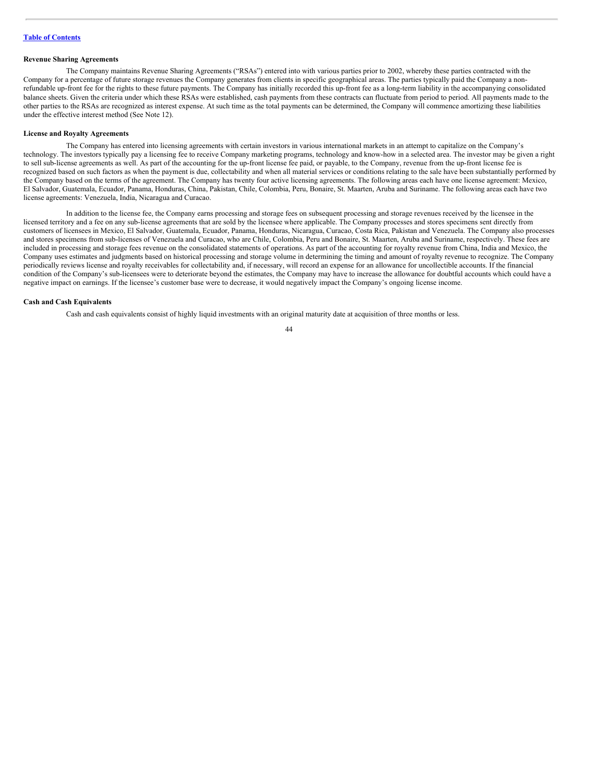## **Revenue Sharing Agreements**

The Company maintains Revenue Sharing Agreements ("RSAs") entered into with various parties prior to 2002, whereby these parties contracted with the Company for a percentage of future storage revenues the Company generates from clients in specific geographical areas. The parties typically paid the Company a nonrefundable up-front fee for the rights to these future payments. The Company has initially recorded this up-front fee as a long-term liability in the accompanying consolidated balance sheets. Given the criteria under which these RSAs were established, cash payments from these contracts can fluctuate from period to period. All payments made to the other parties to the RSAs are recognized as interest expense. At such time as the total payments can be determined, the Company will commence amortizing these liabilities under the effective interest method (See Note 12).

#### **License and Royalty Agreements**

The Company has entered into licensing agreements with certain investors in various international markets in an attempt to capitalize on the Company's technology. The investors typically pay a licensing fee to receive Company marketing programs, technology and know-how in a selected area. The investor may be given a right to sell sub-license agreements as well. As part of the accounting for the up-front license fee paid, or payable, to the Company, revenue from the up-front license fee is recognized based on such factors as when the payment is due, collectability and when all material services or conditions relating to the sale have been substantially performed by the Company based on the terms of the agreement. The Company has twenty four active licensing agreements. The following areas each have one license agreement: Mexico, El Salvador, Guatemala, Ecuador, Panama, Honduras, China, Pakistan, Chile, Colombia, Peru, Bonaire, St. Maarten, Aruba and Suriname. The following areas each have two license agreements: Venezuela, India, Nicaragua and Curacao.

In addition to the license fee, the Company earns processing and storage fees on subsequent processing and storage revenues received by the licensee in the licensed territory and a fee on any sub-license agreements that are sold by the licensee where applicable. The Company processes and stores specimens sent directly from customers of licensees in Mexico, El Salvador, Guatemala, Ecuador, Panama, Honduras, Nicaragua, Curacao, Costa Rica, Pakistan and Venezuela. The Company also processes and stores specimens from sub-licenses of Venezuela and Curacao, who are Chile, Colombia, Peru and Bonaire, St. Maarten, Aruba and Suriname, respectively. These fees are included in processing and storage fees revenue on the consolidated statements of operations. As part of the accounting for royalty revenue from China, India and Mexico, the Company uses estimates and judgments based on historical processing and storage volume in determining the timing and amount of royalty revenue to recognize. The Company periodically reviews license and royalty receivables for collectability and, if necessary, will record an expense for an allowance for uncollectible accounts. If the financial condition of the Company's sub-licensees were to deteriorate beyond the estimates, the Company may have to increase the allowance for doubtful accounts which could have a negative impact on earnings. If the licensee's customer base were to decrease, it would negatively impact the Company's ongoing license income.

### **Cash and Cash Equivalents**

Cash and cash equivalents consist of highly liquid investments with an original maturity date at acquisition of three months or less.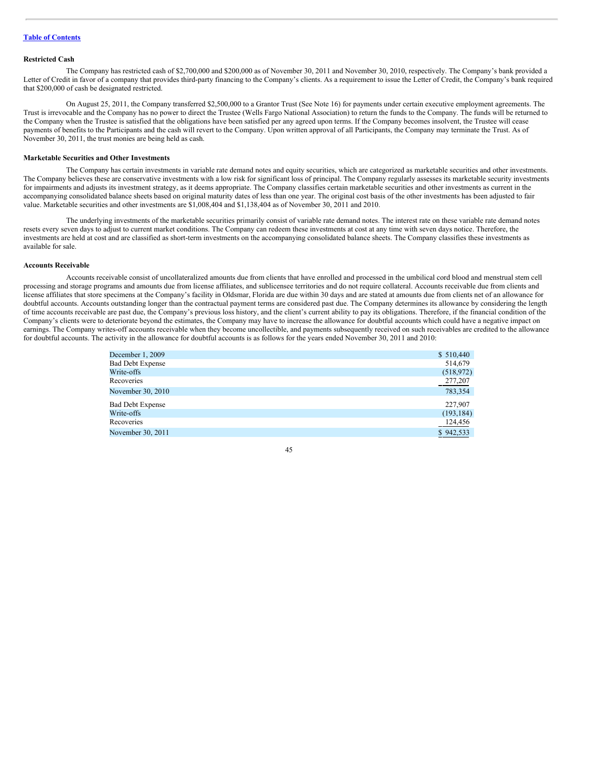### **Restricted Cash**

The Company has restricted cash of \$2,700,000 and \$200,000 as of November 30, 2011 and November 30, 2010, respectively. The Company's bank provided a Letter of Credit in favor of a company that provides third-party financing to the Company's clients. As a requirement to issue the Letter of Credit, the Company's bank required that \$200,000 of cash be designated restricted.

On August 25, 2011, the Company transferred \$2,500,000 to a Grantor Trust (See Note 16) for payments under certain executive employment agreements. The Trust is irrevocable and the Company has no power to direct the Trustee (Wells Fargo National Association) to return the funds to the Company. The funds will be returned to the Company when the Trustee is satisfied that the obligations have been satisfied per any agreed upon terms. If the Company becomes insolvent, the Trustee will cease payments of benefits to the Participants and the cash will revert to the Company. Upon written approval of all Participants, the Company may terminate the Trust. As of November 30, 2011, the trust monies are being held as cash.

### **Marketable Securities and Other Investments**

The Company has certain investments in variable rate demand notes and equity securities, which are categorized as marketable securities and other investments. The Company believes these are conservative investments with a low risk for significant loss of principal. The Company regularly assesses its marketable security investments for impairments and adjusts its investment strategy, as it deems appropriate. The Company classifies certain marketable securities and other investments as current in the accompanying consolidated balance sheets based on original maturity dates of less than one year. The original cost basis of the other investments has been adjusted to fair value. Marketable securities and other investments are \$1,008,404 and \$1,138,404 as of November 30, 2011 and 2010.

The underlying investments of the marketable securities primarily consist of variable rate demand notes. The interest rate on these variable rate demand notes resets every seven days to adjust to current market conditions. The Company can redeem these investments at cost at any time with seven days notice. Therefore, the investments are held at cost and are classified as short-term investments on the accompanying consolidated balance sheets. The Company classifies these investments as available for sale.

### **Accounts Receivable**

Accounts receivable consist of uncollateralized amounts due from clients that have enrolled and processed in the umbilical cord blood and menstrual stem cell processing and storage programs and amounts due from license affiliates, and sublicensee territories and do not require collateral. Accounts receivable due from clients and license affiliates that store specimens at the Company's facility in Oldsmar, Florida are due within 30 days and are stated at amounts due from clients net of an allowance for doubtful accounts. Accounts outstanding longer than the contractual payment terms are considered past due. The Company determines its allowance by considering the length of time accounts receivable are past due, the Company's previous loss history, and the client's current ability to pay its obligations. Therefore, if the financial condition of the Company's clients were to deteriorate beyond the estimates, the Company may have to increase the allowance for doubtful accounts which could have a negative impact on earnings. The Company writes-off accounts receivable when they become uncollectible, and payments subsequently received on such receivables are credited to the allowance for doubtful accounts. The activity in the allowance for doubtful accounts is as follows for the years ended November 30, 2011 and 2010:

| December 1, 2009        | \$510,440  |
|-------------------------|------------|
| <b>Bad Debt Expense</b> | 514,679    |
| Write-offs              | (518, 972) |
| Recoveries              | 277,207    |
| November 30, 2010       | 783,354    |
| <b>Bad Debt Expense</b> | 227,907    |
| Write-offs              | (193, 184) |
| Recoveries              | 124,456    |
| November 30, 2011       | \$942,533  |
|                         |            |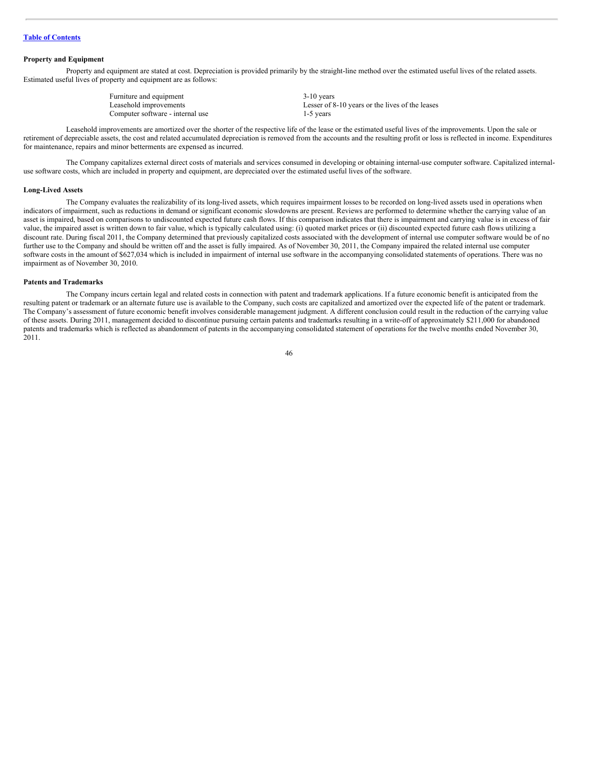### **Property and Equipment**

Property and equipment are stated at cost. Depreciation is provided primarily by the straight-line method over the estimated useful lives of the related assets. Estimated useful lives of property and equipment are as follows:

| Furniture and equipment          | $3-10$ years                                    |
|----------------------------------|-------------------------------------------------|
| Leasehold improvements           | Lesser of 8-10 years or the lives of the leases |
| Computer software - internal use | $1-5$ years                                     |

Leasehold improvements are amortized over the shorter of the respective life of the lease or the estimated useful lives of the improvements. Upon the sale or retirement of depreciable assets, the cost and related accumulated depreciation is removed from the accounts and the resulting profit or loss is reflected in income. Expenditures for maintenance, repairs and minor betterments are expensed as incurred.

The Company capitalizes external direct costs of materials and services consumed in developing or obtaining internal-use computer software. Capitalized internaluse software costs, which are included in property and equipment, are depreciated over the estimated useful lives of the software.

### **Long-Lived Assets**

The Company evaluates the realizability of its long-lived assets, which requires impairment losses to be recorded on long-lived assets used in operations when indicators of impairment, such as reductions in demand or significant economic slowdowns are present. Reviews are performed to determine whether the carrying value of an asset is impaired, based on comparisons to undiscounted expected future cash flows. If this comparison indicates that there is impairment and carrying value is in excess of fair value, the impaired asset is written down to fair value, which is typically calculated using: (i) quoted market prices or (ii) discounted expected future cash flows utilizing a discount rate. During fiscal 2011, the Company determined that previously capitalized costs associated with the development of internal use computer software would be of no further use to the Company and should be written off and the asset is fully impaired. As of November 30, 2011, the Company impaired the related internal use computer software costs in the amount of \$627,034 which is included in impairment of internal use software in the accompanying consolidated statements of operations. There was no impairment as of November 30, 2010.

### **Patents and Trademarks**

The Company incurs certain legal and related costs in connection with patent and trademark applications. If a future economic benefit is anticipated from the resulting patent or trademark or an alternate future use is available to the Company, such costs are capitalized and amortized over the expected life of the patent or trademark. The Company's assessment of future economic benefit involves considerable management judgment. A different conclusion could result in the reduction of the carrying value of these assets. During 2011, management decided to discontinue pursuing certain patents and trademarks resulting in a write-off of approximately \$211,000 for abandoned patents and trademarks which is reflected as abandonment of patents in the accompanying consolidated statement of operations for the twelve months ended November 30, 2011.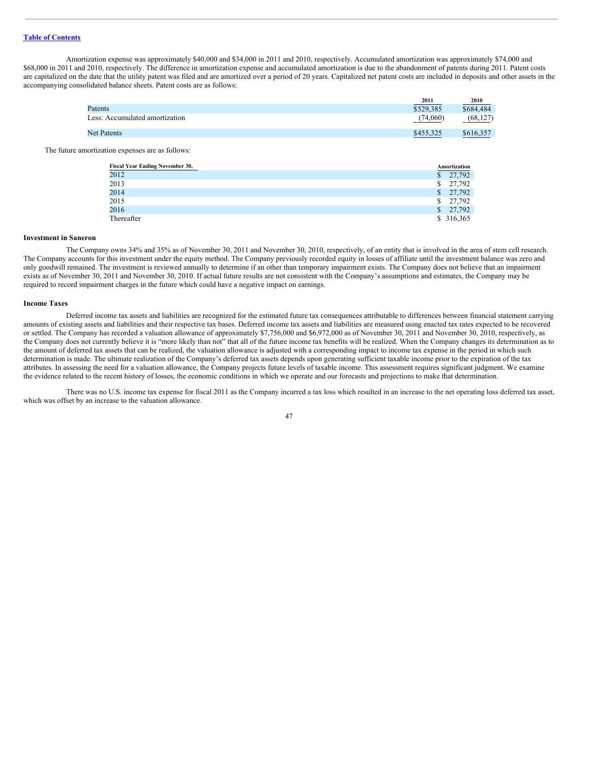Amortization expense was approximately \$40,000 and \$34,000 in 2011 and 2010, respectively. Accumulated amortization was approximately \$74,000 and \$68,000 in 2011 and 2010, respectively. The difference in amortization expense and accumulated amortization is due to the abandonment of patents during 2011. Patent costs are capitalized on the date that the utility patent was filed and are amortized over a period of 20 years. Capitalized net patent costs are included in deposits and other assets in the accompanying consolidated balance sheets. Patent costs are as follows:

|                                | 2011      | 2010      |
|--------------------------------|-----------|-----------|
| Patents                        | \$529,385 | \$684,484 |
| Less: Accumulated amortization | (74.060)  | (68, 127) |
| <b>Net Patents</b>             | \$455,325 | \$616,357 |

The future amortization expenses are as follows:

| <b>Fiscal Year Ending November 30,</b> | Amortization       |
|----------------------------------------|--------------------|
| 2012                                   | $\frac{1}{27.792}$ |
| 2013                                   | \$27,792           |
| 2014                                   | $\frac{1}{27.792}$ |
| 2015                                   | \$27,792           |
| 2016                                   | \$27,792           |
| Thereafter                             | \$ 316,365         |

### **Investment in Saneron**

The Company owns 34% and 35% as of November 30, 2011 and November 30, 2010, respectively, of an entity that is involved in the area of stem cell research. The Company accounts for this investment under the equity method. The Company previously recorded equity in losses of affiliate until the investment balance was zero and only goodwill remained. The investment is reviewed annually to determine if an other than temporary impairment exists. The Company does not believe that an impairment exists as of November 30, 2011 and November 30, 2010. If actual future results are not consistent with the Company's assumptions and estimates, the Company may be required to record impairment charges in the future which could have a negative impact on earnings.

#### **Income Taxes**

Deferred income tax assets and liabilities are recognized for the estimated future tax consequences attributable to differences between financial statement carrying amounts of existing assets and liabilities and their respective tax bases. Deferred income tax assets and liabilities are measured using enacted tax rates expected to be recovered or settled. The Company has recorded a valuation allowance of approximately \$7,756,000 and \$6,972,000 as of November 30, 2011 and November 30, 2010, respectively, as the Company does not currently believe it is "more likely than not" that all of the future income tax benefits will be realized. When the Company changes its determination as to the amount of deferred tax assets that can be realized, the valuation allowance is adjusted with a corresponding impact to income tax expense in the period in which such determination is made. The ultimate realization of the Company's deferred tax assets depends upon generating sufficient taxable income prior to the expiration of the tax attributes. In assessing the need for a valuation allowance, the Company projects future levels of taxable income. This assessment requires significant judgment. We examine the evidence related to the recent history of losses, the economic conditions in which we operate and our forecasts and projections to make that determination.

There was no U.S. income tax expense for fiscal 2011 as the Company incurred a tax loss which resulted in an increase to the net operating loss deferred tax asset, which was offset by an increase to the valuation allowance.

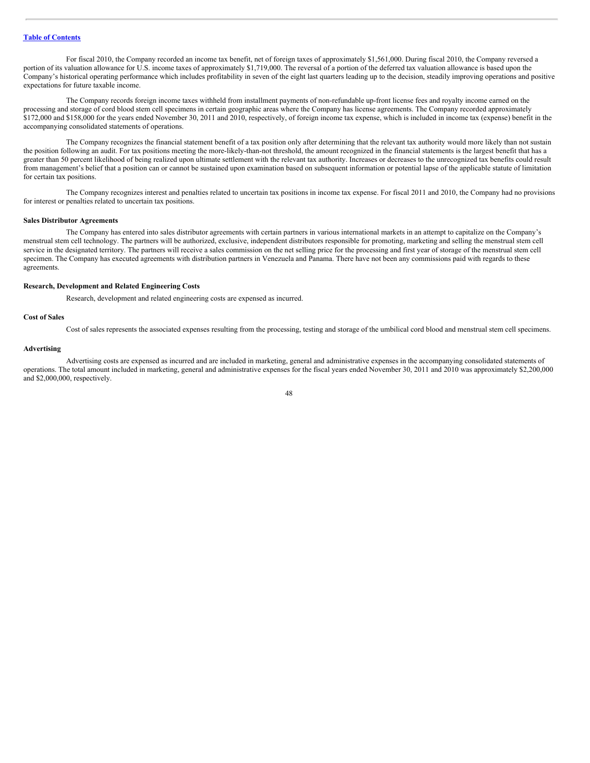For fiscal 2010, the Company recorded an income tax benefit, net of foreign taxes of approximately \$1,561,000. During fiscal 2010, the Company reversed a portion of its valuation allowance for U.S. income taxes of approximately \$1,719,000. The reversal of a portion of the deferred tax valuation allowance is based upon the Company's historical operating performance which includes profitability in seven of the eight last quarters leading up to the decision, steadily improving operations and positive expectations for future taxable income.

The Company records foreign income taxes withheld from installment payments of non-refundable up-front license fees and royalty income earned on the processing and storage of cord blood stem cell specimens in certain geographic areas where the Company has license agreements. The Company recorded approximately \$172,000 and \$158,000 for the years ended November 30, 2011 and 2010, respectively, of foreign income tax expense, which is included in income tax (expense) benefit in the accompanying consolidated statements of operations.

The Company recognizes the financial statement benefit of a tax position only after determining that the relevant tax authority would more likely than not sustain the position following an audit. For tax positions meeting the more-likely-than-not threshold, the amount recognized in the financial statements is the largest benefit that has a greater than 50 percent likelihood of being realized upon ultimate settlement with the relevant tax authority. Increases or decreases to the unrecognized tax benefits could result from management's belief that a position can or cannot be sustained upon examination based on subsequent information or potential lapse of the applicable statute of limitation for certain tax positions.

The Company recognizes interest and penalties related to uncertain tax positions in income tax expense. For fiscal 2011 and 2010, the Company had no provisions for interest or penalties related to uncertain tax positions.

#### **Sales Distributor Agreements**

The Company has entered into sales distributor agreements with certain partners in various international markets in an attempt to capitalize on the Company's menstrual stem cell technology. The partners will be authorized, exclusive, independent distributors responsible for promoting, marketing and selling the menstrual stem cell service in the designated territory. The partners will receive a sales commission on the net selling price for the processing and first year of storage of the menstrual stem cell specimen. The Company has executed agreements with distribution partners in Venezuela and Panama. There have not been any commissions paid with regards to these agreements.

## **Research, Development and Related Engineering Costs**

Research, development and related engineering costs are expensed as incurred.

### **Cost of Sales**

Cost of sales represents the associated expenses resulting from the processing, testing and storage of the umbilical cord blood and menstrual stem cell specimens.

### **Advertising**

Advertising costs are expensed as incurred and are included in marketing, general and administrative expenses in the accompanying consolidated statements of operations. The total amount included in marketing, general and administrative expenses for the fiscal years ended November 30, 2011 and 2010 was approximately \$2,200,000 and \$2,000,000, respectively.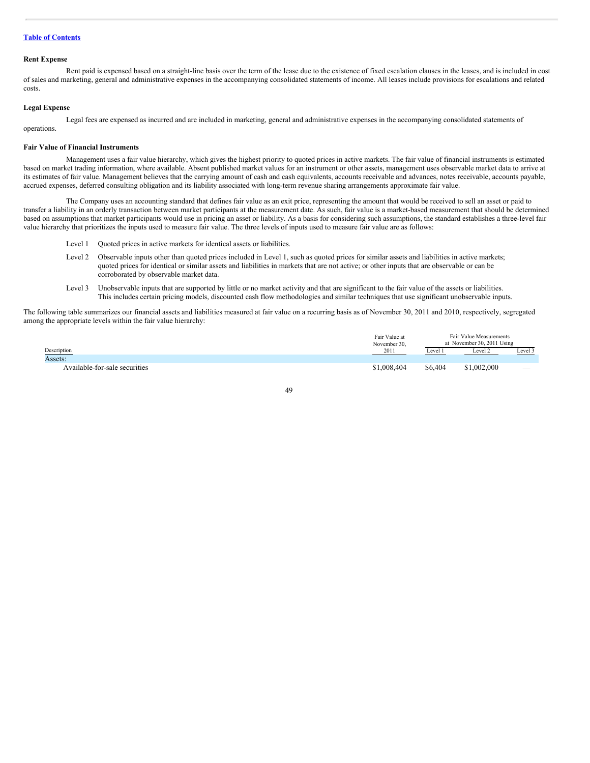#### **Rent Expense**

Rent paid is expensed based on a straight-line basis over the term of the lease due to the existence of fixed escalation clauses in the leases, and is included in cost of sales and marketing, general and administrative expenses in the accompanying consolidated statements of income. All leases include provisions for escalations and related costs.

### **Legal Expense**

Legal fees are expensed as incurred and are included in marketing, general and administrative expenses in the accompanying consolidated statements of operations.

### **Fair Value of Financial Instruments**

Management uses a fair value hierarchy, which gives the highest priority to quoted prices in active markets. The fair value of financial instruments is estimated based on market trading information, where available. Absent published market values for an instrument or other assets, management uses observable market data to arrive at its estimates of fair value. Management believes that the carrying amount of cash and cash equivalents, accounts receivable and advances, notes receivable, accounts payable, accrued expenses, deferred consulting obligation and its liability associated with long-term revenue sharing arrangements approximate fair value.

The Company uses an accounting standard that defines fair value as an exit price, representing the amount that would be received to sell an asset or paid to transfer a liability in an orderly transaction between market participants at the measurement date. As such, fair value is a market-based measurement that should be determined based on assumptions that market participants would use in pricing an asset or liability. As a basis for considering such assumptions, the standard establishes a three-level fair value hierarchy that prioritizes the inputs used to measure fair value. The three levels of inputs used to measure fair value are as follows:

- Level 1 Quoted prices in active markets for identical assets or liabilities.
- Level 2 Observable inputs other than quoted prices included in Level 1, such as quoted prices for similar assets and liabilities in active markets; quoted prices for identical or similar assets and liabilities in markets that are not active; or other inputs that are observable or can be corroborated by observable market data.
- Level 3 Unobservable inputs that are supported by little or no market activity and that are significant to the fair value of the assets or liabilities. This includes certain pricing models, discounted cash flow methodologies and similar techniques that use significant unobservable inputs.

The following table summarizes our financial assets and liabilities measured at fair value on a recurring basis as of November 30, 2011 and 2010, respectively, segregated among the appropriate levels within the fair value hierarchy:

|                               | Fair Value at |         | Fair Value Measurements    |                          |
|-------------------------------|---------------|---------|----------------------------|--------------------------|
|                               | November 30,  |         | at November 30, 2011 Using |                          |
| Description                   | 201           | Level 1 | Level 2                    | Level 3                  |
| Assets:                       |               |         |                            |                          |
| Available-for-sale securities | \$1,008,404   | \$6,404 | \$1,002,000                | $\overline{\phantom{a}}$ |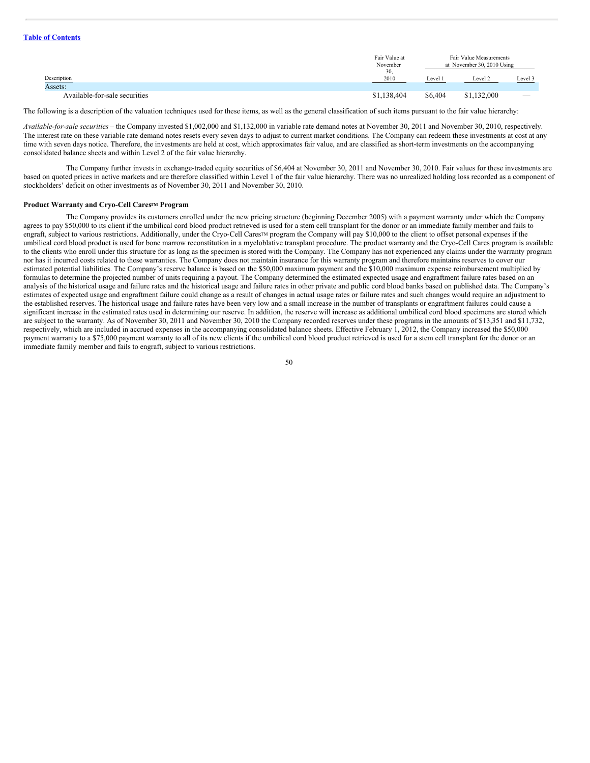|                               | Fair Value at<br>November | Fair Value Measurements<br>at November 30, 2010 Using |             |         |
|-------------------------------|---------------------------|-------------------------------------------------------|-------------|---------|
| Description<br>Assets:        | 30,<br>2010               | Level 1                                               | Level 2     | Level 3 |
| Available-for-sale securities | \$1,138,404               | \$6,404                                               | \$1,132,000 | $\sim$  |

The following is a description of the valuation techniques used for these items, as well as the general classification of such items pursuant to the fair value hierarchy:

*Available-for-sale securities* – the Company invested \$1,002,000 and \$1,132,000 in variable rate demand notes at November 30, 2011 and November 30, 2010, respectively. The interest rate on these variable rate demand notes resets every seven days to adjust to current market conditions. The Company can redeem these investments at cost at any time with seven days notice. Therefore, the investments are held at cost, which approximates fair value, and are classified as short-term investments on the accompanying consolidated balance sheets and within Level 2 of the fair value hierarchy.

The Company further invests in exchange-traded equity securities of \$6,404 at November 30, 2011 and November 30, 2010. Fair values for these investments are based on quoted prices in active markets and are therefore classified within Level 1 of the fair value hierarchy. There was no unrealized holding loss recorded as a component of stockholders' deficit on other investments as of November 30, 2011 and November 30, 2010.

### **Product Warranty and Cryo-Cell Cares<sup>TM</sup> Program**

The Company provides its customers enrolled under the new pricing structure (beginning December 2005) with a payment warranty under which the Company agrees to pay \$50,000 to its client if the umbilical cord blood product retrieved is used for a stem cell transplant for the donor or an immediate family member and fails to engraft, subject to various restrictions. Additionally, under the Cryo-Cell Cares™ program the Company will pay \$10,000 to the client to offset personal expenses if the umbilical cord blood product is used for bone marrow reconstitution in a myeloblative transplant procedure. The product warranty and the Cryo-Cell Cares program is available to the clients who enroll under this structure for as long as the specimen is stored with the Company. The Company has not experienced any claims under the warranty program nor has it incurred costs related to these warranties. The Company does not maintain insurance for this warranty program and therefore maintains reserves to cover our estimated potential liabilities. The Company's reserve balance is based on the \$50,000 maximum payment and the \$10,000 maximum expense reimbursement multiplied by formulas to determine the projected number of units requiring a payout. The Company determined the estimated expected usage and engraftment failure rates based on an analysis of the historical usage and failure rates and the historical usage and failure rates in other private and public cord blood banks based on published data. The Company's estimates of expected usage and engraftment failure could change as a result of changes in actual usage rates or failure rates and such changes would require an adjustment to the established reserves. The historical usage and failure rates have been very low and a small increase in the number of transplants or engraftment failures could cause a significant increase in the estimated rates used in determining our reserve. In addition, the reserve will increase as additional umbilical cord blood specimens are stored which are subject to the warranty. As of November 30, 2011 and November 30, 2010 the Company recorded reserves under these programs in the amounts of \$13,351 and \$11,732, respectively, which are included in accrued expenses in the accompanying consolidated balance sheets. Effective February 1, 2012, the Company increased the \$50,000 payment warranty to a \$75,000 payment warranty to all of its new clients if the umbilical cord blood product retrieved is used for a stem cell transplant for the donor or an immediate family member and fails to engraft, subject to various restrictions.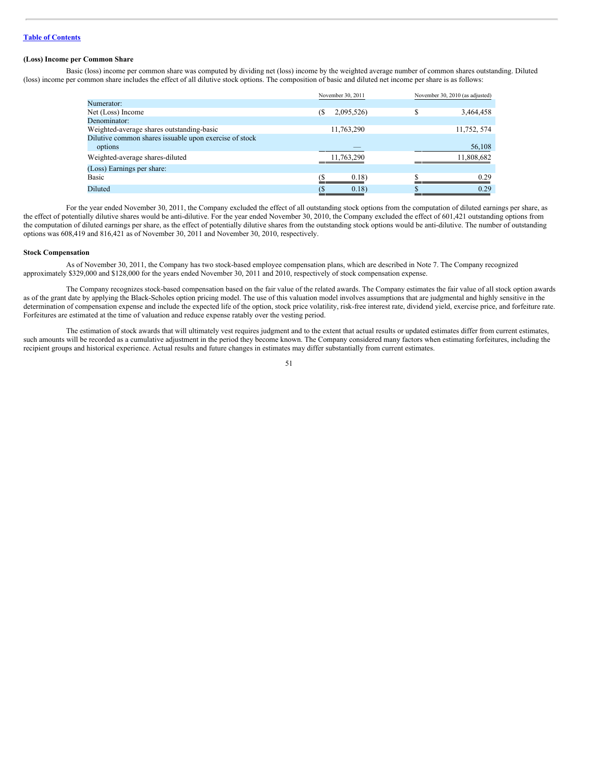### **(Loss) Income per Common Share**

Basic (loss) income per common share was computed by dividing net (loss) income by the weighted average number of common shares outstanding. Diluted (loss) income per common share includes the effect of all dilutive stock options. The composition of basic and diluted net income per share is as follows:

|                                                        | November 30, 2011 | November 30, 2010 (as adjusted) |
|--------------------------------------------------------|-------------------|---------------------------------|
| Numerator:                                             |                   |                                 |
| Net (Loss) Income                                      | (S<br>2,095,526)  | S<br>3,464,458                  |
| Denominator:                                           |                   |                                 |
| Weighted-average shares outstanding-basic              | 11,763,290        | 11,752, 574                     |
| Dilutive common shares issuable upon exercise of stock |                   |                                 |
| options                                                |                   | 56,108                          |
| Weighted-average shares-diluted                        | 11,763,290        | 11,808,682                      |
| (Loss) Earnings per share:                             |                   |                                 |
| Basic                                                  | 0.18)             | 0.29                            |
| Diluted                                                | 0.18)             | 0.29                            |

For the year ended November 30, 2011, the Company excluded the effect of all outstanding stock options from the computation of diluted earnings per share, as the effect of potentially dilutive shares would be anti-dilutive. For the year ended November 30, 2010, the Company excluded the effect of 601,421 outstanding options from the computation of diluted earnings per share, as the effect of potentially dilutive shares from the outstanding stock options would be anti-dilutive. The number of outstanding options was 608,419 and 816,421 as of November 30, 2011 and November 30, 2010, respectively.

### **Stock Compensation**

As of November 30, 2011, the Company has two stock-based employee compensation plans, which are described in Note 7. The Company recognized approximately \$329,000 and \$128,000 for the years ended November 30, 2011 and 2010, respectively of stock compensation expense.

The Company recognizes stock-based compensation based on the fair value of the related awards. The Company estimates the fair value of all stock option awards as of the grant date by applying the Black-Scholes option pricing model. The use of this valuation model involves assumptions that are judgmental and highly sensitive in the determination of compensation expense and include the expected life of the option, stock price volatility, risk-free interest rate, dividend yield, exercise price, and forfeiture rate. Forfeitures are estimated at the time of valuation and reduce expense ratably over the vesting period.

The estimation of stock awards that will ultimately vest requires judgment and to the extent that actual results or updated estimates differ from current estimates, such amounts will be recorded as a cumulative adjustment in the period they become known. The Company considered many factors when estimating forfeitures, including the recipient groups and historical experience. Actual results and future changes in estimates may differ substantially from current estimates.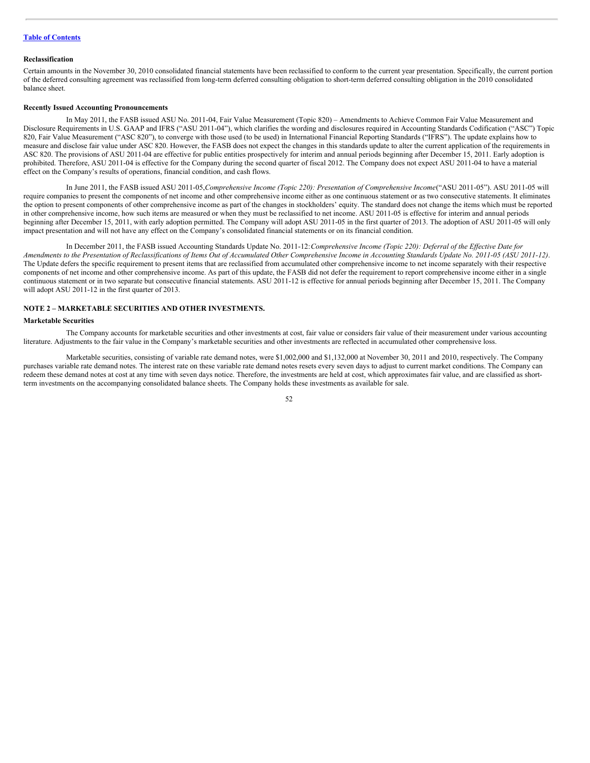#### **Reclassification**

Certain amounts in the November 30, 2010 consolidated financial statements have been reclassified to conform to the current year presentation. Specifically, the current portion of the deferred consulting agreement was reclassified from long-term deferred consulting obligation to short-term deferred consulting obligation in the 2010 consolidated balance sheet.

### **Recently Issued Accounting Pronouncements**

In May 2011, the FASB issued ASU No. 2011-04, Fair Value Measurement (Topic 820) – Amendments to Achieve Common Fair Value Measurement and Disclosure Requirements in U.S. GAAP and IFRS ("ASU 2011-04"), which clarifies the wording and disclosures required in Accounting Standards Codification ("ASC") Topic 820, Fair Value Measurement ("ASC 820"), to converge with those used (to be used) in International Financial Reporting Standards ("IFRS"). The update explains how to measure and disclose fair value under ASC 820. However, the FASB does not expect the changes in this standards update to alter the current application of the requirements in ASC 820. The provisions of ASU 2011-04 are effective for public entities prospectively for interim and annual periods beginning after December 15, 2011. Early adoption is prohibited. Therefore, ASU 2011-04 is effective for the Company during the second quarter of fiscal 2012. The Company does not expect ASU 2011-04 to have a material effect on the Company's results of operations, financial condition, and cash flows.

In June 2011, the FASB issued ASU 2011-05,*Comprehensive Income (Topic 220): Presentation of Comprehensive Income*("ASU 2011-05"). ASU 2011-05 will require companies to present the components of net income and other comprehensive income either as one continuous statement or as two consecutive statements. It eliminates the option to present components of other comprehensive income as part of the changes in stockholders' equity. The standard does not change the items which must be reported in other comprehensive income, how such items are measured or when they must be reclassified to net income. ASU 2011-05 is effective for interim and annual periods beginning after December 15, 2011, with early adoption permitted. The Company will adopt ASU 2011-05 in the first quarter of 2013. The adoption of ASU 2011-05 will only impact presentation and will not have any effect on the Company's consolidated financial statements or on its financial condition.

In December 2011, the FASB issued Accounting Standards Update No. 2011-12:*Comprehensive Income (Topic 220): Deferral of the Ef ective Date for* Amendments to the Presentation of Reclassifications of Items Out of Accumulated Other Comprehensive Income in Accounting Standards Update No. 2011-05 (ASU 2011-12). The Update defers the specific requirement to present items that are reclassified from accumulated other comprehensive income to net income separately with their respective components of net income and other comprehensive income. As part of this update, the FASB did not defer the requirement to report comprehensive income either in a single continuous statement or in two separate but consecutive financial statements. ASU 2011-12 is effective for annual periods beginning after December 15, 2011. The Company will adopt ASU 2011-12 in the first quarter of 2013.

# **NOTE 2 – MARKETABLE SECURITIES AND OTHER INVESTMENTS.**

#### **Marketable Securities**

The Company accounts for marketable securities and other investments at cost, fair value or considers fair value of their measurement under various accounting literature. Adjustments to the fair value in the Company's marketable securities and other investments are reflected in accumulated other comprehensive loss.

Marketable securities, consisting of variable rate demand notes, were \$1,002,000 and \$1,132,000 at November 30, 2011 and 2010, respectively. The Company purchases variable rate demand notes. The interest rate on these variable rate demand notes resets every seven days to adjust to current market conditions. The Company can redeem these demand notes at cost at any time with seven days notice. Therefore, the investments are held at cost, which approximates fair value, and are classified as shortterm investments on the accompanying consolidated balance sheets. The Company holds these investments as available for sale.

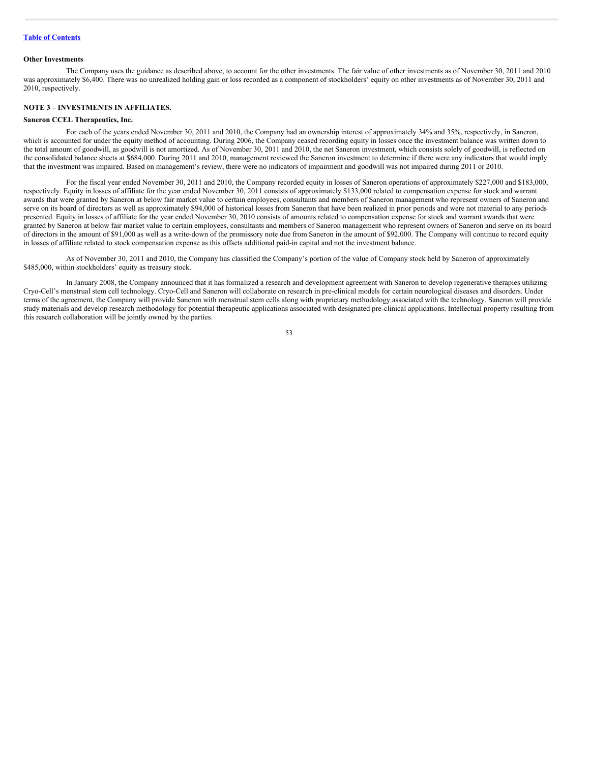#### **Other Investments**

The Company uses the guidance as described above, to account for the other investments. The fair value of other investments as of November 30, 2011 and 2010 was approximately \$6,400. There was no unrealized holding gain or loss recorded as a component of stockholders' equity on other investments as of November 30, 2011 and 2010, respectively.

## **NOTE 3 – INVESTMENTS IN AFFILIATES.**

### **Saneron CCEL Therapeutics, Inc.**

For each of the years ended November 30, 2011 and 2010, the Company had an ownership interest of approximately 34% and 35%, respectively, in Saneron, which is accounted for under the equity method of accounting. During 2006, the Company ceased recording equity in losses once the investment balance was written down to the total amount of goodwill, as goodwill is not amortized. As of November 30, 2011 and 2010, the net Saneron investment, which consists solely of goodwill, is reflected on the consolidated balance sheets at \$684,000. During 2011 and 2010, management reviewed the Saneron investment to determine if there were any indicators that would imply that the investment was impaired. Based on management's review, there were no indicators of impairment and goodwill was not impaired during 2011 or 2010.

For the fiscal year ended November 30, 2011 and 2010, the Company recorded equity in losses of Saneron operations of approximately \$227,000 and \$183,000, respectively. Equity in losses of affiliate for the year ended November 30, 2011 consists of approximately \$133,000 related to compensation expense for stock and warrant awards that were granted by Saneron at below fair market value to certain employees, consultants and members of Saneron management who represent owners of Saneron and serve on its board of directors as well as approximately \$94,000 of historical losses from Saneron that have been realized in prior periods and were not material to any periods presented. Equity in losses of affiliate for the year ended November 30, 2010 consists of amounts related to compensation expense for stock and warrant awards that were granted by Saneron at below fair market value to certain employees, consultants and members of Saneron management who represent owners of Saneron and serve on its board of directors in the amount of \$91,000 as well as a write-down of the promissory note due from Saneron in the amount of \$92,000. The Company will continue to record equity in losses of affiliate related to stock compensation expense as this offsets additional paid-in capital and not the investment balance.

As of November 30, 2011 and 2010, the Company has classified the Company's portion of the value of Company stock held by Saneron of approximately \$485,000, within stockholders' equity as treasury stock.

In January 2008, the Company announced that it has formalized a research and development agreement with Saneron to develop regenerative therapies utilizing Cryo-Cell's menstrual stem cell technology. Cryo-Cell and Saneron will collaborate on research in pre-clinical models for certain neurological diseases and disorders. Under terms of the agreement, the Company will provide Saneron with menstrual stem cells along with proprietary methodology associated with the technology. Saneron will provide study materials and develop research methodology for potential therapeutic applications associated with designated pre-clinical applications. Intellectual property resulting from this research collaboration will be jointly owned by the parties.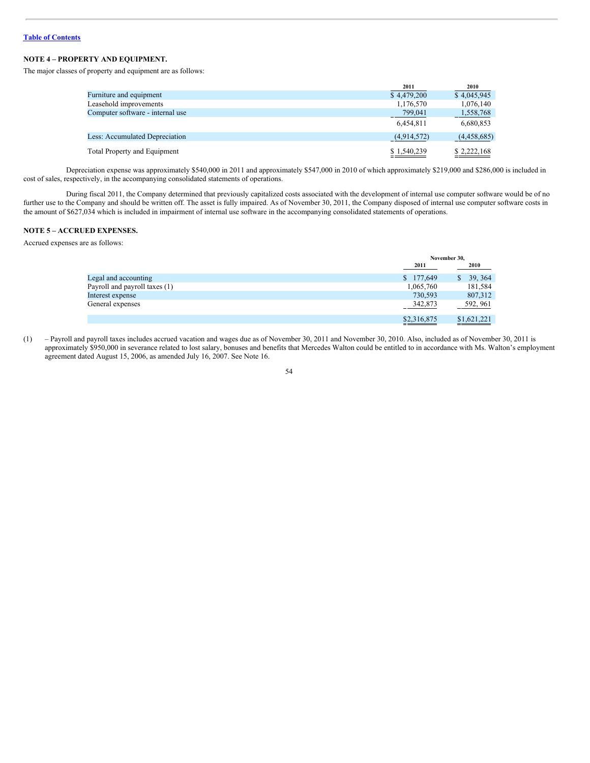# **NOTE 4 – PROPERTY AND EQUIPMENT.**

The major classes of property and equipment are as follows:

|                                  | 2011        | 2010        |
|----------------------------------|-------------|-------------|
| Furniture and equipment          | \$4,479,200 | \$4,045,945 |
| Leasehold improvements           | 1,176,570   | 1,076,140   |
| Computer software - internal use | 799,041     | 1,558,768   |
|                                  | 6.454.811   | 6,680,853   |
| Less: Accumulated Depreciation   | (4,914,572) | (4,458,685) |
| Total Property and Equipment     | \$1,540,239 | \$2,222,168 |

Depreciation expense was approximately \$540,000 in 2011 and approximately \$547,000 in 2010 of which approximately \$219,000 and \$286,000 is included in cost of sales, respectively, in the accompanying consolidated statements of operations.

During fiscal 2011, the Company determined that previously capitalized costs associated with the development of internal use computer software would be of no further use to the Company and should be written off. The asset is fully impaired. As of November 30, 2011, the Company disposed of internal use computer software costs in the amount of \$627,034 which is included in impairment of internal use software in the accompanying consolidated statements of operations.

## **NOTE 5 – ACCRUED EXPENSES.**

Accrued expenses are as follows:

|                               | November 30, |             |
|-------------------------------|--------------|-------------|
|                               | 2011         | 2010        |
| Legal and accounting          | \$177,649    | \$39,364    |
| Payroll and payroll taxes (1) | 1,065,760    | 181,584     |
| Interest expense              | 730,593      | 807,312     |
| General expenses              | 342,873      | 592, 961    |
|                               | \$2,316,875  | \$1,621,221 |

(1) – Payroll and payroll taxes includes accrued vacation and wages due as of November 30, 2011 and November 30, 2010. Also, included as of November 30, 2011 is approximately \$950,000 in severance related to lost salary, bonuses and benefits that Mercedes Walton could be entitled to in accordance with Ms. Walton's employment agreement dated August 15, 2006, as amended July 16, 2007. See Note 16.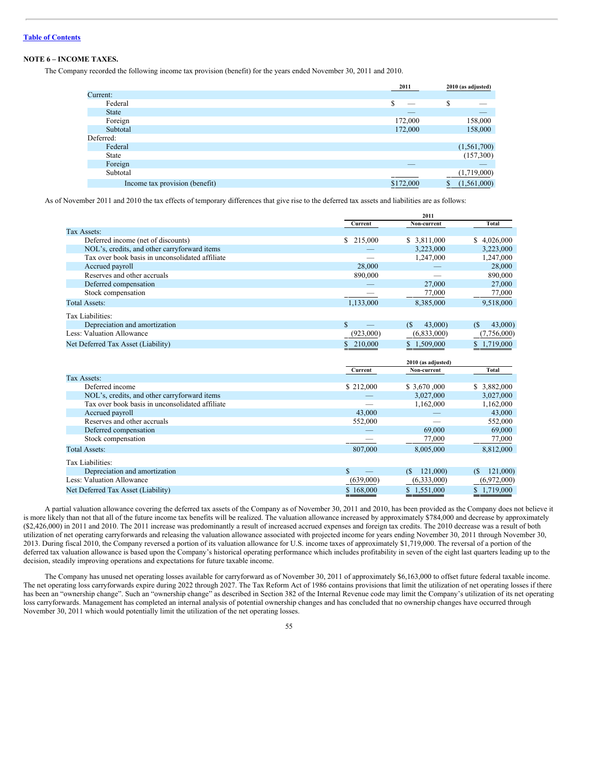# **NOTE 6 – INCOME TAXES.**

The Company recorded the following income tax provision (benefit) for the years ended November 30, 2011 and 2010.

|                                | 2011      | 2010 (as adjusted) |
|--------------------------------|-----------|--------------------|
| Current:                       |           |                    |
| Federal                        | S         | \$                 |
| <b>State</b>                   | __        |                    |
| Foreign                        | 172,000   | 158,000            |
| Subtotal                       | 172,000   | 158,000            |
| Deferred:                      |           |                    |
| Federal                        |           | (1, 561, 700)      |
| State                          |           | (157,300)          |
| Foreign                        |           |                    |
| Subtotal                       |           | (1,719,000)        |
| Income tax provision (benefit) | \$172,000 | (1, 561, 000)<br>Ф |
|                                |           |                    |

As of November 2011 and 2010 the tax effects of temporary differences that give rise to the deferred tax assets and liabilities are as follows:

|                                                 |               | 2011                              |                |
|-------------------------------------------------|---------------|-----------------------------------|----------------|
|                                                 | Current       | Non-current                       | <b>Total</b>   |
| Tax Assets:                                     |               |                                   |                |
| Deferred income (net of discounts)              | \$ 215,000    | \$ 3,811,000                      | \$4,026,000    |
| NOL's, credits, and other carryforward items    |               | 3,223,000                         | 3,223,000      |
| Tax over book basis in unconsolidated affiliate |               | 1,247,000                         | 1,247,000      |
| Accrued payroll                                 | 28,000        |                                   | 28,000         |
| Reserves and other accruals                     | 890,000       |                                   | 890,000        |
| Deferred compensation                           |               | 27,000                            | 27,000         |
| Stock compensation                              |               | 77,000                            | 77,000         |
| <b>Total Assets:</b>                            | 1,133,000     | 8,385,000                         | 9,518,000      |
| Tax Liabilities:                                |               |                                   |                |
| Depreciation and amortization                   | $\mathbf{s}$  | 43,000)<br>(S                     | 43,000<br>(S)  |
| Less: Valuation Allowance                       | (923,000)     | (6,833,000)                       | (7,756,000)    |
| Net Deferred Tax Asset (Liability)              | 210,000<br>\$ | \$1,509,000                       | \$1,719,000    |
|                                                 |               |                                   |                |
|                                                 |               |                                   |                |
|                                                 | Current       | 2010 (as adjusted)<br>Non-current | Total          |
| Tax Assets:                                     |               |                                   |                |
| Deferred income                                 | \$212,000     | \$ 3,670,000                      | \$ 3,882,000   |
| NOL's, credits, and other carryforward items    |               | 3,027,000                         | 3,027,000      |
| Tax over book basis in unconsolidated affiliate |               | 1,162,000                         | 1,162,000      |
| Accrued payroll                                 | 43,000        |                                   | 43,000         |
| Reserves and other accruals                     | 552,000       |                                   | 552,000        |
| Deferred compensation                           |               | 69,000                            | 69,000         |
| Stock compensation                              |               | 77,000                            | 77,000         |
| <b>Total Assets:</b>                            | 807,000       | 8,005,000                         | 8,812,000      |
| Tax Liabilities:                                |               |                                   |                |
| Depreciation and amortization                   | $\mathcal{S}$ | 121,000)<br>(S)                   | 121,000)<br>(S |
| Less: Valuation Allowance                       | (639,000)     | (6, 333, 000)                     | (6,972,000)    |

A partial valuation allowance covering the deferred tax assets of the Company as of November 30, 2011 and 2010, has been provided as the Company does not believe it is more likely than not that all of the future income tax benefits will be realized. The valuation allowance increased by approximately \$784,000 and decrease by approximately (\$2,426,000) in 2011 and 2010. The 2011 increase was predominantly a result of increased accrued expenses and foreign tax credits. The 2010 decrease was a result of both utilization of net operating carryforwards and releasing the valuation allowance associated with projected income for years ending November 30, 2011 through November 30, 2013. During fiscal 2010, the Company reversed a portion of its valuation allowance for U.S. income taxes of approximately \$1,719,000. The reversal of a portion of the deferred tax valuation allowance is based upon the Company's historical operating performance which includes profitability in seven of the eight last quarters leading up to the decision, steadily improving operations and expectations for future taxable income.

The Company has unused net operating losses available for carryforward as of November 30, 2011 of approximately \$6,163,000 to offset future federal taxable income. The net operating loss carryforwards expire during 2022 through 2027. The Tax Reform Act of 1986 contains provisions that limit the utilization of net operating losses if there has been an "ownership change". Such an "ownership change" as described in Section 382 of the Internal Revenue code may limit the Company's utilization of its net operating loss carryforwards. Management has completed an internal analysis of potential ownership changes and has concluded that no ownership changes have occurred through November 30, 2011 which would potentially limit the utilization of the net operating losses.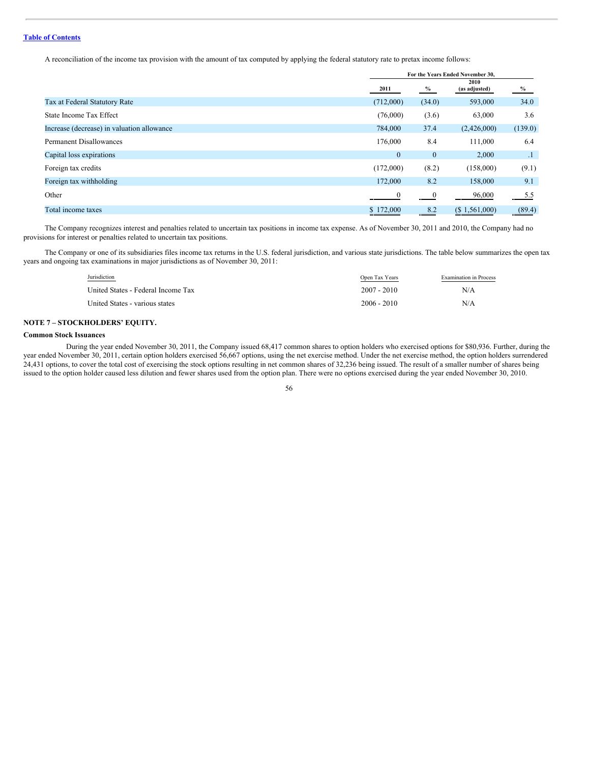A reconciliation of the income tax provision with the amount of tax computed by applying the federal statutory rate to pretax income follows:

|                                            | For the Years Ended November 30, |                         |                       |               |
|--------------------------------------------|----------------------------------|-------------------------|-----------------------|---------------|
|                                            | 2011                             | $\%$                    | 2010<br>(as adjusted) | $\frac{9}{6}$ |
| Tax at Federal Statutory Rate              | (712,000)                        | (34.0)                  | 593,000               | 34.0          |
| State Income Tax Effect                    | (76,000)                         | (3.6)                   | 63,000                | 3.6           |
| Increase (decrease) in valuation allowance | 784,000                          | 37.4                    | (2,426,000)           | (139.0)       |
| <b>Permanent Disallowances</b>             | 176,000                          | 8.4                     | 111,000               | 6.4           |
| Capital loss expirations                   | $\mathbf{0}$                     | $\bf{0}$                | 2,000                 | $\cdot$ 1     |
| Foreign tax credits                        | (172,000)                        | (8.2)                   | (158,000)             | (9.1)         |
| Foreign tax withholding                    | 172,000                          | 8.2                     | 158,000               | 9.1           |
| Other                                      | $\theta$                         | $\overline{\mathbf{0}}$ | 96,000                | 5.5           |
| Total income taxes                         | \$172,000                        | 8.2                     | $(S\ 1, 561, 000)$    | (89.4)        |

The Company recognizes interest and penalties related to uncertain tax positions in income tax expense. As of November 30, 2011 and 2010, the Company had no provisions for interest or penalties related to uncertain tax positions.

The Company or one of its subsidiaries files income tax returns in the U.S. federal jurisdiction, and various state jurisdictions. The table below summarizes the open tax years and ongoing tax examinations in major jurisdictions as of November 30, 2011:

| Jurisdiction                       | Open Tax Years | <b>Examination</b> in Process |
|------------------------------------|----------------|-------------------------------|
| United States - Federal Income Tax | $2007 - 2010$  | N/A                           |
| United States - various states     | $2006 - 2010$  | N/A                           |

# **NOTE 7 – STOCKHOLDERS' EQUITY.**

### **Common Stock Issuances**

During the year ended November 30, 2011, the Company issued 68,417 common shares to option holders who exercised options for \$80,936. Further, during the year ended November 30, 2011, certain option holders exercised 56,667 options, using the net exercise method. Under the net exercise method, the option holders surrendered 24,431 options, to cover the total cost of exercising the stock options resulting in net common shares of 32,236 being issued. The result of a smaller number of shares being issued to the option holder caused less dilution and fewer shares used from the option plan. There were no options exercised during the year ended November 30, 2010.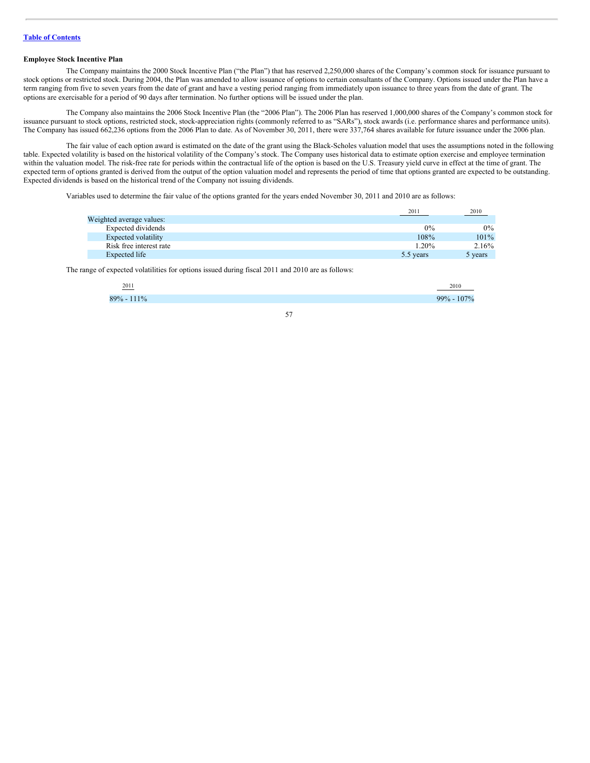## **Employee Stock Incentive Plan**

The Company maintains the 2000 Stock Incentive Plan ("the Plan") that has reserved 2,250,000 shares of the Company's common stock for issuance pursuant to stock options or restricted stock. During 2004, the Plan was amended to allow issuance of options to certain consultants of the Company. Options issued under the Plan have a term ranging from five to seven years from the date of grant and have a vesting period ranging from immediately upon issuance to three years from the date of grant. The options are exercisable for a period of 90 days after termination. No further options will be issued under the plan.

The Company also maintains the 2006 Stock Incentive Plan (the "2006 Plan"). The 2006 Plan has reserved 1,000,000 shares of the Company's common stock for issuance pursuant to stock options, restricted stock, stock-appreciation rights (commonly referred to as "SARs"), stock awards (i.e. performance shares and performance units). The Company has issued 662,236 options from the 2006 Plan to date. As of November 30, 2011, there were 337,764 shares available for future issuance under the 2006 plan.

The fair value of each option award is estimated on the date of the grant using the Black-Scholes valuation model that uses the assumptions noted in the following table. Expected volatility is based on the historical volatility of the Company's stock. The Company uses historical data to estimate option exercise and employee termination within the valuation model. The risk-free rate for periods within the contractual life of the option is based on the U.S. Treasury yield curve in effect at the time of grant. The expected term of options granted is derived from the output of the option valuation model and represents the period of time that options granted are expected to be outstanding. Expected dividends is based on the historical trend of the Company not issuing dividends.

Variables used to determine the fair value of the options granted for the years ended November 30, 2011 and 2010 are as follows:

|                          | 2011      | 2010    |
|--------------------------|-----------|---------|
| Weighted average values: |           |         |
| Expected dividends       | $0\%$     | $0\%$   |
| Expected volatility      | 108%      | 101%    |
| Risk free interest rate  | $1.20\%$  | 2.16%   |
| Expected life            | 5.5 years | 5 years |

The range of expected volatilities for options issued during fiscal 2011 and 2010 are as follows:

| 2011<br>$\overline{\phantom{a}}$ | 201<br>20 H V |
|----------------------------------|---------------|
| $1\%$<br>70                      | 000/          |
|                                  |               |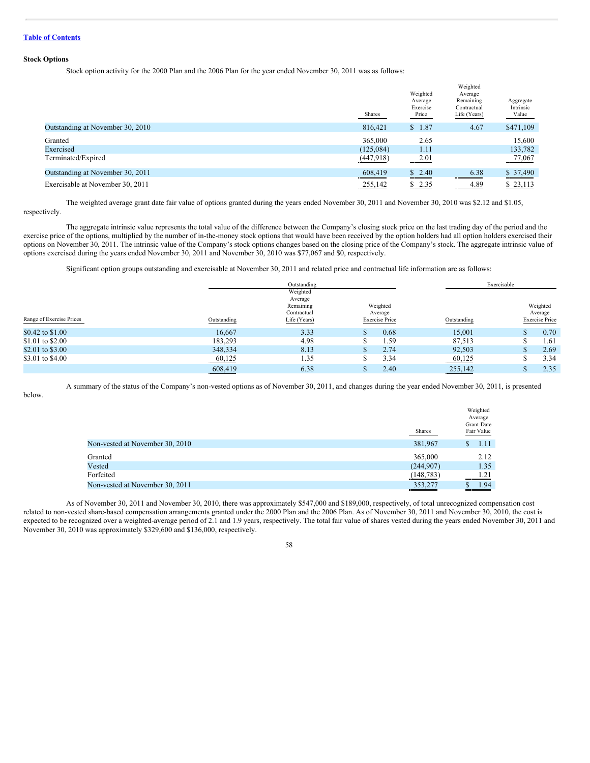### **Stock Options**

Stock option activity for the 2000 Plan and the 2006 Plan for the year ended November 30, 2011 was as follows:

|                                  | Shares    | Weighted<br>Average<br>Exercise<br>Price | Weighted<br>Average<br>Remaining<br>Contractual<br>Life (Years) | Aggregate<br>Intrinsic<br>Value |
|----------------------------------|-----------|------------------------------------------|-----------------------------------------------------------------|---------------------------------|
| Outstanding at November 30, 2010 | 816,421   | \$1.87                                   | 4.67                                                            | \$471,109                       |
| Granted                          | 365,000   | 2.65                                     |                                                                 | 15.600                          |
| Exercised                        | (125,084) | 1.11                                     |                                                                 | 133,782                         |
| Terminated/Expired               | (447,918) | <u>2.01</u>                              |                                                                 | 77,067                          |
| Outstanding at November 30, 2011 | 608,419   | \$2.40                                   | 6.38                                                            | \$37,490                        |
| Exercisable at November 30, 2011 | 255,142   | \$2.35                                   | 4.89                                                            | \$23,113                        |

The weighted average grant date fair value of options granted during the years ended November 30, 2011 and November 30, 2010 was \$2.12 and \$1.05, respectively.

The aggregate intrinsic value represents the total value of the difference between the Company's closing stock price on the last trading day of the period and the exercise price of the options, multiplied by the number of in-the-money stock options that would have been received by the option holders had all option holders exercised their options on November 30, 2011. The intrinsic value of the Company's stock options changes based on the closing price of the Company's stock. The aggregate intrinsic value of options exercised during the years ended November 30, 2011 and November 30, 2010 was \$77,067 and \$0, respectively.

Significant option groups outstanding and exercisable at November 30, 2011 and related price and contractual life information are as follows:

|                          |             | Outstanding                                                     |                                              |             | Exercisable                                  |
|--------------------------|-------------|-----------------------------------------------------------------|----------------------------------------------|-------------|----------------------------------------------|
| Range of Exercise Prices | Outstanding | Weighted<br>Average<br>Remaining<br>Contractual<br>Life (Years) | Weighted<br>Average<br><b>Exercise Price</b> | Outstanding | Weighted<br>Average<br><b>Exercise Price</b> |
| \$0.42 to \$1.00         | 16.667      | 3.33                                                            | 0.68                                         | 15,001      | 0.70<br>۰D                                   |
| \$1.01 to \$2.00         | 183,293     | 4.98                                                            | 1.59                                         | 87,513      | 1.61                                         |
| \$2.01 to \$3.00         | 348,334     | 8.13                                                            | 2.74                                         | 92,503      | 2.69                                         |
| \$3.01 to \$4.00         | 60,125      | 1.35                                                            | 3.34<br>٠D                                   | 60,125      | 3.34<br>۰D                                   |
|                          | 608,419     | 6.38                                                            | 2.40                                         | 255,142     | 2.35                                         |

A summary of the status of the Company's non-vested options as of November 30, 2011, and changes during the year ended November 30, 2011, is presented

below.

|                                 |               | Weighted<br>Average<br>Grant-Date |
|---------------------------------|---------------|-----------------------------------|
|                                 | <b>Shares</b> | Fair Value                        |
| Non-vested at November 30, 2010 | 381,967       | 1.11<br>S                         |
| Granted                         | 365,000       | 2.12                              |
| Vested                          | (244, 907)    | 1.35                              |
| Forfeited                       | (148, 783)    | 1.21                              |
| Non-vested at November 30, 2011 | 353,277       | 1.94                              |

As of November 30, 2011 and November 30, 2010, there was approximately \$547,000 and \$189,000, respectively, of total unrecognized compensation cost related to non-vested share-based compensation arrangements granted under the 2000 Plan and the 2006 Plan. As of November 30, 2011 and November 30, 2010, the cost is expected to be recognized over a weighted-average period of 2.1 and 1.9 years, respectively. The total fair value of shares vested during the years ended November 30, 2011 and November 30, 2010 was approximately \$329,600 and \$136,000, respectively.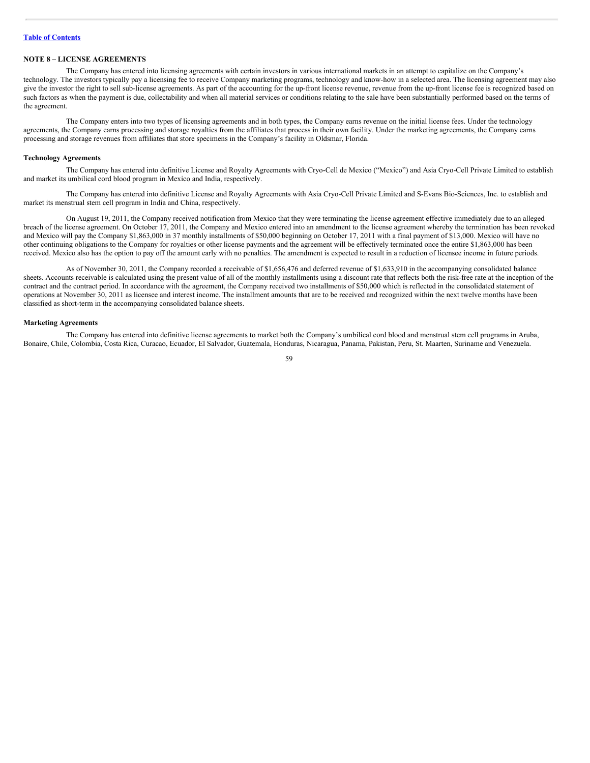# **NOTE 8 – LICENSE AGREEMENTS**

The Company has entered into licensing agreements with certain investors in various international markets in an attempt to capitalize on the Company's technology. The investors typically pay a licensing fee to receive Company marketing programs, technology and know-how in a selected area. The licensing agreement may also give the investor the right to sell sub-license agreements. As part of the accounting for the up-front license revenue, revenue from the up-front license fee is recognized based on such factors as when the payment is due, collectability and when all material services or conditions relating to the sale have been substantially performed based on the terms of the agreement.

The Company enters into two types of licensing agreements and in both types, the Company earns revenue on the initial license fees. Under the technology agreements, the Company earns processing and storage royalties from the affiliates that process in their own facility. Under the marketing agreements, the Company earns processing and storage revenues from affiliates that store specimens in the Company's facility in Oldsmar, Florida.

### **Technology Agreements**

The Company has entered into definitive License and Royalty Agreements with Cryo-Cell de Mexico ("Mexico") and Asia Cryo-Cell Private Limited to establish and market its umbilical cord blood program in Mexico and India, respectively.

The Company has entered into definitive License and Royalty Agreements with Asia Cryo-Cell Private Limited and S-Evans Bio-Sciences, Inc. to establish and market its menstrual stem cell program in India and China, respectively.

On August 19, 2011, the Company received notification from Mexico that they were terminating the license agreement effective immediately due to an alleged breach of the license agreement. On October 17, 2011, the Company and Mexico entered into an amendment to the license agreement whereby the termination has been revoked and Mexico will pay the Company \$1,863,000 in 37 monthly installments of \$50,000 beginning on October 17, 2011 with a final payment of \$13,000. Mexico will have no other continuing obligations to the Company for royalties or other license payments and the agreement will be effectively terminated once the entire \$1,863,000 has been received. Mexico also has the option to pay off the amount early with no penalties. The amendment is expected to result in a reduction of licensee income in future periods.

As of November 30, 2011, the Company recorded a receivable of \$1,656,476 and deferred revenue of \$1,633,910 in the accompanying consolidated balance sheets. Accounts receivable is calculated using the present value of all of the monthly installments using a discount rate that reflects both the risk-free rate at the inception of the contract and the contract period. In accordance with the agreement, the Company received two installments of \$50,000 which is reflected in the consolidated statement of operations at November 30, 2011 as licensee and interest income. The installment amounts that are to be received and recognized within the next twelve months have been classified as short-term in the accompanying consolidated balance sheets.

## **Marketing Agreements**

The Company has entered into definitive license agreements to market both the Company's umbilical cord blood and menstrual stem cell programs in Aruba, Bonaire, Chile, Colombia, Costa Rica, Curacao, Ecuador, El Salvador, Guatemala, Honduras, Nicaragua, Panama, Pakistan, Peru, St. Maarten, Suriname and Venezuela.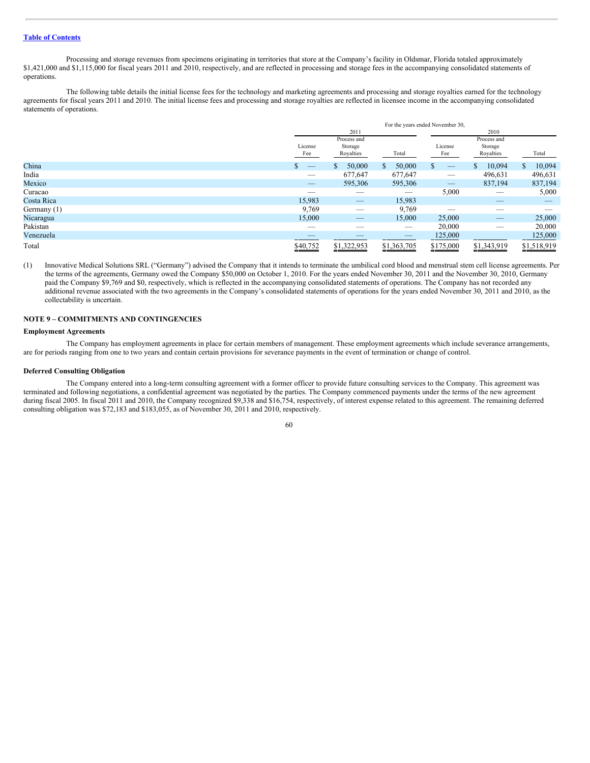Processing and storage revenues from specimens originating in territories that store at the Company's facility in Oldsmar, Florida totaled approximately \$1,421,000 and \$1,115,000 for fiscal years 2011 and 2010, respectively, and are reflected in processing and storage fees in the accompanying consolidated statements of operations.

The following table details the initial license fees for the technology and marketing agreements and processing and storage royalties earned for the technology agreements for fiscal years 2011 and 2010. The initial license fees and processing and storage royalties are reflected in licensee income in the accompanying consolidated statements of operations.

|             | For the years ended November 30, |                                     |               |                |                                     |               |
|-------------|----------------------------------|-------------------------------------|---------------|----------------|-------------------------------------|---------------|
|             |                                  | 2011                                |               |                | 2010                                |               |
|             | License<br>Fee                   | Process and<br>Storage<br>Royalties | Total         | License<br>Fee | Process and<br>Storage<br>Royalties | Total         |
| China       |                                  | 50,000<br><b>S</b>                  | 50,000<br>\$. |                | 10,094<br>S                         | 10,094<br>\$. |
| India       |                                  | 677,647                             | 677,647       |                | 496,631                             | 496,631       |
| Mexico      |                                  | 595,306                             | 595,306       |                | 837,194                             | 837,194       |
| Curacao     |                                  | __                                  | $\sim$        | 5,000          | --                                  | 5,000         |
| Costa Rica  | 15,983                           |                                     | 15,983        |                | $-$                                 | _             |
| Germany (1) | 9,769                            | _                                   | 9,769         |                | __                                  | --            |
| Nicaragua   | 15,000                           | _                                   | 15,000        | 25,000         |                                     | 25,000        |
| Pakistan    | _                                | _                                   |               | 20,000         | _                                   | 20,000        |
| Venezuela   |                                  |                                     | __            | 125,000        |                                     | 125,000       |
| Total       | \$40,752<br>____                 | \$1,322,953                         | \$1,363,705   | \$175,000      | \$1,343,919                         | \$1,518,919   |

(1) Innovative Medical Solutions SRL ("Germany") advised the Company that it intends to terminate the umbilical cord blood and menstrual stem cell license agreements. Per the terms of the agreements, Germany owed the Company \$50,000 on October 1, 2010. For the years ended November 30, 2011 and the November 30, 2010, Germany paid the Company \$9,769 and \$0, respectively, which is reflected in the accompanying consolidated statements of operations. The Company has not recorded any additional revenue associated with the two agreements in the Company's consolidated statements of operations for the years ended November 30, 2011 and 2010, as the collectability is uncertain.

# **NOTE 9 – COMMITMENTS AND CONTINGENCIES**

## **Employment Agreements**

The Company has employment agreements in place for certain members of management. These employment agreements which include severance arrangements, are for periods ranging from one to two years and contain certain provisions for severance payments in the event of termination or change of control.

### **Deferred Consulting Obligation**

The Company entered into a long-term consulting agreement with a former officer to provide future consulting services to the Company. This agreement was terminated and following negotiations, a confidential agreement was negotiated by the parties. The Company commenced payments under the terms of the new agreement during fiscal 2005. In fiscal 2011 and 2010, the Company recognized \$9,338 and \$16,754, respectively, of interest expense related to this agreement. The remaining deferred consulting obligation was \$72,183 and \$183,055, as of November 30, 2011 and 2010, respectively.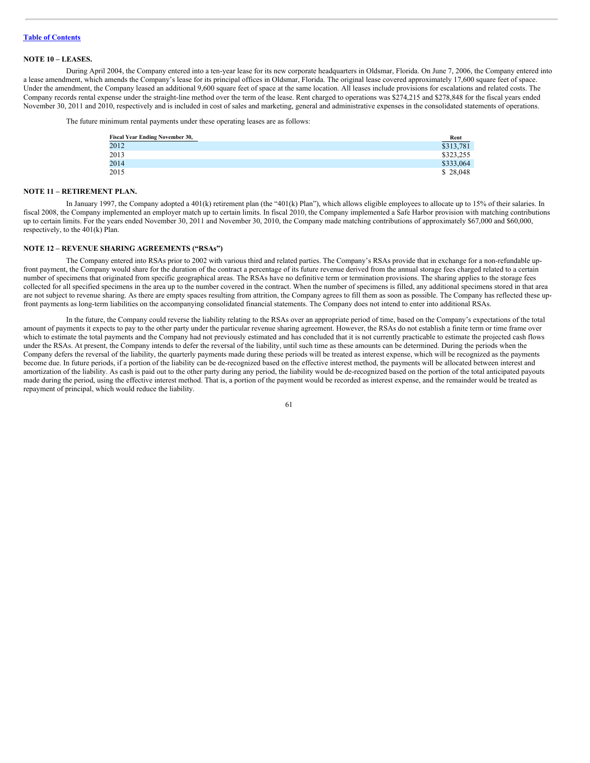### **NOTE 10 – LEASES.**

During April 2004, the Company entered into a ten-year lease for its new corporate headquarters in Oldsmar, Florida. On June 7, 2006, the Company entered into a lease amendment, which amends the Company's lease for its principal offices in Oldsmar, Florida. The original lease covered approximately 17,600 square feet of space. Under the amendment, the Company leased an additional 9,600 square feet of space at the same location. All leases include provisions for escalations and related costs. The Company records rental expense under the straight-line method over the term of the lease. Rent charged to operations was \$274,215 and \$278,848 for the fiscal years ended November 30, 2011 and 2010, respectively and is included in cost of sales and marketing, general and administrative expenses in the consolidated statements of operations.

The future minimum rental payments under these operating leases are as follows:

| <b>Fiscal Year Ending November 30,</b> | Rent      |
|----------------------------------------|-----------|
| 2012                                   | \$313,781 |
| 2013                                   | \$323,255 |
| 2014                                   | \$333,064 |
| 2015                                   | \$28,048  |

## **NOTE 11 – RETIREMENT PLAN.**

In January 1997, the Company adopted a 401(k) retirement plan (the "401(k) Plan"), which allows eligible employees to allocate up to 15% of their salaries. In fiscal 2008, the Company implemented an employer match up to certain limits. In fiscal 2010, the Company implemented a Safe Harbor provision with matching contributions up to certain limits. For the years ended November 30, 2011 and November 30, 2010, the Company made matching contributions of approximately \$67,000 and \$60,000, respectively, to the 401(k) Plan.

### **NOTE 12 – REVENUE SHARING AGREEMENTS ("RSAs")**

The Company entered into RSAs prior to 2002 with various third and related parties. The Company's RSAs provide that in exchange for a non-refundable upfront payment, the Company would share for the duration of the contract a percentage of its future revenue derived from the annual storage fees charged related to a certain number of specimens that originated from specific geographical areas. The RSAs have no definitive term or termination provisions. The sharing applies to the storage fees collected for all specified specimens in the area up to the number covered in the contract. When the number of specimens is filled, any additional specimens stored in that area are not subject to revenue sharing. As there are empty spaces resulting from attrition, the Company agrees to fill them as soon as possible. The Company has reflected these upfront payments as long-term liabilities on the accompanying consolidated financial statements. The Company does not intend to enter into additional RSAs.

In the future, the Company could reverse the liability relating to the RSAs over an appropriate period of time, based on the Company's expectations of the total amount of payments it expects to pay to the other party under the particular revenue sharing agreement. However, the RSAs do not establish a finite term or time frame over which to estimate the total payments and the Company had not previously estimated and has concluded that it is not currently practicable to estimate the projected cash flows under the RSAs. At present, the Company intends to defer the reversal of the liability, until such time as these amounts can be determined. During the periods when the Company defers the reversal of the liability, the quarterly payments made during these periods will be treated as interest expense, which will be recognized as the payments become due. In future periods, if a portion of the liability can be de-recognized based on the effective interest method, the payments will be allocated between interest and amortization of the liability. As cash is paid out to the other party during any period, the liability would be de-recognized based on the portion of the total anticipated payouts made during the period, using the effective interest method. That is, a portion of the payment would be recorded as interest expense, and the remainder would be treated as repayment of principal, which would reduce the liability.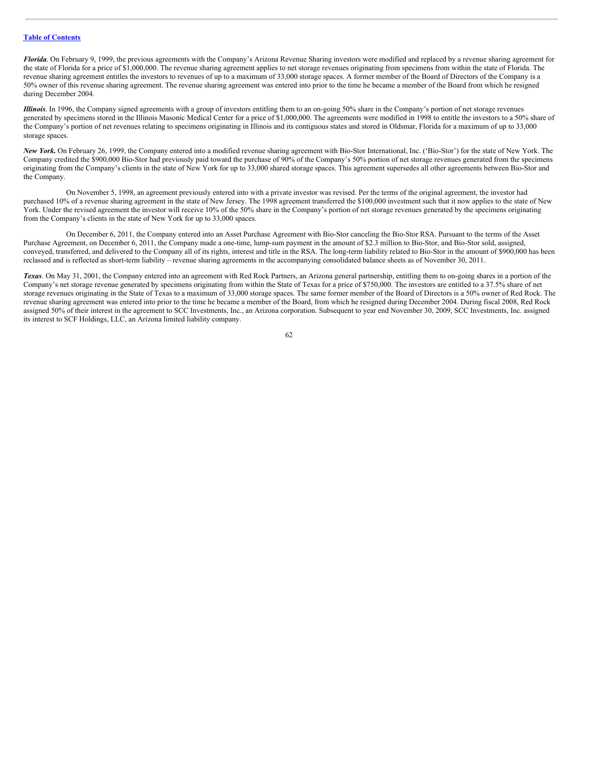*Florida*. On February 9, 1999, the previous agreements with the Company's Arizona Revenue Sharing investors were modified and replaced by a revenue sharing agreement for the state of Florida for a price of \$1,000,000. The revenue sharing agreement applies to net storage revenues originating from specimens from within the state of Florida. The revenue sharing agreement entitles the investors to revenues of up to a maximum of 33,000 storage spaces. A former member of the Board of Directors of the Company is a 50% owner of this revenue sharing agreement. The revenue sharing agreement was entered into prior to the time he became a member of the Board from which he resigned during December 2004.

*Illinois*. In 1996, the Company signed agreements with a group of investors entitling them to an on-going 50% share in the Company's portion of net storage revenues generated by specimens stored in the Illinois Masonic Medical Center for a price of \$1,000,000. The agreements were modified in 1998 to entitle the investors to a 50% share of the Company's portion of net revenues relating to specimens originating in Illinois and its contiguous states and stored in Oldsmar, Florida for a maximum of up to 33,000 storage spaces.

*New York.* On February 26, 1999, the Company entered into a modified revenue sharing agreement with Bio-Stor International, Inc. ('Bio-Stor') for the state of New York. The Company credited the \$900,000 Bio-Stor had previously paid toward the purchase of 90% of the Company's 50% portion of net storage revenues generated from the specimens originating from the Company's clients in the state of New York for up to 33,000 shared storage spaces. This agreement supersedes all other agreements between Bio-Stor and the Company.

On November 5, 1998, an agreement previously entered into with a private investor was revised. Per the terms of the original agreement, the investor had purchased 10% of a revenue sharing agreement in the state of New Jersey. The 1998 agreement transferred the \$100,000 investment such that it now applies to the state of New York. Under the revised agreement the investor will receive 10% of the 50% share in the Company's portion of net storage revenues generated by the specimens originating from the Company's clients in the state of New York for up to 33,000 spaces.

On December 6, 2011, the Company entered into an Asset Purchase Agreement with Bio-Stor canceling the Bio-Stor RSA. Pursuant to the terms of the Asset Purchase Agreement, on December 6, 2011, the Company made a one-time, lump-sum payment in the amount of \$2.3 million to Bio-Stor, and Bio-Stor sold, assigned, conveyed, transferred, and delivered to the Company all of its rights, interest and title in the RSA. The long-term liability related to Bio-Stor in the amount of \$900,000 has been reclassed and is reflected as short-term liability – revenue sharing agreements in the accompanying consolidated balance sheets as of November 30, 2011.

*Texas*. On May 31, 2001, the Company entered into an agreement with Red Rock Partners, an Arizona general partnership, entitling them to on-going shares in a portion of the Company's net storage revenue generated by specimens originating from within the State of Texas for a price of \$750,000. The investors are entitled to a 37.5% share of net storage revenues originating in the State of Texas to a maximum of 33,000 storage spaces. The same former member of the Board of Directors is a 50% owner of Red Rock. The revenue sharing agreement was entered into prior to the time he became a member of the Board, from which he resigned during December 2004. During fiscal 2008, Red Rock assigned 50% of their interest in the agreement to SCC Investments, Inc., an Arizona corporation. Subsequent to year end November 30, 2009, SCC Investments, Inc. assigned its interest to SCF Holdings, LLC, an Arizona limited liability company.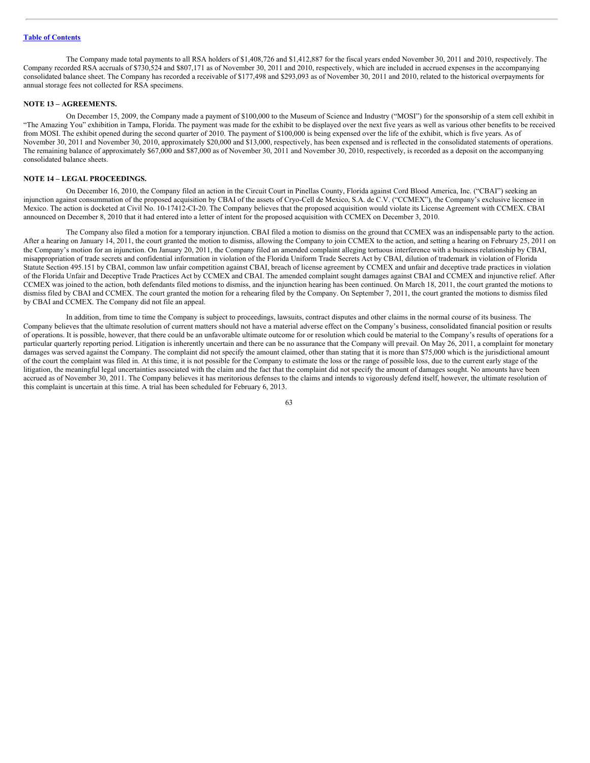The Company made total payments to all RSA holders of \$1,408,726 and \$1,412,887 for the fiscal years ended November 30, 2011 and 2010, respectively. The Company recorded RSA accruals of \$730,524 and \$807,171 as of November 30, 2011 and 2010, respectively, which are included in accrued expenses in the accompanying consolidated balance sheet. The Company has recorded a receivable of \$177,498 and \$293,093 as of November 30, 2011 and 2010, related to the historical overpayments for annual storage fees not collected for RSA specimens.

### **NOTE 13 – AGREEMENTS.**

On December 15, 2009, the Company made a payment of \$100,000 to the Museum of Science and Industry ("MOSI") for the sponsorship of a stem cell exhibit in "The Amazing You" exhibition in Tampa, Florida. The payment was made for the exhibit to be displayed over the next five years as well as various other benefits to be received from MOSI. The exhibit opened during the second quarter of 2010. The payment of \$100,000 is being expensed over the life of the exhibit, which is five years. As of November 30, 2011 and November 30, 2010, approximately \$20,000 and \$13,000, respectively, has been expensed and is reflected in the consolidated statements of operations. The remaining balance of approximately \$67,000 and \$87,000 as of November 30, 2011 and November 30, 2010, respectively, is recorded as a deposit on the accompanying consolidated balance sheets.

### **NOTE 14 – LEGAL PROCEEDINGS.**

On December 16, 2010, the Company filed an action in the Circuit Court in Pinellas County, Florida against Cord Blood America, Inc. ("CBAI") seeking an injunction against consummation of the proposed acquisition by CBAI of the assets of Cryo-Cell de Mexico, S.A. de C.V. ("CCMEX"), the Company's exclusive licensee in Mexico. The action is docketed at Civil No. 10-17412-CI-20. The Company believes that the proposed acquisition would violate its License Agreement with CCMEX. CBAI announced on December 8, 2010 that it had entered into a letter of intent for the proposed acquisition with CCMEX on December 3, 2010.

The Company also filed a motion for a temporary injunction. CBAI filed a motion to dismiss on the ground that CCMEX was an indispensable party to the action. After a hearing on January 14, 2011, the court granted the motion to dismiss, allowing the Company to join CCMEX to the action, and setting a hearing on February 25, 2011 on the Company's motion for an injunction. On January 20, 2011, the Company filed an amended complaint alleging tortuous interference with a business relationship by CBAI, misappropriation of trade secrets and confidential information in violation of the Florida Uniform Trade Secrets Act by CBAI, dilution of trademark in violation of Florida Statute Section 495.151 by CBAI, common law unfair competition against CBAI, breach of license agreement by CCMEX and unfair and deceptive trade practices in violation of the Florida Unfair and Deceptive Trade Practices Act by CCMEX and CBAI. The amended complaint sought damages against CBAI and CCMEX and injunctive relief. After CCMEX was joined to the action, both defendants filed motions to dismiss, and the injunction hearing has been continued. On March 18, 2011, the court granted the motions to dismiss filed by CBAI and CCMEX. The court granted the motion for a rehearing filed by the Company. On September 7, 2011, the court granted the motions to dismiss filed by CBAI and CCMEX. The Company did not file an appeal.

In addition, from time to time the Company is subject to proceedings, lawsuits, contract disputes and other claims in the normal course of its business. The Company believes that the ultimate resolution of current matters should not have a material adverse effect on the Company's business, consolidated financial position or results of operations. It is possible, however, that there could be an unfavorable ultimate outcome for or resolution which could be material to the Company's results of operations for a particular quarterly reporting period. Litigation is inherently uncertain and there can be no assurance that the Company will prevail. On May 26, 2011, a complaint for monetary damages was served against the Company. The complaint did not specify the amount claimed, other than stating that it is more than \$75,000 which is the jurisdictional amount of the court the complaint was filed in. At this time, it is not possible for the Company to estimate the loss or the range of possible loss, due to the current early stage of the litigation, the meaningful legal uncertainties associated with the claim and the fact that the complaint did not specify the amount of damages sought. No amounts have been accrued as of November 30, 2011. The Company believes it has meritorious defenses to the claims and intends to vigorously defend itself, however, the ultimate resolution of this complaint is uncertain at this time. A trial has been scheduled for February 6, 2013.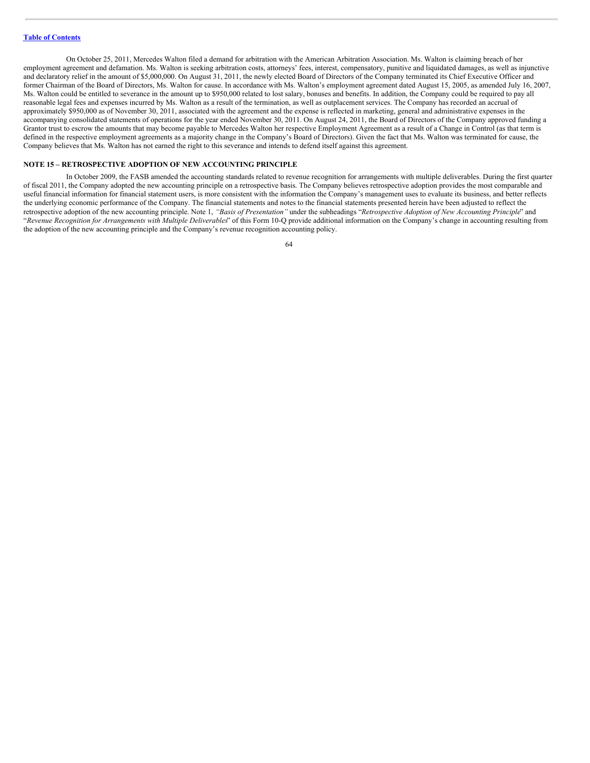On October 25, 2011, Mercedes Walton filed a demand for arbitration with the American Arbitration Association. Ms. Walton is claiming breach of her employment agreement and defamation. Ms. Walton is seeking arbitration costs, attorneys' fees, interest, compensatory, punitive and liquidated damages, as well as injunctive and declaratory relief in the amount of \$5,000,000. On August 31, 2011, the newly elected Board of Directors of the Company terminated its Chief Executive Officer and former Chairman of the Board of Directors, Ms. Walton for cause. In accordance with Ms. Walton's employment agreement dated August 15, 2005, as amended July 16, 2007, Ms. Walton could be entitled to severance in the amount up to \$950,000 related to lost salary, bonuses and benefits. In addition, the Company could be required to pay all reasonable legal fees and expenses incurred by Ms. Walton as a result of the termination, as well as outplacement services. The Company has recorded an accrual of approximately \$950,000 as of November 30, 2011, associated with the agreement and the expense is reflected in marketing, general and administrative expenses in the accompanying consolidated statements of operations for the year ended November 30, 2011. On August 24, 2011, the Board of Directors of the Company approved funding a Grantor trust to escrow the amounts that may become payable to Mercedes Walton her respective Employment Agreement as a result of a Change in Control (as that term is defined in the respective employment agreements as a majority change in the Company's Board of Directors). Given the fact that Ms. Walton was terminated for cause, the Company believes that Ms. Walton has not earned the right to this severance and intends to defend itself against this agreement.

## **NOTE 15 – RETROSPECTIVE ADOPTION OF NEW ACCOUNTING PRINCIPLE**

In October 2009, the FASB amended the accounting standards related to revenue recognition for arrangements with multiple deliverables. During the first quarter of fiscal 2011, the Company adopted the new accounting principle on a retrospective basis. The Company believes retrospective adoption provides the most comparable and useful financial information for financial statement users, is more consistent with the information the Company's management uses to evaluate its business, and better reflects the underlying economic performance of the Company. The financial statements and notes to the financial statements presented herein have been adjusted to reflect the retrospective adoption of the new accounting principle. Note 1, "Basis of Presentation" under the subheadings "Retrospective Adoption of New Accounting Principle" and "*Revenue Recognition for Arrangements with Multiple Deliverables*" of this Form 10-Q provide additional information on the Company's change in accounting resulting from the adoption of the new accounting principle and the Company's revenue recognition accounting policy.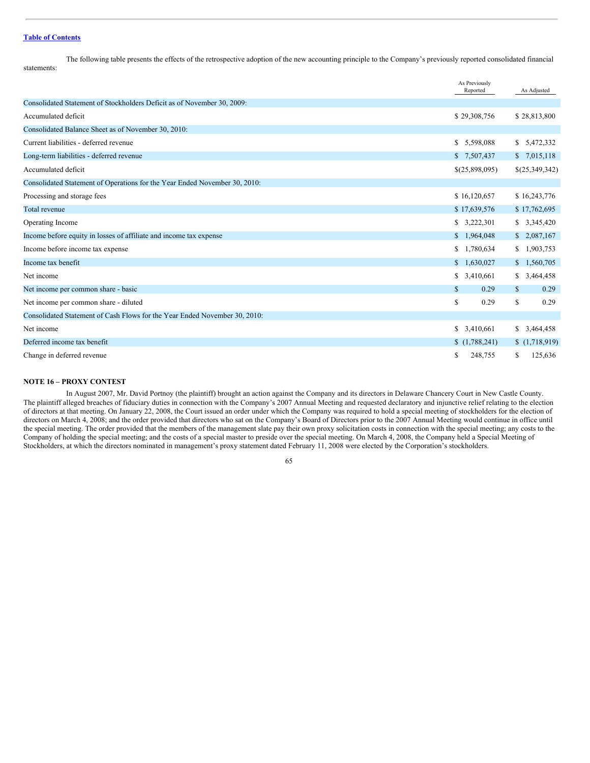The following table presents the effects of the retrospective adoption of the new accounting principle to the Company's previously reported consolidated financial statements:

|                                                                            | As Previously<br>Reported | As Adjusted          |
|----------------------------------------------------------------------------|---------------------------|----------------------|
| Consolidated Statement of Stockholders Deficit as of November 30, 2009:    |                           |                      |
| Accumulated deficit                                                        | \$29,308,756              | \$28,813,800         |
| Consolidated Balance Sheet as of November 30, 2010:                        |                           |                      |
| Current liabilities - deferred revenue                                     | \$ 5,598,088              | \$ 5,472,332         |
| Long-term liabilities - deferred revenue                                   | \$7,507,437               | \$7,015,118          |
| Accumulated deficit                                                        | \$(25,898,095)            | \$(25,349,342)       |
| Consolidated Statement of Operations for the Year Ended November 30, 2010: |                           |                      |
| Processing and storage fees                                                | \$16,120,657              | \$16,243,776         |
| Total revenue                                                              | \$17,639,576              | \$17,762,695         |
| Operating Income                                                           | \$3,222,301               | \$3,345,420          |
| Income before equity in losses of affiliate and income tax expense         | \$1,964,048               | \$2,087,167          |
| Income before income tax expense                                           | \$1,780,634               | \$1,903,753          |
| Income tax benefit                                                         | \$1,630,027               | \$1,560,705          |
| Net income                                                                 | \$3,410,661               | \$3,464,458          |
| Net income per common share - basic                                        | $\mathbb{S}$<br>0.29      | $\mathbb{S}$<br>0.29 |
| Net income per common share - diluted                                      | \$<br>0.29                | \$<br>0.29           |
| Consolidated Statement of Cash Flows for the Year Ended November 30, 2010: |                           |                      |
| Net income                                                                 | \$ 3,410,661              | \$3,464,458          |
| Deferred income tax benefit                                                | (1,788,241)               | \$(1,718,919)        |
| Change in deferred revenue                                                 | 248,755<br>\$             | 125,636<br>S.        |
|                                                                            |                           |                      |

# **NOTE 16 – PROXY CONTEST**

In August 2007, Mr. David Portnoy (the plaintiff) brought an action against the Company and its directors in Delaware Chancery Court in New Castle County. The plaintiff alleged breaches of fiduciary duties in connection with the Company's 2007 Annual Meeting and requested declaratory and injunctive relief relating to the election of directors at that meeting. On January 22, 2008, the Court issued an order under which the Company was required to hold a special meeting of stockholders for the election of directors on March 4, 2008; and the order provided that directors who sat on the Company's Board of Directors prior to the 2007 Annual Meeting would continue in office until the special meeting. The order provided that the members of the management slate pay their own proxy solicitation costs in connection with the special meeting; any costs to the Company of holding the special meeting; and the costs of a special master to preside over the special meeting. On March 4, 2008, the Company held a Special Meeting of Stockholders, at which the directors nominated in management's proxy statement dated February 11, 2008 were elected by the Corporation's stockholders.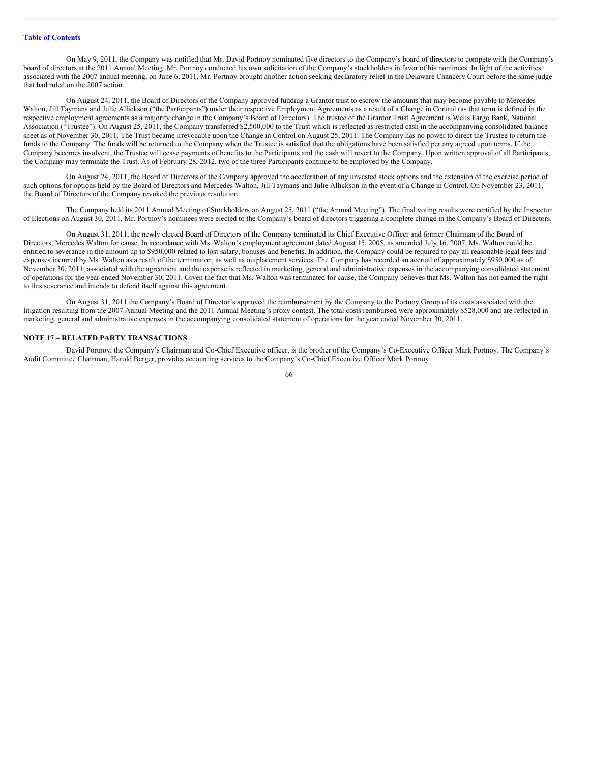On May 9, 2011, the Company was notified that Mr. David Portnoy nominated five directors to the Company's board of directors to compete with the Company's board of directors at the 2011 Annual Meeting. Mr. Portnoy conducted his own solicitation of the Company's stockholders in favor of his nominees. In light of the activities associated with the 2007 annual meeting, on June 6, 2011, Mr. Portnoy brought another action seeking declaratory relief in the Delaware Chancery Court before the same judge that had ruled on the 2007 action.

On August 24, 2011, the Board of Directors of the Company approved funding a Grantor trust to escrow the amounts that may become payable to Mercedes Walton, Jill Taymans and Julie Allickson ("the Participants") under their respective Employment Agreements as a result of a Change in Control (as that term is defined in the respective employment agreements as a majority change in the Company's Board of Directors). The trustee of the Grantor Trust Agreement is Wells Fargo Bank, National Association ("Trustee"). On August 25, 2011, the Company transferred \$2,500,000 to the Trust which is reflected as restricted cash in the accompanying consolidated balance sheet as of November 30, 2011. The Trust became irrevocable upon the Change in Control on August 25, 2011. The Company has no power to direct the Trustee to return the funds to the Company. The funds will be returned to the Company when the Trustee is satisfied that the obligations have been satisfied per any agreed upon terms. If the Company becomes insolvent, the Trustee will cease payments of benefits to the Participants and the cash will revert to the Company. Upon written approval of all Participants, the Company may terminate the Trust. As of February 28, 2012, two of the three Participants continue to be employed by the Company.

On August 24, 2011, the Board of Directors of the Company approved the acceleration of any unvested stock options and the extension of the exercise period of such options for options held by the Board of Directors and Mercedes Walton, Jill Taymans and Julie Allickson in the event of a Change in Control. On November 23, 2011, the Board of Directors of the Company revoked the previous resolution.

The Company held its 2011 Annual Meeting of Stockholders on August 25, 2011 ("the Annual Meeting"). The final voting results were certified by the Inspector of Elections on August 30, 2011. Mr. Portnoy's nominees were elected to the Company's board of directors triggering a complete change in the Company's Board of Directors.

On August 31, 2011, the newly elected Board of Directors of the Company terminated its Chief Executive Officer and former Chairman of the Board of Directors, Mercedes Walton for cause. In accordance with Ms. Walton's employment agreement dated August 15, 2005, as amended July 16, 2007, Ms. Walton could be entitled to severance in the amount up to \$950,000 related to lost salary, bonuses and benefits. In addition, the Company could be required to pay all reasonable legal fees and expenses incurred by Ms. Walton as a result of the termination, as well as outplacement services. The Company has recorded an accrual of approximately \$950,000 as of November 30, 2011, associated with the agreement and the expense is reflected in marketing, general and administrative expenses in the accompanying consolidated statement of operations for the year ended November 30, 2011. Given the fact that Ms. Walton was terminated for cause, the Company believes that Ms. Walton has not earned the right to this severance and intends to defend itself against this agreement.

On August 31, 2011 the Company's Board of Director's approved the reimbursement by the Company to the Portnoy Group of its costs associated with the litigation resulting from the 2007 Annual Meeting and the 2011 Annual Meeting's proxy contest. The total costs reimbursed were approximately \$528,000 and are reflected in marketing, general and administrative expenses in the accompanying consolidated statement of operations for the year ended November 30, 2011.

## **NOTE 17 – RELATED PARTY TRANSACTIONS**

David Portnoy, the Company's Chairman and Co-Chief Executive officer, is the brother of the Company's Co-Executive Officer Mark Portnoy. The Company's Audit Committee Chairman, Harold Berger, provides accounting services to the Company's Co-Chief Executive Officer Mark Portnoy.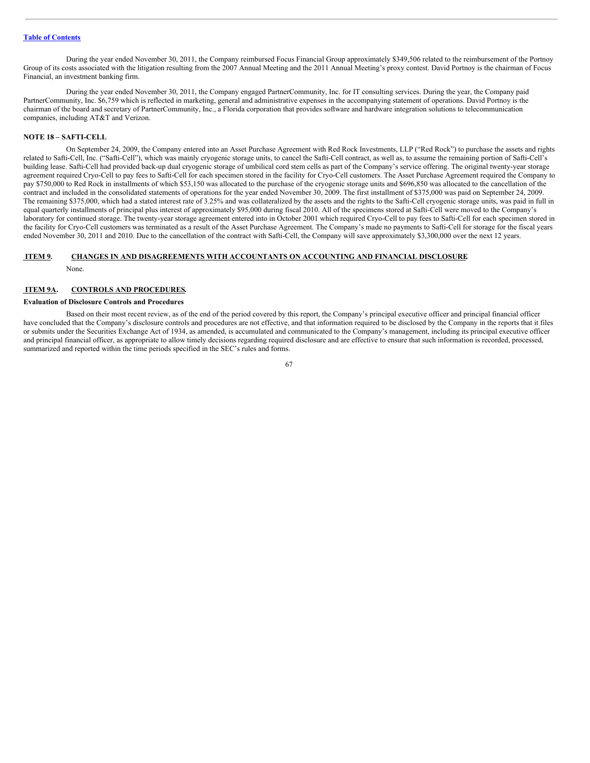During the year ended November 30, 2011, the Company reimbursed Focus Financial Group approximately \$349,506 related to the reimbursement of the Portnoy Group of its costs associated with the litigation resulting from the 2007 Annual Meeting and the 2011 Annual Meeting's proxy contest. David Portnoy is the chairman of Focus Financial, an investment banking firm.

During the year ended November 30, 2011, the Company engaged PartnerCommunity, Inc. for IT consulting services. During the year, the Company paid PartnerCommunity, Inc. \$6,759 which is reflected in marketing, general and administrative expenses in the accompanying statement of operations. David Portnoy is the chairman of the board and secretary of PartnerCommunity, Inc., a Florida corporation that provides software and hardware integration solutions to telecommunication companies, including AT&T and Verizon.

### **NOTE 18 – SAFTI-CELL**

On September 24, 2009, the Company entered into an Asset Purchase Agreement with Red Rock Investments, LLP ("Red Rock") to purchase the assets and rights related to Safti-Cell, Inc. ("Safti-Cell"), which was mainly cryogenic storage units, to cancel the Safti-Cell contract, as well as, to assume the remaining portion of Safti-Cell's building lease. Safti-Cell had provided back-up dual cryogenic storage of umbilical cord stem cells as part of the Company's service offering. The original twenty-year storage agreement required Cryo-Cell to pay fees to Safti-Cell for each specimen stored in the facility for Cryo-Cell customers. The Asset Purchase Agreement required the Company to pay \$750,000 to Red Rock in installments of which \$53,150 was allocated to the purchase of the cryogenic storage units and \$696,850 was allocated to the cancellation of the contract and included in the consolidated statements of operations for the year ended November 30, 2009. The first installment of \$375,000 was paid on September 24, 2009. The remaining \$375,000, which had a stated interest rate of 3.25% and was collateralized by the assets and the rights to the Safti-Cell cryogenic storage units, was paid in full in equal quarterly installments of principal plus interest of approximately \$95,000 during fiscal 2010. All of the specimens stored at Safti-Cell were moved to the Company's laboratory for continued storage. The twenty-year storage agreement entered into in October 2001 which required Cryo-Cell to pay fees to Safti-Cell for each specimen stored in the facility for Cryo-Cell customers was terminated as a result of the Asset Purchase Agreement. The Company's made no payments to Safti-Cell for storage for the fiscal years ended November 30, 2011 and 2010. Due to the cancellation of the contract with Safti-Cell, the Company will save approximately \$3,300,000 over the next 12 years.

## **ITEM 9. CHANGES IN AND DISAGREEMENTS WITH ACCOUNTANTS ON ACCOUNTING AND FINANCIAL DISCLOSURE.**

None.

### **ITEM 9A. CONTROLS AND PROCEDURES.**

## **Evaluation of Disclosure Controls and Procedures**

Based on their most recent review, as of the end of the period covered by this report, the Company's principal executive officer and principal financial officer have concluded that the Company's disclosure controls and procedures are not effective, and that information required to be disclosed by the Company in the reports that it files or submits under the Securities Exchange Act of 1934, as amended, is accumulated and communicated to the Company's management, including its principal executive officer and principal financial officer, as appropriate to allow timely decisions regarding required disclosure and are effective to ensure that such information is recorded, processed, summarized and reported within the time periods specified in the SEC's rules and forms.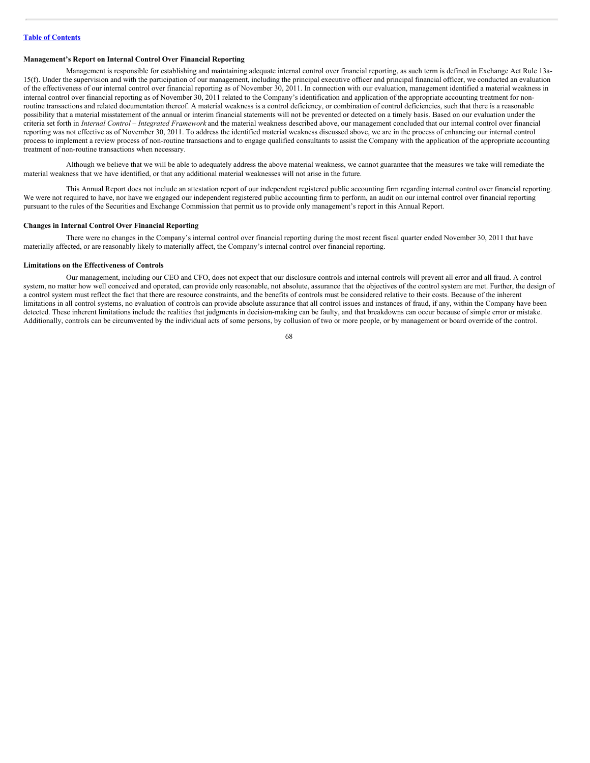## **Management's Report on Internal Control Over Financial Reporting**

Management is responsible for establishing and maintaining adequate internal control over financial reporting, as such term is defined in Exchange Act Rule 13a-15(f). Under the supervision and with the participation of our management, including the principal executive officer and principal financial officer, we conducted an evaluation of the effectiveness of our internal control over financial reporting as of November 30, 2011. In connection with our evaluation, management identified a material weakness in internal control over financial reporting as of November 30, 2011 related to the Company's identification and application of the appropriate accounting treatment for nonroutine transactions and related documentation thereof. A material weakness is a control deficiency, or combination of control deficiencies, such that there is a reasonable possibility that a material misstatement of the annual or interim financial statements will not be prevented or detected on a timely basis. Based on our evaluation under the criteria set forth in *Internal Control – Integrated Framework* and the material weakness described above, our management concluded that our internal control over financial reporting was not effective as of November 30, 2011. To address the identified material weakness discussed above, we are in the process of enhancing our internal control process to implement a review process of non-routine transactions and to engage qualified consultants to assist the Company with the application of the appropriate accounting treatment of non-routine transactions when necessary.

Although we believe that we will be able to adequately address the above material weakness, we cannot guarantee that the measures we take will remediate the material weakness that we have identified, or that any additional material weaknesses will not arise in the future.

This Annual Report does not include an attestation report of our independent registered public accounting firm regarding internal control over financial reporting. We were not required to have, nor have we engaged our independent registered public accounting firm to perform, an audit on our internal control over financial reporting pursuant to the rules of the Securities and Exchange Commission that permit us to provide only management's report in this Annual Report.

### **Changes in Internal Control Over Financial Reporting**

There were no changes in the Company's internal control over financial reporting during the most recent fiscal quarter ended November 30, 2011 that have materially affected, or are reasonably likely to materially affect, the Company's internal control over financial reporting.

#### **Limitations on the Effectiveness of Controls**

Our management, including our CEO and CFO, does not expect that our disclosure controls and internal controls will prevent all error and all fraud. A control system, no matter how well conceived and operated, can provide only reasonable, not absolute, assurance that the objectives of the control system are met. Further, the design of a control system must reflect the fact that there are resource constraints, and the benefits of controls must be considered relative to their costs. Because of the inherent limitations in all control systems, no evaluation of controls can provide absolute assurance that all control issues and instances of fraud, if any, within the Company have been detected. These inherent limitations include the realities that judgments in decision-making can be faulty, and that breakdowns can occur because of simple error or mistake. Additionally, controls can be circumvented by the individual acts of some persons, by collusion of two or more people, or by management or board override of the control.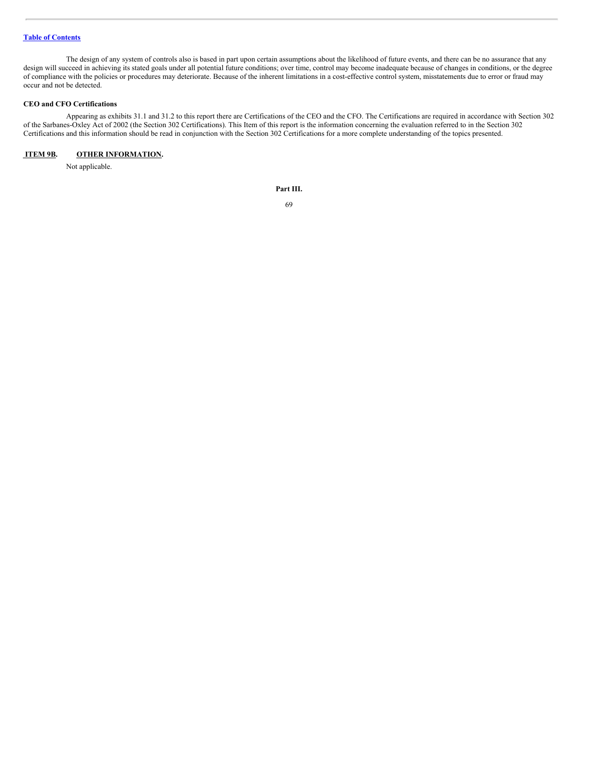The design of any system of controls also is based in part upon certain assumptions about the likelihood of future events, and there can be no assurance that any design will succeed in achieving its stated goals under all potential future conditions; over time, control may become inadequate because of changes in conditions, or the degree of compliance with the policies or procedures may deteriorate. Because of the inherent limitations in a cost-effective control system, misstatements due to error or fraud may occur and not be detected.

### **CEO and CFO Certifications**

Appearing as exhibits 31.1 and 31.2 to this report there are Certifications of the CEO and the CFO. The Certifications are required in accordance with Section 302 of the Sarbanes-Oxley Act of 2002 (the Section 302 Certifications). This Item of this report is the information concerning the evaluation referred to in the Section 302 Certifications and this information should be read in conjunction with the Section 302 Certifications for a more complete understanding of the topics presented.

# **ITEM 9B. OTHER INFORMATION.**

Not applicable.

**Part III.**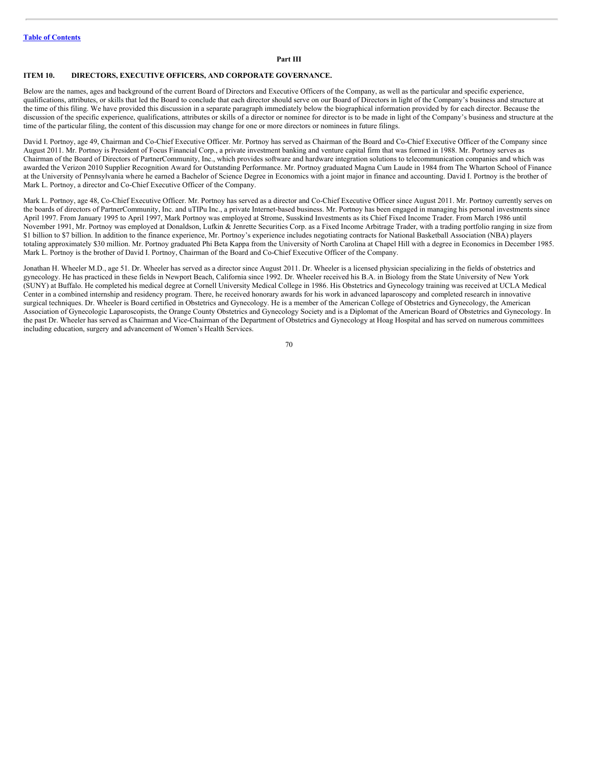## **Part III**

### **ITEM 10. DIRECTORS, EXECUTIVE OFFICERS, AND CORPORATE GOVERNANCE.**

Below are the names, ages and background of the current Board of Directors and Executive Officers of the Company, as well as the particular and specific experience, qualifications, attributes, or skills that led the Board to conclude that each director should serve on our Board of Directors in light of the Company's business and structure at the time of this filing. We have provided this discussion in a separate paragraph immediately below the biographical information provided by for each director. Because the discussion of the specific experience, qualifications, attributes or skills of a director or nominee for director is to be made in light of the Company's business and structure at the time of the particular filing, the content of this discussion may change for one or more directors or nominees in future filings.

David I. Portnoy, age 49, Chairman and Co-Chief Executive Officer. Mr. Portnoy has served as Chairman of the Board and Co-Chief Executive Officer of the Company since August 2011. Mr. Portnoy is President of Focus Financial Corp., a private investment banking and venture capital firm that was formed in 1988. Mr. Portnoy serves as Chairman of the Board of Directors of PartnerCommunity, Inc., which provides software and hardware integration solutions to telecommunication companies and which was awarded the Verizon 2010 Supplier Recognition Award for Outstanding Performance. Mr. Portnoy graduated Magna Cum Laude in 1984 from The Wharton School of Finance at the University of Pennsylvania where he earned a Bachelor of Science Degree in Economics with a joint major in finance and accounting. David I. Portnoy is the brother of Mark L. Portnoy, a director and Co-Chief Executive Officer of the Company.

Mark L. Portnoy, age 48, Co-Chief Executive Officer. Mr. Portnoy has served as a director and Co-Chief Executive Officer since August 2011. Mr. Portnoy currently serves on the boards of directors of PartnerCommunity, Inc. and uTIPu Inc., a private Internet-based business. Mr. Portnoy has been engaged in managing his personal investments since April 1997. From January 1995 to April 1997, Mark Portnoy was employed at Strome, Susskind Investments as its Chief Fixed Income Trader. From March 1986 until November 1991, Mr. Portnoy was employed at Donaldson, Lufkin & Jenrette Securities Corp. as a Fixed Income Arbitrage Trader, with a trading portfolio ranging in size from \$1 billion to \$7 billion. In addition to the finance experience, Mr. Portnoy's experience includes negotiating contracts for National Basketball Association (NBA) players totaling approximately \$30 million. Mr. Portnoy graduated Phi Beta Kappa from the University of North Carolina at Chapel Hill with a degree in Economics in December 1985. Mark L. Portnoy is the brother of David I. Portnoy, Chairman of the Board and Co-Chief Executive Officer of the Company.

Jonathan H. Wheeler M.D., age 51. Dr. Wheeler has served as a director since August 2011. Dr. Wheeler is a licensed physician specializing in the fields of obstetrics and gynecology. He has practiced in these fields in Newport Beach, California since 1992. Dr. Wheeler received his B.A. in Biology from the State University of New York (SUNY) at Buffalo. He completed his medical degree at Cornell University Medical College in 1986. His Obstetrics and Gynecology training was received at UCLA Medical Center in a combined internship and residency program. There, he received honorary awards for his work in advanced laparoscopy and completed research in innovative surgical techniques. Dr. Wheeler is Board certified in Obstetrics and Gynecology. He is a member of the American College of Obstetrics and Gynecology, the American Association of Gynecologic Laparoscopists, the Orange County Obstetrics and Gynecology Society and is a Diplomat of the American Board of Obstetrics and Gynecology. In the past Dr. Wheeler has served as Chairman and Vice-Chairman of the Department of Obstetrics and Gynecology at Hoag Hospital and has served on numerous committees including education, surgery and advancement of Women's Health Services.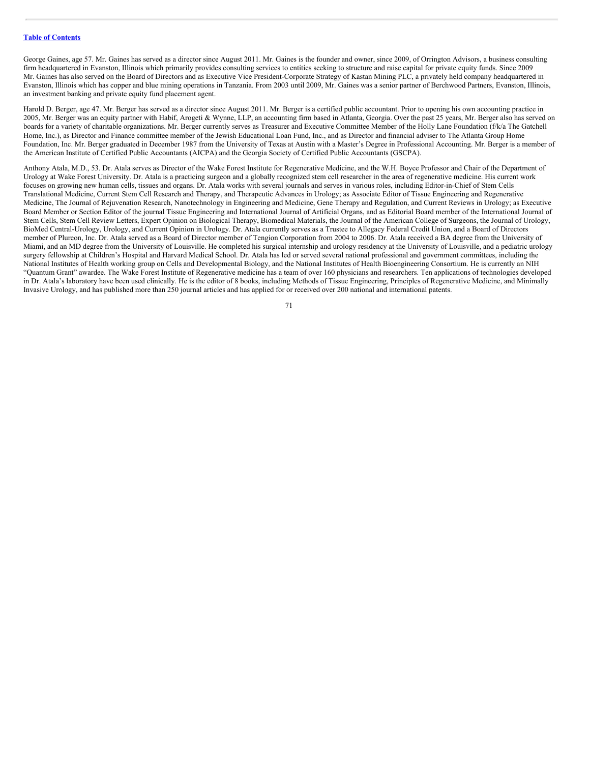George Gaines, age 57. Mr. Gaines has served as a director since August 2011. Mr. Gaines is the founder and owner, since 2009, of Orrington Advisors, a business consulting firm headquartered in Evanston, Illinois which primarily provides consulting services to entities seeking to structure and raise capital for private equity funds. Since 2009 Mr. Gaines has also served on the Board of Directors and as Executive Vice President-Corporate Strategy of Kastan Mining PLC, a privately held company headquartered in Evanston, Illinois which has copper and blue mining operations in Tanzania. From 2003 until 2009, Mr. Gaines was a senior partner of Berchwood Partners, Evanston, Illinois, an investment banking and private equity fund placement agent.

Harold D. Berger, age 47. Mr. Berger has served as a director since August 2011. Mr. Berger is a certified public accountant. Prior to opening his own accounting practice in 2005, Mr. Berger was an equity partner with Habif, Arogeti & Wynne, LLP, an accounting firm based in Atlanta, Georgia. Over the past 25 years, Mr. Berger also has served on boards for a variety of charitable organizations. Mr. Berger currently serves as Treasurer and Executive Committee Member of the Holly Lane Foundation (f/k/a The Gatchell Home, Inc.), as Director and Finance committee member of the Jewish Educational Loan Fund, Inc., and as Director and financial adviser to The Atlanta Group Home Foundation, Inc. Mr. Berger graduated in December 1987 from the University of Texas at Austin with a Master's Degree in Professional Accounting. Mr. Berger is a member of the American Institute of Certified Public Accountants (AICPA) and the Georgia Society of Certified Public Accountants (GSCPA).

Anthony Atala, M.D., 53. Dr. Atala serves as Director of the Wake Forest Institute for Regenerative Medicine, and the W.H. Boyce Professor and Chair of the Department of Urology at Wake Forest University. Dr. Atala is a practicing surgeon and a globally recognized stem cell researcher in the area of regenerative medicine. His current work focuses on growing new human cells, tissues and organs. Dr. Atala works with several journals and serves in various roles, including Editor-in-Chief of Stem Cells Translational Medicine, Current Stem Cell Research and Therapy, and Therapeutic Advances in Urology; as Associate Editor of Tissue Engineering and Regenerative Medicine, The Journal of Rejuvenation Research, Nanotechnology in Engineering and Medicine, Gene Therapy and Regulation, and Current Reviews in Urology; as Executive Board Member or Section Editor of the journal Tissue Engineering and International Journal of Artificial Organs, and as Editorial Board member of the International Journal of Stem Cells, Stem Cell Review Letters, Expert Opinion on Biological Therapy, Biomedical Materials, the Journal of the American College of Surgeons, the Journal of Urology, BioMed Central-Urology, Urology, and Current Opinion in Urology. Dr. Atala currently serves as a Trustee to Allegacy Federal Credit Union, and a Board of Directors member of Plureon, Inc. Dr. Atala served as a Board of Director member of Tengion Corporation from 2004 to 2006. Dr. Atala received a BA degree from the University of Miami, and an MD degree from the University of Louisville. He completed his surgical internship and urology residency at the University of Louisville, and a pediatric urology surgery fellowship at Children's Hospital and Harvard Medical School. Dr. Atala has led or served several national professional and government committees, including the National Institutes of Health working group on Cells and Developmental Biology, and the National Institutes of Health Bioengineering Consortium. He is currently an NIH "Quantum Grant" awardee. The Wake Forest Institute of Regenerative medicine has a team of over 160 physicians and researchers. Ten applications of technologies developed in Dr. Atala's laboratory have been used clinically. He is the editor of 8 books, including Methods of Tissue Engineering, Principles of Regenerative Medicine, and Minimally Invasive Urology, and has published more than 250 journal articles and has applied for or received over 200 national and international patents.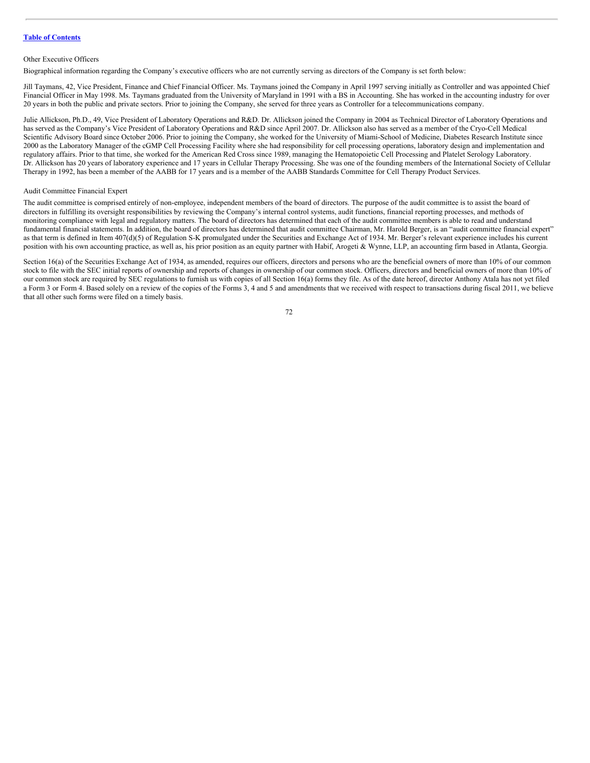## Other Executive Officers

Biographical information regarding the Company's executive officers who are not currently serving as directors of the Company is set forth below:

Jill Taymans, 42, Vice President, Finance and Chief Financial Officer. Ms. Taymans joined the Company in April 1997 serving initially as Controller and was appointed Chief Financial Officer in May 1998. Ms. Taymans graduated from the University of Maryland in 1991 with a BS in Accounting. She has worked in the accounting industry for over 20 years in both the public and private sectors. Prior to joining the Company, she served for three years as Controller for a telecommunications company.

Julie Allickson, Ph.D., 49, Vice President of Laboratory Operations and R&D. Dr. Allickson joined the Company in 2004 as Technical Director of Laboratory Operations and has served as the Company's Vice President of Laboratory Operations and R&D since April 2007. Dr. Allickson also has served as a member of the Cryo-Cell Medical Scientific Advisory Board since October 2006. Prior to joining the Company, she worked for the University of Miami-School of Medicine, Diabetes Research Institute since 2000 as the Laboratory Manager of the cGMP Cell Processing Facility where she had responsibility for cell processing operations, laboratory design and implementation and regulatory affairs. Prior to that time, she worked for the American Red Cross since 1989, managing the Hematopoietic Cell Processing and Platelet Serology Laboratory. Dr. Allickson has 20 years of laboratory experience and 17 years in Cellular Therapy Processing. She was one of the founding members of the International Society of Cellular Therapy in 1992, has been a member of the AABB for 17 years and is a member of the AABB Standards Committee for Cell Therapy Product Services.

### Audit Committee Financial Expert

The audit committee is comprised entirely of non-employee, independent members of the board of directors. The purpose of the audit committee is to assist the board of directors in fulfilling its oversight responsibilities by reviewing the Company's internal control systems, audit functions, financial reporting processes, and methods of monitoring compliance with legal and regulatory matters. The board of directors has determined that each of the audit committee members is able to read and understand fundamental financial statements. In addition, the board of directors has determined that audit committee Chairman, Mr. Harold Berger, is an "audit committee financial expert" as that term is defined in Item 407(d)(5) of Regulation S-K promulgated under the Securities and Exchange Act of 1934. Mr. Berger's relevant experience includes his current position with his own accounting practice, as well as, his prior position as an equity partner with Habif, Arogeti & Wynne, LLP, an accounting firm based in Atlanta, Georgia.

Section 16(a) of the Securities Exchange Act of 1934, as amended, requires our officers, directors and persons who are the beneficial owners of more than 10% of our common stock to file with the SEC initial reports of ownership and reports of changes in ownership of our common stock. Officers, directors and beneficial owners of more than 10% of our common stock are required by SEC regulations to furnish us with copies of all Section 16(a) forms they file. As of the date hereof, director Anthony Atala has not yet filed a Form 3 or Form 4. Based solely on a review of the copies of the Forms 3, 4 and 5 and amendments that we received with respect to transactions during fiscal 2011, we believe that all other such forms were filed on a timely basis.

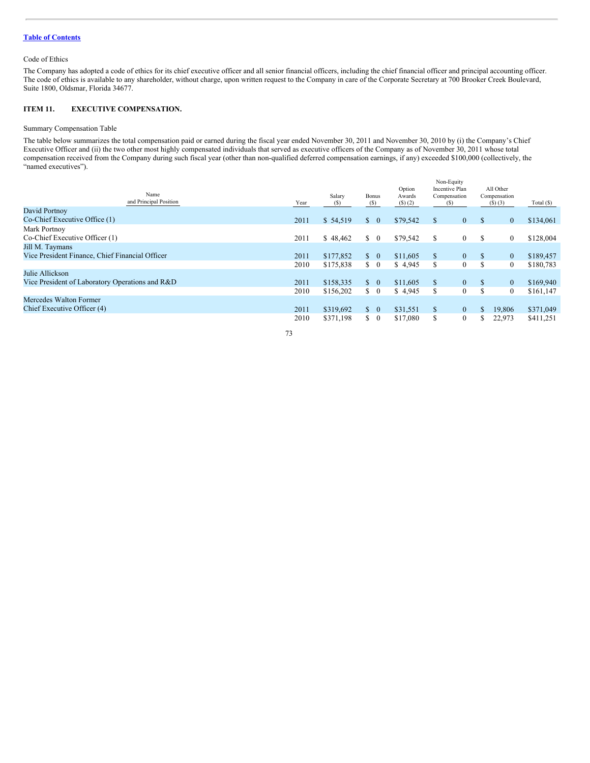Code of Ethics

The Company has adopted a code of ethics for its chief executive officer and all senior financial officers, including the chief financial officer and principal accounting officer. The code of ethics is available to any shareholder, without charge, upon written request to the Company in care of the Corporate Secretary at 700 Brooker Creek Boulevard, Suite 1800, Oldsmar, Florida 34677.

#### **ITEM 11. EXECUTIVE COMPENSATION.**

#### Summary Compensation Table

The table below summarizes the total compensation paid or earned during the fiscal year ended November 30, 2011 and November 30, 2010 by (i) the Company's Chief Executive Officer and (ii) the two other most highly compensated individuals that served as executive officers of the Company as of November 30, 2011 whose total compensation received from the Company during such fiscal year (other than non-qualified deferred compensation earnings, if any) exceeded \$100,000 (collectively, the "named executives").

| Name<br>and Principal Position                  | Year | Salary<br>(S) | <b>Bonus</b><br>(S)             | Option<br>Awards<br>$(S)$ (2) |             | Non-Equity<br>Incentive Plan<br>Compensation<br>(S) |               | All Other<br>Compensation<br>$(S)$ $(3)$ | Total (\$) |
|-------------------------------------------------|------|---------------|---------------------------------|-------------------------------|-------------|-----------------------------------------------------|---------------|------------------------------------------|------------|
| David Portnoy                                   |      |               |                                 |                               |             |                                                     |               |                                          |            |
| Co-Chief Executive Office (1)                   | 2011 | \$54,519      | S.<br>$\overline{0}$            | \$79,542                      | $\mathbf S$ | $\overline{0}$                                      | <sup>\$</sup> | $\mathbf{0}$                             | \$134,061  |
| Mark Portnoy                                    |      |               |                                 |                               |             |                                                     |               |                                          |            |
| Co-Chief Executive Officer (1)                  | 2011 | \$48,462      | S.<br>$\overline{0}$            | \$79,542                      | S           | $\mathbf{0}$                                        | \$            | $\mathbf{0}$                             | \$128,004  |
| Jill M. Taymans                                 |      |               |                                 |                               |             |                                                     |               |                                          |            |
| Vice President Finance, Chief Financial Officer | 2011 | \$177,852     | $\begin{matrix} 0 \end{matrix}$ | \$11,605                      | S           | $\mathbf{0}$                                        | \$            | $\mathbf{0}$                             | \$189,457  |
|                                                 | 2010 | \$175,838     | $\begin{matrix} 0 \end{matrix}$ | \$4,945                       | S           | $\mathbf{0}$                                        | $\mathbb{S}$  | $\mathbf{0}$                             | \$180,783  |
| Julie Allickson                                 |      |               |                                 |                               |             |                                                     |               |                                          |            |
| Vice President of Laboratory Operations and R&D | 2011 | \$158,335     | $\hat{S}$ 0                     | \$11,605                      | \$          | $\mathbf{0}$                                        | <sup>\$</sup> | $\mathbf{0}$                             | \$169,940  |
|                                                 | 2010 | \$156,202     | $\begin{matrix} 0 \end{matrix}$ | \$4,945                       | S           | $\mathbf{0}$                                        | \$            | $\mathbf{0}$                             | \$161,147  |
| Mercedes Walton Former                          |      |               |                                 |                               |             |                                                     |               |                                          |            |
| Chief Executive Officer (4)                     | 2011 | \$319,692     | $\mathbb{S}$<br>$\overline{0}$  | \$31,551                      | S           | $\mathbf{0}$                                        | \$.           | 19.806                                   | \$371,049  |
|                                                 | 2010 | \$371,198     | $\mathbf{s}$<br>$\overline{0}$  | \$17,080                      | S           | $\mathbf{0}$                                        | \$.           | 22,973                                   | \$411,251  |
|                                                 |      |               |                                 |                               |             |                                                     |               |                                          |            |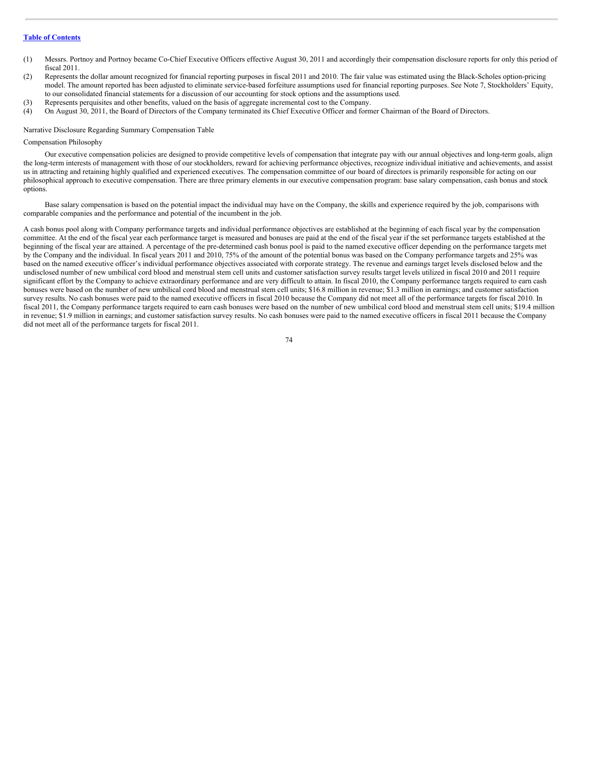- (1) Messrs. Portnoy and Portnoy became Co-Chief Executive Officers effective August 30, 2011 and accordingly their compensation disclosure reports for only this period of fiscal 2011.
- (2) Represents the dollar amount recognized for financial reporting purposes in fiscal 2011 and 2010. The fair value was estimated using the Black-Scholes option-pricing model. The amount reported has been adjusted to eliminate service-based forfeiture assumptions used for financial reporting purposes. See Note 7, Stockholders' Equity, to our consolidated financial statements for a discussion of our accounting for stock options and the assumptions used.
- (3) Represents perquisites and other benefits, valued on the basis of aggregate incremental cost to the Company.
- (4) On August 30, 2011, the Board of Directors of the Company terminated its Chief Executive Officer and former Chairman of the Board of Directors.

#### Narrative Disclosure Regarding Summary Compensation Table

#### Compensation Philosophy

Our executive compensation policies are designed to provide competitive levels of compensation that integrate pay with our annual objectives and long-term goals, align the long-term interests of management with those of our stockholders, reward for achieving performance objectives, recognize individual initiative and achievements, and assist us in attracting and retaining highly qualified and experienced executives. The compensation committee of our board of directors is primarily responsible for acting on our philosophical approach to executive compensation. There are three primary elements in our executive compensation program: base salary compensation, cash bonus and stock options.

Base salary compensation is based on the potential impact the individual may have on the Company, the skills and experience required by the job, comparisons with comparable companies and the performance and potential of the incumbent in the job.

A cash bonus pool along with Company performance targets and individual performance objectives are established at the beginning of each fiscal year by the compensation committee. At the end of the fiscal year each performance target is measured and bonuses are paid at the end of the fiscal year if the set performance targets established at the beginning of the fiscal year are attained. A percentage of the pre-determined cash bonus pool is paid to the named executive officer depending on the performance targets met by the Company and the individual. In fiscal years 2011 and 2010, 75% of the amount of the potential bonus was based on the Company performance targets and 25% was based on the named executive officer's individual performance objectives associated with corporate strategy. The revenue and earnings target levels disclosed below and the undisclosed number of new umbilical cord blood and menstrual stem cell units and customer satisfaction survey results target levels utilized in fiscal 2010 and 2011 require significant effort by the Company to achieve extraordinary performance and are very difficult to attain. In fiscal 2010, the Company performance targets required to earn cash bonuses were based on the number of new umbilical cord blood and menstrual stem cell units; \$16.8 million in revenue; \$1.3 million in earnings; and customer satisfaction survey results. No cash bonuses were paid to the named executive officers in fiscal 2010 because the Company did not meet all of the performance targets for fiscal 2010. In fiscal 2011, the Company performance targets required to earn cash bonuses were based on the number of new umbilical cord blood and menstrual stem cell units; \$19.4 million in revenue; \$1.9 million in earnings; and customer satisfaction survey results. No cash bonuses were paid to the named executive officers in fiscal 2011 because the Company did not meet all of the performance targets for fiscal 2011.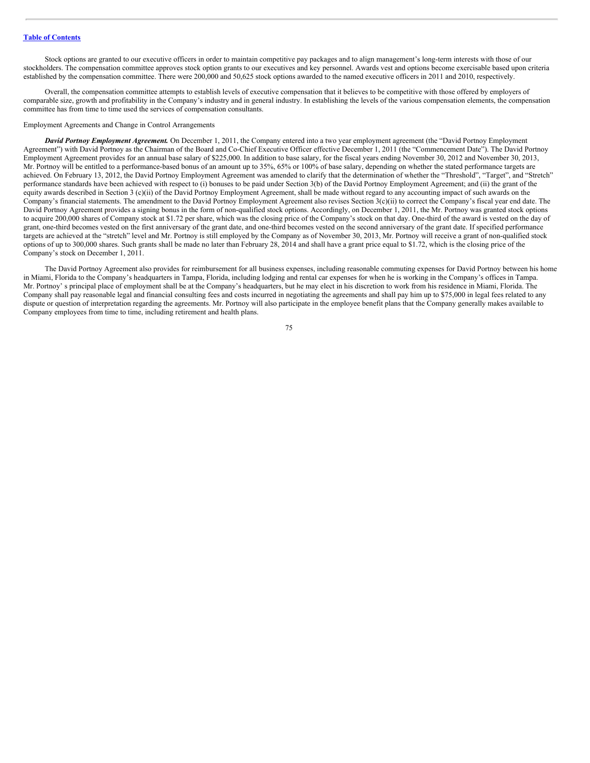Stock options are granted to our executive officers in order to maintain competitive pay packages and to align management's long-term interests with those of our stockholders. The compensation committee approves stock option grants to our executives and key personnel. Awards vest and options become exercisable based upon criteria established by the compensation committee. There were 200,000 and 50,625 stock options awarded to the named executive officers in 2011 and 2010, respectively.

Overall, the compensation committee attempts to establish levels of executive compensation that it believes to be competitive with those offered by employers of comparable size, growth and profitability in the Company's industry and in general industry. In establishing the levels of the various compensation elements, the compensation committee has from time to time used the services of compensation consultants.

#### Employment Agreements and Change in Control Arrangements

*David Portnoy Employment Agreement.* On December 1, 2011, the Company entered into a two year employment agreement (the "David Portnoy Employment Agreement") with David Portnoy as the Chairman of the Board and Co-Chief Executive Officer effective December 1, 2011 (the "Commencement Date"). The David Portnoy Employment Agreement provides for an annual base salary of \$225,000. In addition to base salary, for the fiscal years ending November 30, 2012 and November 30, 2013, Mr. Portnoy will be entitled to a performance-based bonus of an amount up to 35%, 65% or 100% of base salary, depending on whether the stated performance targets are achieved. On February 13, 2012, the David Portnoy Employment Agreement was amended to clarify that the determination of whether the "Threshold", "Target", and "Stretch" performance standards have been achieved with respect to (i) bonuses to be paid under Section 3(b) of the David Portnoy Employment Agreement; and (ii) the grant of the equity awards described in Section 3 (c)(ii) of the David Portnoy Employment Agreement, shall be made without regard to any accounting impact of such awards on the Company's financial statements. The amendment to the David Portnoy Employment Agreement also revises Section 3(c)(ii) to correct the Company's fiscal year end date. The David Portnoy Agreement provides a signing bonus in the form of non-qualified stock options. Accordingly, on December 1, 2011, the Mr. Portnoy was granted stock options to acquire 200,000 shares of Company stock at \$1.72 per share, which was the closing price of the Company's stock on that day. One-third of the award is vested on the day of grant, one-third becomes vested on the first anniversary of the grant date, and one-third becomes vested on the second anniversary of the grant date. If specified performance targets are achieved at the "stretch" level and Mr. Portnoy is still employed by the Company as of November 30, 2013, Mr. Portnoy will receive a grant of non-qualified stock options of up to 300,000 shares. Such grants shall be made no later than February 28, 2014 and shall have a grant price equal to \$1.72, which is the closing price of the Company's stock on December 1, 2011.

The David Portnoy Agreement also provides for reimbursement for all business expenses, including reasonable commuting expenses for David Portnoy between his home in Miami, Florida to the Company's headquarters in Tampa, Florida, including lodging and rental car expenses for when he is working in the Company's offices in Tampa. Mr. Portnoy' s principal place of employment shall be at the Company's headquarters, but he may elect in his discretion to work from his residence in Miami, Florida. The Company shall pay reasonable legal and financial consulting fees and costs incurred in negotiating the agreements and shall pay him up to \$75,000 in legal fees related to any dispute or question of interpretation regarding the agreements. Mr. Portnoy will also participate in the employee benefit plans that the Company generally makes available to Company employees from time to time, including retirement and health plans.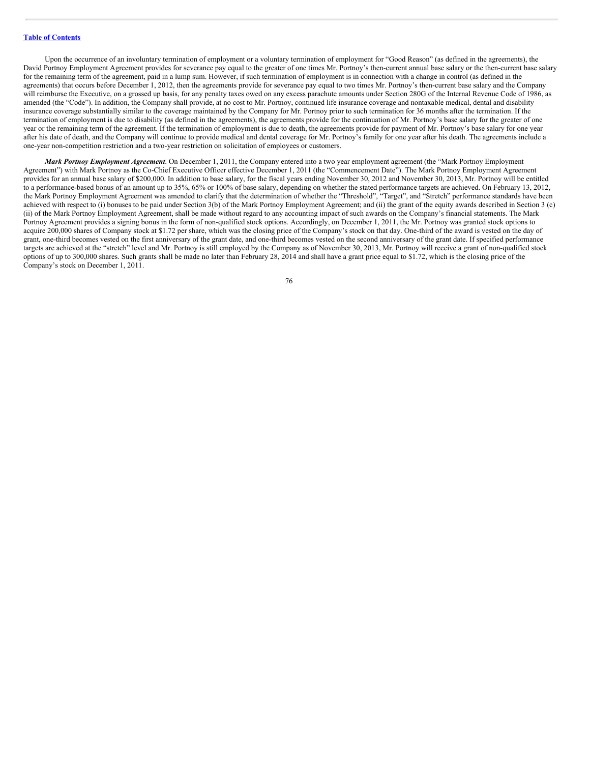Upon the occurrence of an involuntary termination of employment or a voluntary termination of employment for "Good Reason" (as defined in the agreements), the David Portnoy Employment Agreement provides for severance pay equal to the greater of one times Mr. Portnoy's then-current annual base salary or the then-current base salary for the remaining term of the agreement, paid in a lump sum. However, if such termination of employment is in connection with a change in control (as defined in the agreements) that occurs before December 1, 2012, then the agreements provide for severance pay equal to two times Mr. Portnoy's then-current base salary and the Company will reimburse the Executive, on a grossed up basis, for any penalty taxes owed on any excess parachute amounts under Section 280G of the Internal Revenue Code of 1986, as amended (the "Code"). In addition, the Company shall provide, at no cost to Mr. Portnoy, continued life insurance coverage and nontaxable medical, dental and disability insurance coverage substantially similar to the coverage maintained by the Company for Mr. Portnoy prior to such termination for 36 months after the termination. If the termination of employment is due to disability (as defined in the agreements), the agreements provide for the continuation of Mr. Portnoy's base salary for the greater of one year or the remaining term of the agreement. If the termination of employment is due to death, the agreements provide for payment of Mr. Portnoy's base salary for one year after his date of death, and the Company will continue to provide medical and dental coverage for Mr. Portnoy's family for one year after his death. The agreements include a one-year non-competition restriction and a two-year restriction on solicitation of employees or customers.

*Mark Portnoy Employment Agreement*. On December 1, 2011, the Company entered into a two year employment agreement (the "Mark Portnoy Employment Agreement") with Mark Portnoy as the Co-Chief Executive Officer effective December 1, 2011 (the "Commencement Date"). The Mark Portnoy Employment Agreement provides for an annual base salary of \$200,000. In addition to base salary, for the fiscal years ending November 30, 2012 and November 30, 2013, Mr. Portnoy will be entitled to a performance-based bonus of an amount up to 35%, 65% or 100% of base salary, depending on whether the stated performance targets are achieved. On February 13, 2012, the Mark Portnoy Employment Agreement was amended to clarify that the determination of whether the "Threshold", "Target", and "Stretch" performance standards have been achieved with respect to (i) bonuses to be paid under Section 3(b) of the Mark Portnoy Employment Agreement; and (ii) the grant of the equity awards described in Section 3 (c) (ii) of the Mark Portnoy Employment Agreement, shall be made without regard to any accounting impact of such awards on the Company's financial statements. The Mark Portnoy Agreement provides a signing bonus in the form of non-qualified stock options. Accordingly, on December 1, 2011, the Mr. Portnoy was granted stock options to acquire 200,000 shares of Company stock at \$1.72 per share, which was the closing price of the Company's stock on that day. One-third of the award is vested on the day of grant, one-third becomes vested on the first anniversary of the grant date, and one-third becomes vested on the second anniversary of the grant date. If specified performance targets are achieved at the "stretch" level and Mr. Portnoy is still employed by the Company as of November 30, 2013, Mr. Portnoy will receive a grant of non-qualified stock options of up to 300,000 shares. Such grants shall be made no later than February 28, 2014 and shall have a grant price equal to \$1.72, which is the closing price of the Company's stock on December 1, 2011.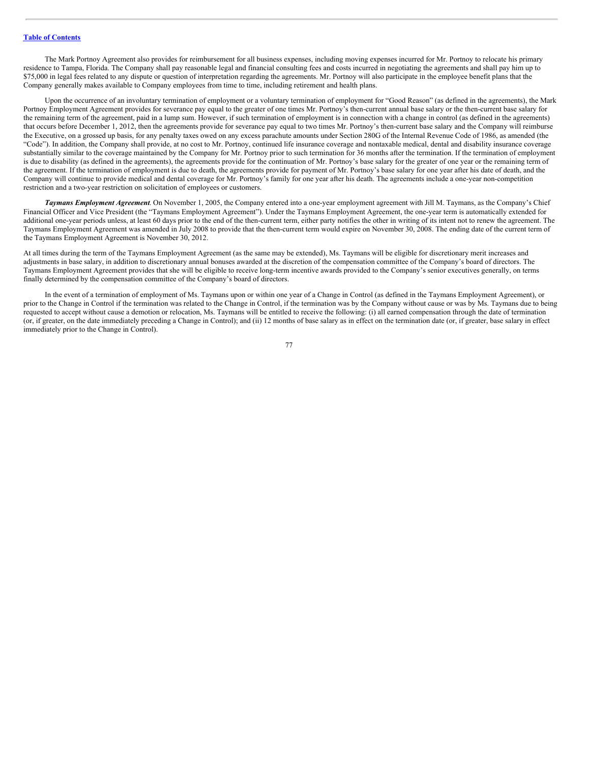The Mark Portnoy Agreement also provides for reimbursement for all business expenses, including moving expenses incurred for Mr. Portnoy to relocate his primary residence to Tampa, Florida. The Company shall pay reasonable legal and financial consulting fees and costs incurred in negotiating the agreements and shall pay him up to \$75,000 in legal fees related to any dispute or question of interpretation regarding the agreements. Mr. Portnoy will also participate in the employee benefit plans that the Company generally makes available to Company employees from time to time, including retirement and health plans.

Upon the occurrence of an involuntary termination of employment or a voluntary termination of employment for "Good Reason" (as defined in the agreements), the Mark Portnoy Employment Agreement provides for severance pay equal to the greater of one times Mr. Portnoy's then-current annual base salary or the then-current base salary for the remaining term of the agreement, paid in a lump sum. However, if such termination of employment is in connection with a change in control (as defined in the agreements) that occurs before December 1, 2012, then the agreements provide for severance pay equal to two times Mr. Portnoy's then-current base salary and the Company will reimburse the Executive, on a grossed up basis, for any penalty taxes owed on any excess parachute amounts under Section 280G of the Internal Revenue Code of 1986, as amended (the "Code"). In addition, the Company shall provide, at no cost to Mr. Portnoy, continued life insurance coverage and nontaxable medical, dental and disability insurance coverage substantially similar to the coverage maintained by the Company for Mr. Portnoy prior to such termination for 36 months after the termination. If the termination of employment is due to disability (as defined in the agreements), the agreements provide for the continuation of Mr. Portnoy's base salary for the greater of one year or the remaining term of the agreement. If the termination of employment is due to death, the agreements provide for payment of Mr. Portnoy's base salary for one year after his date of death, and the Company will continue to provide medical and dental coverage for Mr. Portnoy's family for one year after his death. The agreements include a one-year non-competition restriction and a two-year restriction on solicitation of employees or customers.

*Taymans Employment Agreement*. On November 1, 2005, the Company entered into a one-year employment agreement with Jill M. Taymans, as the Company's Chief Financial Officer and Vice President (the "Taymans Employment Agreement"). Under the Taymans Employment Agreement, the one-year term is automatically extended for additional one-year periods unless, at least 60 days prior to the end of the then-current term, either party notifies the other in writing of its intent not to renew the agreement. The Taymans Employment Agreement was amended in July 2008 to provide that the then-current term would expire on November 30, 2008. The ending date of the current term of the Taymans Employment Agreement is November 30, 2012.

At all times during the term of the Taymans Employment Agreement (as the same may be extended), Ms. Taymans will be eligible for discretionary merit increases and adjustments in base salary, in addition to discretionary annual bonuses awarded at the discretion of the compensation committee of the Company's board of directors. The Taymans Employment Agreement provides that she will be eligible to receive long-term incentive awards provided to the Company's senior executives generally, on terms finally determined by the compensation committee of the Company's board of directors.

In the event of a termination of employment of Ms. Taymans upon or within one year of a Change in Control (as defined in the Taymans Employment Agreement), or prior to the Change in Control if the termination was related to the Change in Control, if the termination was by the Company without cause or was by Ms. Taymans due to being requested to accept without cause a demotion or relocation, Ms. Taymans will be entitled to receive the following: (i) all earned compensation through the date of termination (or, if greater, on the date immediately preceding a Change in Control); and (ii) 12 months of base salary as in effect on the termination date (or, if greater, base salary in effect immediately prior to the Change in Control).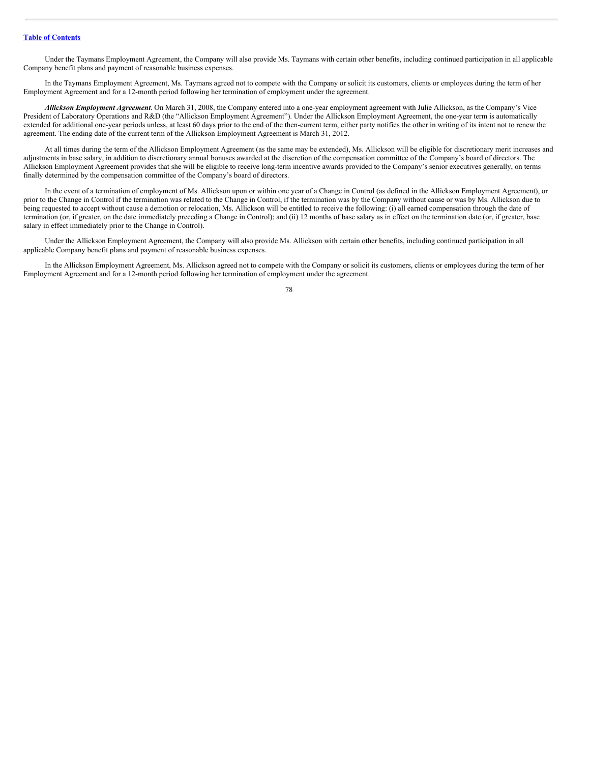Under the Taymans Employment Agreement, the Company will also provide Ms. Taymans with certain other benefits, including continued participation in all applicable Company benefit plans and payment of reasonable business expenses.

In the Taymans Employment Agreement, Ms. Taymans agreed not to compete with the Company or solicit its customers, clients or employees during the term of her Employment Agreement and for a 12-month period following her termination of employment under the agreement.

*Allickson Employment Agreement*. On March 31, 2008, the Company entered into a one-year employment agreement with Julie Allickson, as the Company's Vice President of Laboratory Operations and R&D (the "Allickson Employment Agreement"). Under the Allickson Employment Agreement, the one-year term is automatically extended for additional one-year periods unless, at least 60 days prior to the end of the then-current term, either party notifies the other in writing of its intent not to renew the agreement. The ending date of the current term of the Allickson Employment Agreement is March 31, 2012.

At all times during the term of the Allickson Employment Agreement (as the same may be extended), Ms. Allickson will be eligible for discretionary merit increases and adjustments in base salary, in addition to discretionary annual bonuses awarded at the discretion of the compensation committee of the Company's board of directors. The Allickson Employment Agreement provides that she will be eligible to receive long-term incentive awards provided to the Company's senior executives generally, on terms finally determined by the compensation committee of the Company's board of directors.

In the event of a termination of employment of Ms. Allickson upon or within one year of a Change in Control (as defined in the Allickson Employment Agreement), or prior to the Change in Control if the termination was related to the Change in Control, if the termination was by the Company without cause or was by Ms. Allickson due to being requested to accept without cause a demotion or relocation, Ms. Allickson will be entitled to receive the following: (i) all earned compensation through the date of termination (or, if greater, on the date immediately preceding a Change in Control); and (ii) 12 months of base salary as in effect on the termination date (or, if greater, base salary in effect immediately prior to the Change in Control).

Under the Allickson Employment Agreement, the Company will also provide Ms. Allickson with certain other benefits, including continued participation in all applicable Company benefit plans and payment of reasonable business expenses.

In the Allickson Employment Agreement, Ms. Allickson agreed not to compete with the Company or solicit its customers, clients or employees during the term of her Employment Agreement and for a 12-month period following her termination of employment under the agreement.

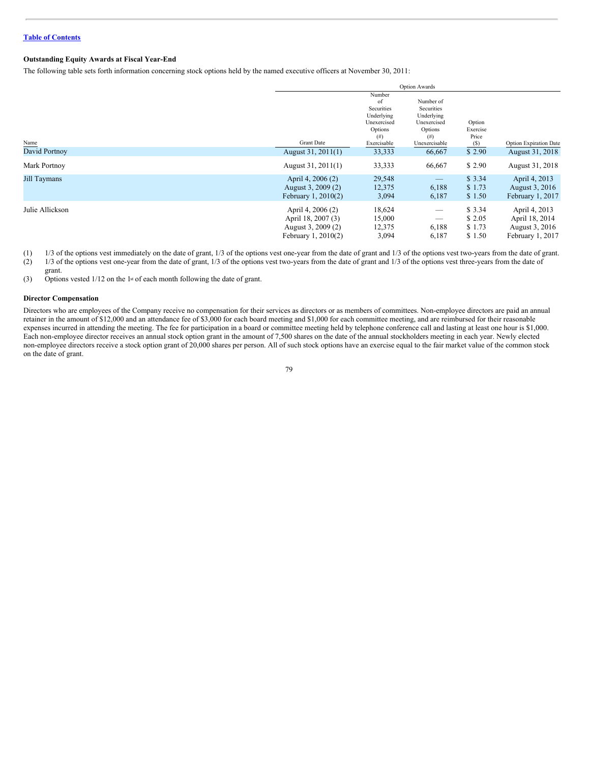# **Outstanding Equity Awards at Fiscal Year-End**

The following table sets forth information concerning stock options held by the named executive officers at November 30, 2011:

|                     |                                                                                      |                                                                                | <b>Option Awards</b>                                                    |                                       |                                                                       |
|---------------------|--------------------------------------------------------------------------------------|--------------------------------------------------------------------------------|-------------------------------------------------------------------------|---------------------------------------|-----------------------------------------------------------------------|
|                     |                                                                                      | Number<br>of<br>Securities<br>Underlying<br>Unexercised<br>Options<br>$^{(#)}$ | Number of<br>Securities<br>Underlying<br>Unexercised<br>Options<br>(# ) | Option<br>Exercise<br>Price           |                                                                       |
| Name                | <b>Grant Date</b>                                                                    | Exercisable                                                                    | Unexercisable                                                           | (S)                                   | Option Expiration Date                                                |
| David Portnoy       | August 31, 2011(1)                                                                   | 33,333                                                                         | 66,667                                                                  | \$2.90                                | August 31, 2018                                                       |
| Mark Portnoy        | August 31, 2011(1)                                                                   | 33,333                                                                         | 66,667                                                                  | \$2.90                                | August 31, 2018                                                       |
| <b>Jill Taymans</b> | April 4, 2006 (2)<br>August 3, 2009 (2)<br>February 1, 2010(2)                       | 29,548<br>12,375<br>3,094                                                      | $\qquad \qquad$<br>6,188<br>6,187                                       | \$3.34<br>\$1.73<br>\$1.50            | April 4, 2013<br>August 3, 2016<br>February 1, 2017                   |
| Julie Allickson     | April 4, 2006 (2)<br>April 18, 2007 (3)<br>August 3, 2009 (2)<br>February 1, 2010(2) | 18,624<br>15,000<br>12,375<br>3,094                                            | 6,188<br>6,187                                                          | \$ 3.34<br>\$2.05<br>\$1.73<br>\$1.50 | April 4, 2013<br>April 18, 2014<br>August 3, 2016<br>February 1, 2017 |

(1) 1/3 of the options vest immediately on the date of grant, 1/3 of the options vest one-year from the date of grant and 1/3 of the options vest two-years from the date of grant.

(2) 1/3 of the options vest one-year from the date of grant, 1/3 of the options vest two-years from the date of grant and 1/3 of the options vest three-years from the date of grant.

(3) Options vested  $1/12$  on the 1st of each month following the date of grant.

#### **Director Compensation**

Directors who are employees of the Company receive no compensation for their services as directors or as members of committees. Non-employee directors are paid an annual retainer in the amount of \$12,000 and an attendance fee of \$3,000 for each board meeting and \$1,000 for each committee meeting, and are reimbursed for their reasonable expenses incurred in attending the meeting. The fee for participation in a board or committee meeting held by telephone conference call and lasting at least one hour is \$1,000. Each non-employee director receives an annual stock option grant in the amount of 7,500 shares on the date of the annual stockholders meeting in each year. Newly elected non-employee directors receive a stock option grant of 20,000 shares per person. All of such stock options have an exercise equal to the fair market value of the common stock on the date of grant.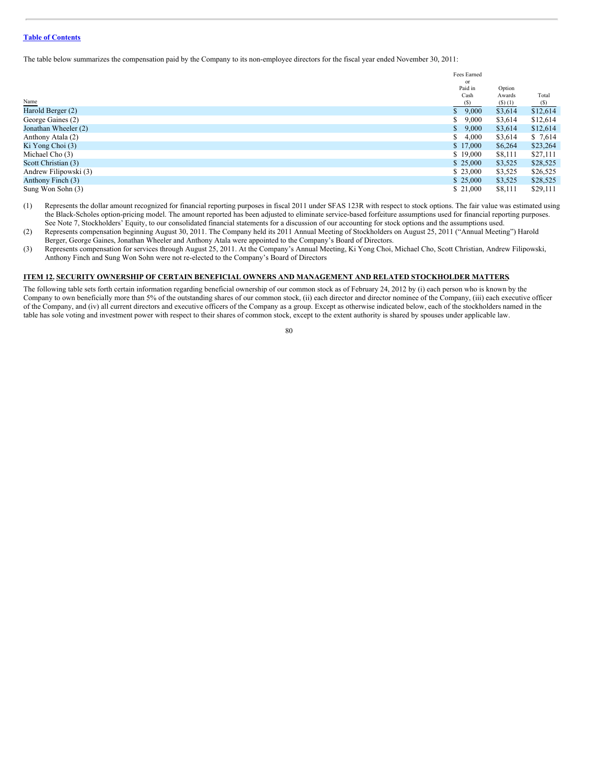The table below summarizes the compensation paid by the Company to its non-employee directors for the fiscal year ended November 30, 2011:

| or<br>Paid in<br>Option<br>Cash<br>Awards<br>Total<br>Name<br>(S)<br>$(S)$ (1)<br>(S)<br>Harold Berger (2)<br>\$12,614<br>\$9,000<br>\$3,614 |  |
|----------------------------------------------------------------------------------------------------------------------------------------------|--|
|                                                                                                                                              |  |
|                                                                                                                                              |  |
|                                                                                                                                              |  |
|                                                                                                                                              |  |
|                                                                                                                                              |  |
| $\mathbb{S}$<br>George Gaines (2)<br>\$12,614<br>9,000<br>\$3,614                                                                            |  |
| Jonathan Wheeler (2)<br>\$12,614<br>S.<br>9,000<br>\$3,614                                                                                   |  |
| Anthony Atala (2)<br>$\mathbb{S}$<br>4,000<br>\$3,614<br>\$7,614                                                                             |  |
| Ki Yong Choi (3)<br>\$6,264<br>\$17,000<br>\$23,264                                                                                          |  |
| Michael Cho (3)<br>\$19,000<br>\$8,111<br>\$27,111                                                                                           |  |
| Scott Christian (3)<br>\$25,000<br>\$28,525<br>\$3,525                                                                                       |  |
| Andrew Filipowski (3)<br>\$3,525<br>\$ 23,000<br>\$26,525                                                                                    |  |
| Anthony Finch (3)<br>\$25,000<br>\$3,525<br>\$28,525                                                                                         |  |
| Sung Won Sohn (3)<br>\$ 21,000<br>\$8,111<br>\$29,111                                                                                        |  |

(1) Represents the dollar amount recognized for financial reporting purposes in fiscal 2011 under SFAS 123R with respect to stock options. The fair value was estimated using the Black-Scholes option-pricing model. The amount reported has been adjusted to eliminate service-based forfeiture assumptions used for financial reporting purposes. See Note 7, Stockholders' Equity, to our consolidated financial statements for a discussion of our accounting for stock options and the assumptions used.

(2) Represents compensation beginning August 30, 2011. The Company held its 2011 Annual Meeting of Stockholders on August 25, 2011 ("Annual Meeting") Harold Berger, George Gaines, Jonathan Wheeler and Anthony Atala were appointed to the Company's Board of Directors.

(3) Represents compensation for services through August 25, 2011. At the Company's Annual Meeting, Ki Yong Choi, Michael Cho, Scott Christian, Andrew Filipowski, Anthony Finch and Sung Won Sohn were not re-elected to the Company's Board of Directors

#### **ITEM 12. SECURITY OWNERSHIP OF CERTAIN BENEFICIAL OWNERS AND MANAGEMENT AND RELATED STOCKHOLDER MATTERS.**

The following table sets forth certain information regarding beneficial ownership of our common stock as of February 24, 2012 by (i) each person who is known by the Company to own beneficially more than 5% of the outstanding shares of our common stock, (ii) each director and director nominee of the Company, (iii) each executive officer of the Company, and (iv) all current directors and executive officers of the Company as a group. Except as otherwise indicated below, each of the stockholders named in the table has sole voting and investment power with respect to their shares of common stock, except to the extent authority is shared by spouses under applicable law.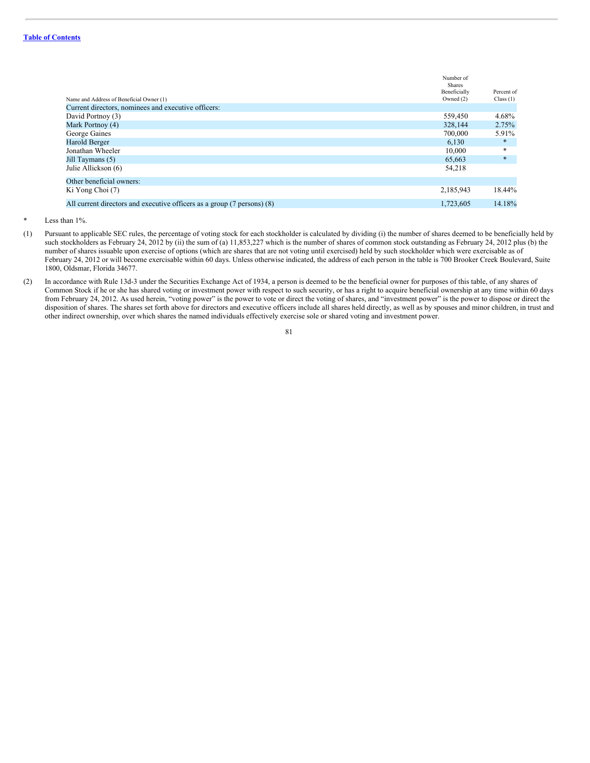|                                                                         | Number of<br><b>Shares</b> |             |
|-------------------------------------------------------------------------|----------------------------|-------------|
|                                                                         | Beneficially               | Percent of  |
| Name and Address of Beneficial Owner (1)                                | Owned $(2)$                | Class $(1)$ |
| Current directors, nominees and executive officers:                     |                            |             |
| David Portnoy (3)                                                       | 559,450                    | 4.68%       |
| Mark Portnoy (4)                                                        | 328,144                    | 2.75%       |
| George Gaines                                                           | 700,000                    | 5.91%       |
| Harold Berger                                                           | 6,130                      | $\ast$      |
| Jonathan Wheeler                                                        | 10,000                     | $*$         |
| Jill Taymans (5)                                                        | 65,663                     | $\ast$      |
| Julie Allickson (6)                                                     | 54,218                     |             |
| Other beneficial owners:                                                |                            |             |
| Ki Yong Choi (7)                                                        | 2,185,943                  | 18.44%      |
| All current directors and executive officers as a group (7 persons) (8) | 1.723.605                  | 14.18%      |

Less than  $1\%$ .

- (1) Pursuant to applicable SEC rules, the percentage of voting stock for each stockholder is calculated by dividing (i) the number of shares deemed to be beneficially held by such stockholders as February 24, 2012 by (ii) the sum of (a) 11,853,227 which is the number of shares of common stock outstanding as February 24, 2012 plus (b) the number of shares issuable upon exercise of options (which are shares that are not voting until exercised) held by such stockholder which were exercisable as of February 24, 2012 or will become exercisable within 60 days. Unless otherwise indicated, the address of each person in the table is 700 Brooker Creek Boulevard, Suite 1800, Oldsmar, Florida 34677.
- (2) In accordance with Rule 13d-3 under the Securities Exchange Act of 1934, a person is deemed to be the beneficial owner for purposes of this table, of any shares of Common Stock if he or she has shared voting or investment power with respect to such security, or has a right to acquire beneficial ownership at any time within 60 days from February 24, 2012. As used herein, "voting power" is the power to vote or direct the voting of shares, and "investment power" is the power to dispose or direct the disposition of shares. The shares set forth above for directors and executive officers include all shares held directly, as well as by spouses and minor children, in trust and other indirect ownership, over which shares the named individuals effectively exercise sole or shared voting and investment power.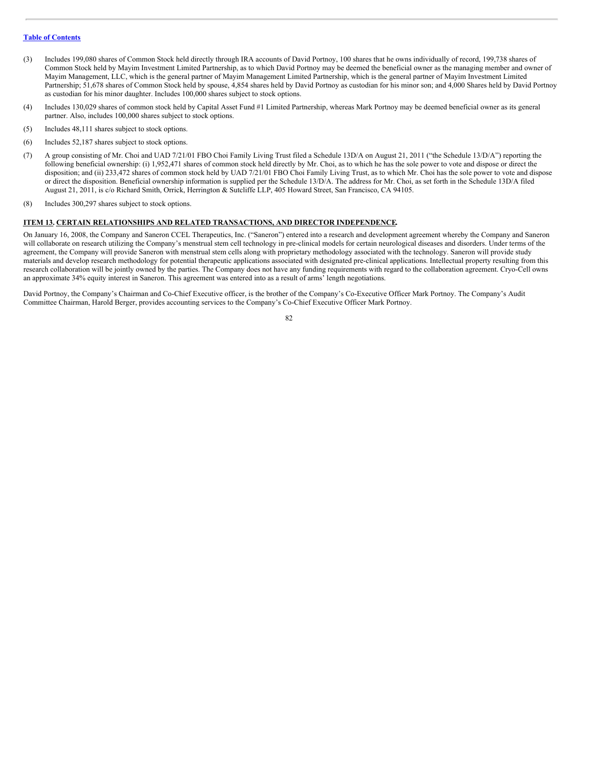- (3) Includes 199,080 shares of Common Stock held directly through IRA accounts of David Portnoy, 100 shares that he owns individually of record, 199,738 shares of Common Stock held by Mayim Investment Limited Partnership, as to which David Portnoy may be deemed the beneficial owner as the managing member and owner of Mayim Management, LLC, which is the general partner of Mayim Management Limited Partnership, which is the general partner of Mayim Investment Limited Partnership; 51,678 shares of Common Stock held by spouse, 4,854 shares held by David Portnoy as custodian for his minor son; and 4,000 Shares held by David Portnoy as custodian for his minor daughter. Includes 100,000 shares subject to stock options.
- (4) Includes 130,029 shares of common stock held by Capital Asset Fund #1 Limited Partnership, whereas Mark Portnoy may be deemed beneficial owner as its general partner. Also, includes 100,000 shares subject to stock options.
- (5) Includes 48,111 shares subject to stock options.
- (6) Includes 52,187 shares subject to stock options.
- (7) A group consisting of Mr. Choi and UAD 7/21/01 FBO Choi Family Living Trust filed a Schedule 13D/A on August 21, 2011 ("the Schedule 13/D/A") reporting the following beneficial ownership: (i) 1,952,471 shares of common stock held directly by Mr. Choi, as to which he has the sole power to vote and dispose or direct the disposition; and (ii) 233,472 shares of common stock held by UAD 7/21/01 FBO Choi Family Living Trust, as to which Mr. Choi has the sole power to vote and dispose or direct the disposition. Beneficial ownership information is supplied per the Schedule 13/D/A. The address for Mr. Choi, as set forth in the Schedule 13D/A filed August 21, 2011, is c/o Richard Smith, Orrick, Herrington & Sutcliffe LLP, 405 Howard Street, San Francisco, CA 94105.
- (8) Includes 300,297 shares subject to stock options.

#### **ITEM 13. CERTAIN RELATIONSHIPS AND RELATED TRANSACTIONS, AND DIRECTOR INDEPENDENCE.**

On January 16, 2008, the Company and Saneron CCEL Therapeutics, Inc. ("Saneron") entered into a research and development agreement whereby the Company and Saneron will collaborate on research utilizing the Company's menstrual stem cell technology in pre-clinical models for certain neurological diseases and disorders. Under terms of the agreement, the Company will provide Saneron with menstrual stem cells along with proprietary methodology associated with the technology. Saneron will provide study materials and develop research methodology for potential therapeutic applications associated with designated pre-clinical applications. Intellectual property resulting from this research collaboration will be jointly owned by the parties. The Company does not have any funding requirements with regard to the collaboration agreement. Cryo-Cell owns an approximate 34% equity interest in Saneron. This agreement was entered into as a result of arms' length negotiations.

David Portnoy, the Company's Chairman and Co-Chief Executive officer, is the brother of the Company's Co-Executive Officer Mark Portnoy. The Company's Audit Committee Chairman, Harold Berger, provides accounting services to the Company's Co-Chief Executive Officer Mark Portnoy.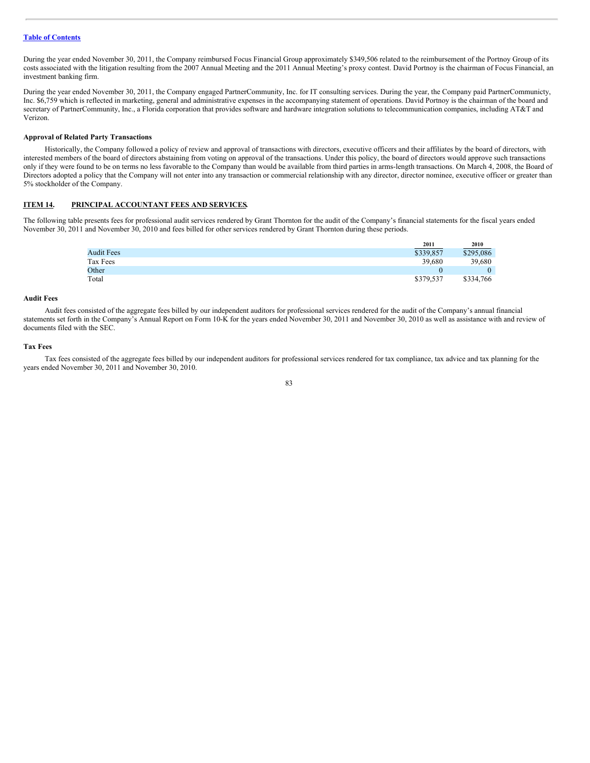During the year ended November 30, 2011, the Company reimbursed Focus Financial Group approximately \$349,506 related to the reimbursement of the Portnoy Group of its costs associated with the litigation resulting from the 2007 Annual Meeting and the 2011 Annual Meeting's proxy contest. David Portnoy is the chairman of Focus Financial, an investment banking firm.

During the year ended November 30, 2011, the Company engaged PartnerCommunity, Inc. for IT consulting services. During the year, the Company paid PartnerCommunicty, Inc. \$6,759 which is reflected in marketing, general and administrative expenses in the accompanying statement of operations. David Portnoy is the chairman of the board and secretary of PartnerCommunity, Inc., a Florida corporation that provides software and hardware integration solutions to telecommunication companies, including AT&T and Verizon.

#### **Approval of Related Party Transactions**

Historically, the Company followed a policy of review and approval of transactions with directors, executive officers and their affiliates by the board of directors, with interested members of the board of directors abstaining from voting on approval of the transactions. Under this policy, the board of directors would approve such transactions only if they were found to be on terms no less favorable to the Company than would be available from third parties in arms-length transactions. On March 4, 2008, the Board of Directors adopted a policy that the Company will not enter into any transaction or commercial relationship with any director, director nominee, executive officer or greater than 5% stockholder of the Company.

# **ITEM 14. PRINCIPAL ACCOUNTANT FEES AND SERVICES.**

The following table presents fees for professional audit services rendered by Grant Thornton for the audit of the Company's financial statements for the fiscal years ended November 30, 2011 and November 30, 2010 and fees billed for other services rendered by Grant Thornton during these periods.

|                   | 2011      | 2010      |
|-------------------|-----------|-----------|
| <b>Audit Fees</b> | \$339,857 | \$295,086 |
| Tax Fees          | 39.680    | 39,680    |
| Other             |           | 0         |
| Total             | \$379,537 | \$334,766 |

#### **Audit Fees**

Audit fees consisted of the aggregate fees billed by our independent auditors for professional services rendered for the audit of the Company's annual financial statements set forth in the Company's Annual Report on Form 10-K for the years ended November 30, 2011 and November 30, 2010 as well as assistance with and review of documents filed with the SEC.

#### **Tax Fees**

Tax fees consisted of the aggregate fees billed by our independent auditors for professional services rendered for tax compliance, tax advice and tax planning for the years ended November 30, 2011 and November 30, 2010.

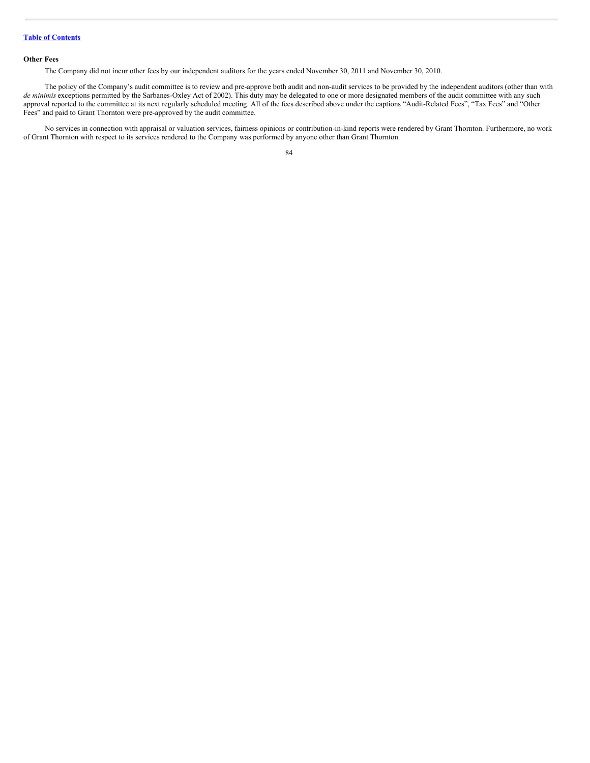# **Other Fees**

The Company did not incur other fees by our independent auditors for the years ended November 30, 2011 and November 30, 2010.

The policy of the Company's audit committee is to review and pre-approve both audit and non-audit services to be provided by the independent auditors (other than with *de minimis* exceptions permitted by the Sarbanes-Oxley Act of 2002). This duty may be delegated to one or more designated members of the audit committee with any such approval reported to the committee at its next regularly scheduled meeting. All of the fees described above under the captions "Audit-Related Fees", "Tax Fees" and "Other Fees" and paid to Grant Thornton were pre-approved by the audit committee.

No services in connection with appraisal or valuation services, fairness opinions or contribution-in-kind reports were rendered by Grant Thornton. Furthermore, no work of Grant Thornton with respect to its services rendered to the Company was performed by anyone other than Grant Thornton.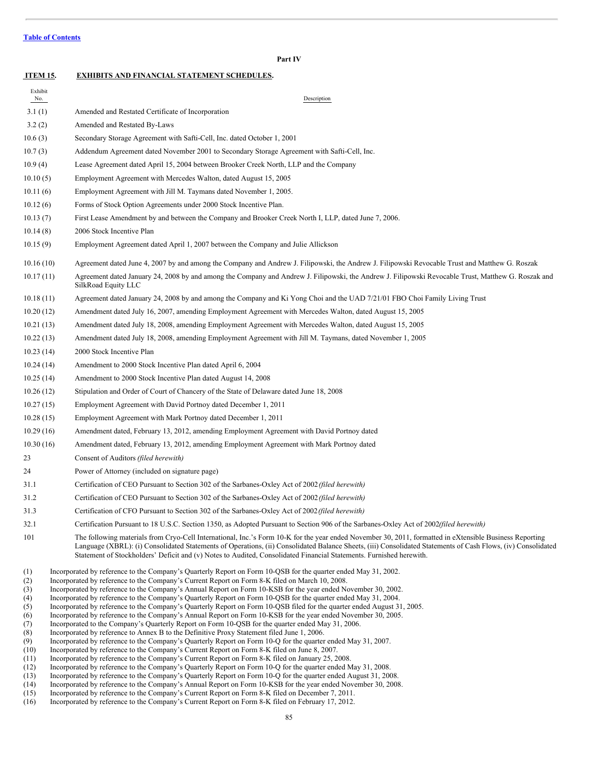Exhibit

**Part IV ITEM 15. EXHIBITS AND FINANCIAL STATEMENT SCHEDULES.**

- No. Description **Description** 3.1 (1) Amended and Restated Certificate of Incorporation 3.2 (2) Amended and Restated By-Laws 10.6 (3) Secondary Storage Agreement with Safti-Cell, Inc. dated October 1, 2001 10.7 (3) Addendum Agreement dated November 2001 to Secondary Storage Agreement with Safti-Cell, Inc. 10.9 (4) Lease Agreement dated April 15, 2004 between Brooker Creek North, LLP and the Company 10.10 (5) Employment Agreement with Mercedes Walton, dated August 15, 2005 10.11 (6) Employment Agreement with Jill M. Taymans dated November 1, 2005. 10.12 (6) Forms of Stock Option Agreements under 2000 Stock Incentive Plan. 10.13 (7) First Lease Amendment by and between the Company and Brooker Creek North I, LLP, dated June 7, 2006. 10.14 (8) 2006 Stock Incentive Plan 10.15 (9) Employment Agreement dated April 1, 2007 between the Company and Julie Allickson 10.16 (10) Agreement dated June 4, 2007 by and among the Company and Andrew J. Filipowski, the Andrew J. Filipowski Revocable Trust and Matthew G. Roszak 10.17 (11) Agreement dated January 24, 2008 by and among the Company and Andrew J. Filipowski, the Andrew J. Filipowski Revocable Trust, Matthew G. Roszak and SilkRoad Equity LLC 10.18 (11) Agreement dated January 24, 2008 by and among the Company and Ki Yong Choi and the UAD 7/21/01 FBO Choi Family Living Trust 10.20 (12) Amendment dated July 16, 2007, amending Employment Agreement with Mercedes Walton, dated August 15, 2005 10.21 (13) Amendment dated July 18, 2008, amending Employment Agreement with Mercedes Walton, dated August 15, 2005 10.22 (13) Amendment dated July 18, 2008, amending Employment Agreement with Jill M. Taymans, dated November 1, 2005 10.23 (14) 2000 Stock Incentive Plan 10.24 (14) Amendment to 2000 Stock Incentive Plan dated April 6, 2004 10.25 (14) Amendment to 2000 Stock Incentive Plan dated August 14, 2008 10.26 (12) Stipulation and Order of Court of Chancery of the State of Delaware dated June 18, 2008 10.27 (15) Employment Agreement with David Portnoy dated December 1, 2011 10.28 (15) Employment Agreement with Mark Portnoy dated December 1, 2011 10.29 (16) Amendment dated, February 13, 2012, amending Employment Agreement with David Portnoy dated 10.30 (16) Amendment dated, February 13, 2012, amending Employment Agreement with Mark Portnoy dated 23 Consent of Auditors *(filed herewith)* 24 Power of Attorney (included on signature page) 31.1 Certification of CEO Pursuant to Section 302 of the Sarbanes-Oxley Act of 2002*(filed herewith)* 31.2 Certification of CEO Pursuant to Section 302 of the Sarbanes-Oxley Act of 2002*(filed herewith)* 31.3 Certification of CFO Pursuant to Section 302 of the Sarbanes-Oxley Act of 2002*(filed herewith)* 32.1 Certification Pursuant to 18 U.S.C. Section 1350, as Adopted Pursuant to Section 906 of the Sarbanes-Oxley Act of 2002*(filed herewith)* 101 The following materials from Cryo-Cell International, Inc.'s Form 10-K for the year ended November 30, 2011, formatted in eXtensible Business Reporting Language (XBRL): (i) Consolidated Statements of Operations, (ii) Consolidated Balance Sheets, (iii) Consolidated Statements of Cash Flows, (iv) Consolidated Statement of Stockholders' Deficit and (v) Notes to Audited, Consolidated Financial Statements. Furnished herewith. (1) Incorporated by reference to the Company's Quarterly Report on Form 10-QSB for the quarter ended May 31, 2002. (2) Incorporated by reference to the Company's Current Report on Form 8-K filed on March 10, 2008. (3) Incorporated by reference to the Company's Annual Report on Form 10-KSB for the year ended November 30, 2002. (4) Incorporated by reference to the Company's Quarterly Report on Form 10-QSB for the quarter ended May 31, 2004. (5) Incorporated by reference to the Company's Quarterly Report on Form 10-QSB filed for the quarter ended August 31, 2005. (6) Incorporated by reference to the Company's Annual Report on Form 10-KSB for the year ended November 30, 2005. (7) Incorporated to the Company's Quarterly Report on Form 10-QSB for the quarter ended May 31, 2006. (8) Incorporated by reference to Annex B to the Definitive Proxy Statement filed June 1, 2006.
- (9) Incorporated by reference to the Company's Quarterly Report on Form 10-Q for the quarter ended May 31, 2007.
- (10) Incorporated by reference to the Company's Current Report on Form 8-K filed on June 8, 2007.
- (11) Incorporated by reference to the Company's Current Report on Form 8-K filed on January 25, 2008.
- (12) Incorporated by reference to the Company's Quarterly Report on Form 10-Q for the quarter ended May 31, 2008.
- (13) Incorporated by reference to the Company's Quarterly Report on Form 10-Q for the quarter ended August 31, 2008.
- (14) Incorporated by reference to the Company's Annual Report on Form 10-KSB for the year ended November 30, 2008.
- (15) Incorporated by reference to the Company's Current Report on Form 8-K filed on December 7, 2011.
- (16) Incorporated by reference to the Company's Current Report on Form 8-K filed on February 17, 2012.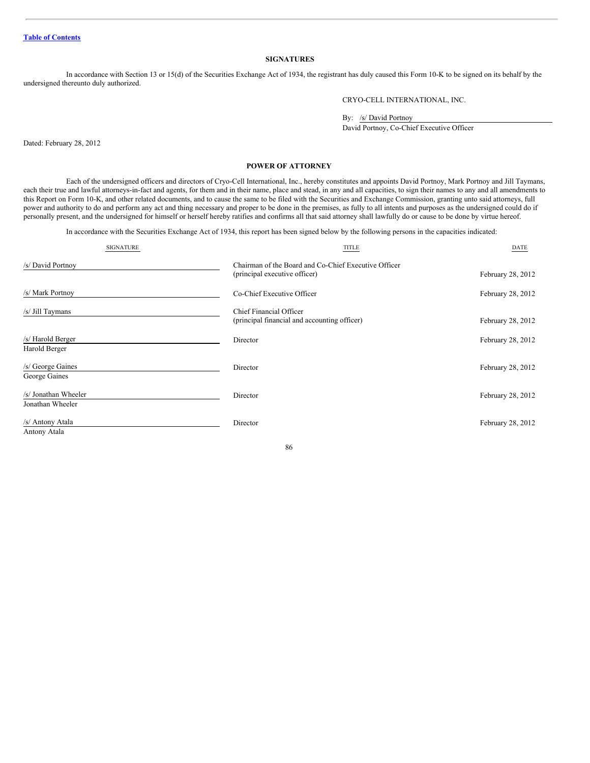# **SIGNATURES**

In accordance with Section 13 or 15(d) of the Securities Exchange Act of 1934, the registrant has duly caused this Form 10-K to be signed on its behalf by the undersigned thereunto duly authorized.

CRYO-CELL INTERNATIONAL, INC.

By: /s/ David Portnoy

David Portnoy, Co-Chief Executive Officer

Dated: February 28, 2012

# **POWER OF ATTORNEY**

Each of the undersigned officers and directors of Cryo-Cell International, Inc., hereby constitutes and appoints David Portnoy, Mark Portnoy and Jill Taymans, each their true and lawful attorneys-in-fact and agents, for them and in their name, place and stead, in any and all capacities, to sign their names to any and all amendments to this Report on Form 10-K, and other related documents, and to cause the same to be filed with the Securities and Exchange Commission, granting unto said attorneys, full power and authority to do and perform any act and thing necessary and proper to be done in the premises, as fully to all intents and purposes as the undersigned could do if personally present, and the undersigned for himself or herself hereby ratifies and confirms all that said attorney shall lawfully do or cause to be done by virtue hereof.

In accordance with the Securities Exchange Act of 1934, this report has been signed below by the following persons in the capacities indicated:

| <b>SIGNATURE</b>                         | <b>TITLE</b>                                                                          | DATE              |
|------------------------------------------|---------------------------------------------------------------------------------------|-------------------|
| /s/ David Portnoy                        | Chairman of the Board and Co-Chief Executive Officer<br>(principal executive officer) | February 28, 2012 |
| /s/ Mark Portnoy                         | Co-Chief Executive Officer                                                            | February 28, 2012 |
| /s/ Jill Taymans                         | Chief Financial Officer<br>(principal financial and accounting officer)               | February 28, 2012 |
| /s/ Harold Berger<br>Harold Berger       | Director                                                                              | February 28, 2012 |
| /s/ George Gaines<br>George Gaines       | Director                                                                              | February 28, 2012 |
| /s/ Jonathan Wheeler<br>Jonathan Wheeler | Director                                                                              | February 28, 2012 |
| /s/ Antony Atala<br>Antony Atala         | Director                                                                              | February 28, 2012 |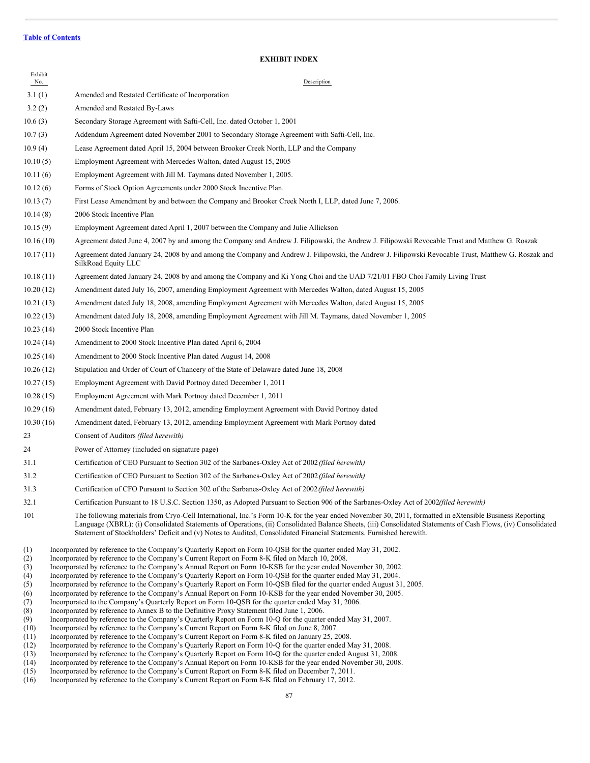# **EXHIBIT INDEX**

| Exhibit<br>No.                                                      | Description                                                                                                                                                                                                                                                                                                                                                                                                                                                                                                                                                                                                                                                                                                                                                                                                                                                                                                                                                                                                                                                                                                        |
|---------------------------------------------------------------------|--------------------------------------------------------------------------------------------------------------------------------------------------------------------------------------------------------------------------------------------------------------------------------------------------------------------------------------------------------------------------------------------------------------------------------------------------------------------------------------------------------------------------------------------------------------------------------------------------------------------------------------------------------------------------------------------------------------------------------------------------------------------------------------------------------------------------------------------------------------------------------------------------------------------------------------------------------------------------------------------------------------------------------------------------------------------------------------------------------------------|
| 3.1(1)                                                              | Amended and Restated Certificate of Incorporation                                                                                                                                                                                                                                                                                                                                                                                                                                                                                                                                                                                                                                                                                                                                                                                                                                                                                                                                                                                                                                                                  |
| 3.2(2)                                                              | Amended and Restated By-Laws                                                                                                                                                                                                                                                                                                                                                                                                                                                                                                                                                                                                                                                                                                                                                                                                                                                                                                                                                                                                                                                                                       |
| 10.6(3)                                                             | Secondary Storage Agreement with Safti-Cell, Inc. dated October 1, 2001                                                                                                                                                                                                                                                                                                                                                                                                                                                                                                                                                                                                                                                                                                                                                                                                                                                                                                                                                                                                                                            |
| 10.7(3)                                                             | Addendum Agreement dated November 2001 to Secondary Storage Agreement with Safti-Cell, Inc.                                                                                                                                                                                                                                                                                                                                                                                                                                                                                                                                                                                                                                                                                                                                                                                                                                                                                                                                                                                                                        |
| 10.9(4)                                                             | Lease Agreement dated April 15, 2004 between Brooker Creek North, LLP and the Company                                                                                                                                                                                                                                                                                                                                                                                                                                                                                                                                                                                                                                                                                                                                                                                                                                                                                                                                                                                                                              |
| 10.10(5)                                                            | Employment Agreement with Mercedes Walton, dated August 15, 2005                                                                                                                                                                                                                                                                                                                                                                                                                                                                                                                                                                                                                                                                                                                                                                                                                                                                                                                                                                                                                                                   |
| 10.11(6)                                                            | Employment Agreement with Jill M. Taymans dated November 1, 2005.                                                                                                                                                                                                                                                                                                                                                                                                                                                                                                                                                                                                                                                                                                                                                                                                                                                                                                                                                                                                                                                  |
| 10.12(6)                                                            | Forms of Stock Option Agreements under 2000 Stock Incentive Plan.                                                                                                                                                                                                                                                                                                                                                                                                                                                                                                                                                                                                                                                                                                                                                                                                                                                                                                                                                                                                                                                  |
| 10.13(7)                                                            | First Lease Amendment by and between the Company and Brooker Creek North I, LLP, dated June 7, 2006.                                                                                                                                                                                                                                                                                                                                                                                                                                                                                                                                                                                                                                                                                                                                                                                                                                                                                                                                                                                                               |
| 10.14(8)                                                            | 2006 Stock Incentive Plan                                                                                                                                                                                                                                                                                                                                                                                                                                                                                                                                                                                                                                                                                                                                                                                                                                                                                                                                                                                                                                                                                          |
| 10.15(9)                                                            | Employment Agreement dated April 1, 2007 between the Company and Julie Allickson                                                                                                                                                                                                                                                                                                                                                                                                                                                                                                                                                                                                                                                                                                                                                                                                                                                                                                                                                                                                                                   |
| 10.16(10)                                                           | Agreement dated June 4, 2007 by and among the Company and Andrew J. Filipowski, the Andrew J. Filipowski Revocable Trust and Matthew G. Roszak                                                                                                                                                                                                                                                                                                                                                                                                                                                                                                                                                                                                                                                                                                                                                                                                                                                                                                                                                                     |
| 10.17(11)                                                           | Agreement dated January 24, 2008 by and among the Company and Andrew J. Filipowski, the Andrew J. Filipowski Revocable Trust, Matthew G. Roszak and<br>SilkRoad Equity LLC                                                                                                                                                                                                                                                                                                                                                                                                                                                                                                                                                                                                                                                                                                                                                                                                                                                                                                                                         |
| 10.18(11)                                                           | Agreement dated January 24, 2008 by and among the Company and Ki Yong Choi and the UAD 7/21/01 FBO Choi Family Living Trust                                                                                                                                                                                                                                                                                                                                                                                                                                                                                                                                                                                                                                                                                                                                                                                                                                                                                                                                                                                        |
| 10.20(12)                                                           | Amendment dated July 16, 2007, amending Employment Agreement with Mercedes Walton, dated August 15, 2005                                                                                                                                                                                                                                                                                                                                                                                                                                                                                                                                                                                                                                                                                                                                                                                                                                                                                                                                                                                                           |
| 10.21(13)                                                           | Amendment dated July 18, 2008, amending Employment Agreement with Mercedes Walton, dated August 15, 2005                                                                                                                                                                                                                                                                                                                                                                                                                                                                                                                                                                                                                                                                                                                                                                                                                                                                                                                                                                                                           |
| 10.22(13)                                                           | Amendment dated July 18, 2008, amending Employment Agreement with Jill M. Taymans, dated November 1, 2005                                                                                                                                                                                                                                                                                                                                                                                                                                                                                                                                                                                                                                                                                                                                                                                                                                                                                                                                                                                                          |
| 10.23(14)                                                           | 2000 Stock Incentive Plan                                                                                                                                                                                                                                                                                                                                                                                                                                                                                                                                                                                                                                                                                                                                                                                                                                                                                                                                                                                                                                                                                          |
| 10.24(14)                                                           | Amendment to 2000 Stock Incentive Plan dated April 6, 2004                                                                                                                                                                                                                                                                                                                                                                                                                                                                                                                                                                                                                                                                                                                                                                                                                                                                                                                                                                                                                                                         |
| 10.25(14)                                                           | Amendment to 2000 Stock Incentive Plan dated August 14, 2008                                                                                                                                                                                                                                                                                                                                                                                                                                                                                                                                                                                                                                                                                                                                                                                                                                                                                                                                                                                                                                                       |
| 10.26(12)                                                           | Stipulation and Order of Court of Chancery of the State of Delaware dated June 18, 2008                                                                                                                                                                                                                                                                                                                                                                                                                                                                                                                                                                                                                                                                                                                                                                                                                                                                                                                                                                                                                            |
| 10.27(15)                                                           | Employment Agreement with David Portnoy dated December 1, 2011                                                                                                                                                                                                                                                                                                                                                                                                                                                                                                                                                                                                                                                                                                                                                                                                                                                                                                                                                                                                                                                     |
| 10.28(15)                                                           | Employment Agreement with Mark Portnoy dated December 1, 2011                                                                                                                                                                                                                                                                                                                                                                                                                                                                                                                                                                                                                                                                                                                                                                                                                                                                                                                                                                                                                                                      |
| 10.29(16)                                                           | Amendment dated, February 13, 2012, amending Employment Agreement with David Portnoy dated                                                                                                                                                                                                                                                                                                                                                                                                                                                                                                                                                                                                                                                                                                                                                                                                                                                                                                                                                                                                                         |
| 10.30(16)                                                           | Amendment dated, February 13, 2012, amending Employment Agreement with Mark Portnoy dated                                                                                                                                                                                                                                                                                                                                                                                                                                                                                                                                                                                                                                                                                                                                                                                                                                                                                                                                                                                                                          |
| 23                                                                  | Consent of Auditors (filed herewith)                                                                                                                                                                                                                                                                                                                                                                                                                                                                                                                                                                                                                                                                                                                                                                                                                                                                                                                                                                                                                                                                               |
| 24                                                                  | Power of Attorney (included on signature page)                                                                                                                                                                                                                                                                                                                                                                                                                                                                                                                                                                                                                                                                                                                                                                                                                                                                                                                                                                                                                                                                     |
| 31.1                                                                | Certification of CEO Pursuant to Section 302 of the Sarbanes-Oxley Act of 2002 (filed herewith)                                                                                                                                                                                                                                                                                                                                                                                                                                                                                                                                                                                                                                                                                                                                                                                                                                                                                                                                                                                                                    |
| 31.2                                                                | Certification of CEO Pursuant to Section 302 of the Sarbanes-Oxley Act of 2002 (filed herewith)                                                                                                                                                                                                                                                                                                                                                                                                                                                                                                                                                                                                                                                                                                                                                                                                                                                                                                                                                                                                                    |
| 31.3                                                                | Certification of CFO Pursuant to Section 302 of the Sarbanes-Oxley Act of 2002 (filed herewith)                                                                                                                                                                                                                                                                                                                                                                                                                                                                                                                                                                                                                                                                                                                                                                                                                                                                                                                                                                                                                    |
| 32.1                                                                | Certification Pursuant to 18 U.S.C. Section 1350, as Adopted Pursuant to Section 906 of the Sarbanes-Oxley Act of 2002 <i>(filed herewith)</i>                                                                                                                                                                                                                                                                                                                                                                                                                                                                                                                                                                                                                                                                                                                                                                                                                                                                                                                                                                     |
| 101                                                                 | The following materials from Cryo-Cell International, Inc.'s Form 10-K for the year ended November 30, 2011, formatted in eXtensible Business Reporting<br>Language (XBRL): (i) Consolidated Statements of Operations, (ii) Consolidated Balance Sheets, (iii) Consolidated Statements of Cash Flows, (iv) Consolidated<br>Statement of Stockholders' Deficit and (v) Notes to Audited, Consolidated Financial Statements. Furnished herewith.                                                                                                                                                                                                                                                                                                                                                                                                                                                                                                                                                                                                                                                                     |
| (1)<br>(2)<br>(3)<br>(4)<br>(5)<br>(6)<br>(7)<br>(8)<br>(9)<br>(10) | Incorporated by reference to the Company's Quarterly Report on Form 10-QSB for the quarter ended May 31, 2002.<br>Incorporated by reference to the Company's Current Report on Form 8-K filed on March 10, 2008.<br>Incorporated by reference to the Company's Annual Report on Form 10-KSB for the year ended November 30, 2002.<br>Incorporated by reference to the Company's Quarterly Report on Form 10-QSB for the quarter ended May 31, 2004.<br>Incorporated by reference to the Company's Quarterly Report on Form 10-QSB filed for the quarter ended August 31, 2005.<br>Incorporated by reference to the Company's Annual Report on Form 10-KSB for the year ended November 30, 2005.<br>Incorporated to the Company's Quarterly Report on Form 10-QSB for the quarter ended May 31, 2006.<br>Incorporated by reference to Annex B to the Definitive Proxy Statement filed June 1, 2006.<br>Incorporated by reference to the Company's Quarterly Report on Form 10-Q for the quarter ended May 31, 2007.<br>Incorporated by reference to the Company's Current Report on Form 8-K filed on June 8, 2007. |

- (11) Incorporated by reference to the Company's Current Report on Form 8-K filed on January 25, 2008.
- (12) Incorporated by reference to the Company's Quarterly Report on Form 10-Q for the quarter ended May 31, 2008.
- (13) Incorporated by reference to the Company's Quarterly Report on Form 10-Q for the quarter ended August 31, 2008.
- (14) Incorporated by reference to the Company's Annual Report on Form 10-KSB for the year ended November 30, 2008.
- (15) Incorporated by reference to the Company's Current Report on Form 8-K filed on December 7, 2011.
- (16) Incorporated by reference to the Company's Current Report on Form 8-K filed on February 17, 2012.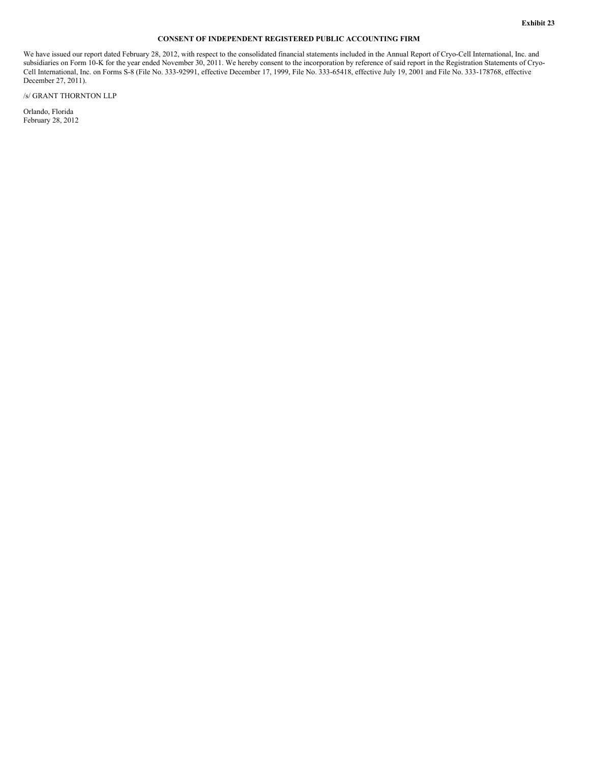# **CONSENT OF INDEPENDENT REGISTERED PUBLIC ACCOUNTING FIRM**

We have issued our report dated February 28, 2012, with respect to the consolidated financial statements included in the Annual Report of Cryo-Cell International, Inc. and subsidiaries on Form 10-K for the year ended November 30, 2011. We hereby consent to the incorporation by reference of said report in the Registration Statements of Cryo-Cell International, Inc. on Forms S-8 (File No. 333-92991, effective December 17, 1999, File No. 333-65418, effective July 19, 2001 and File No. 333-178768, effective December 27, 2011).

/s/ GRANT THORNTON LLP

Orlando, Florida February 28, 2012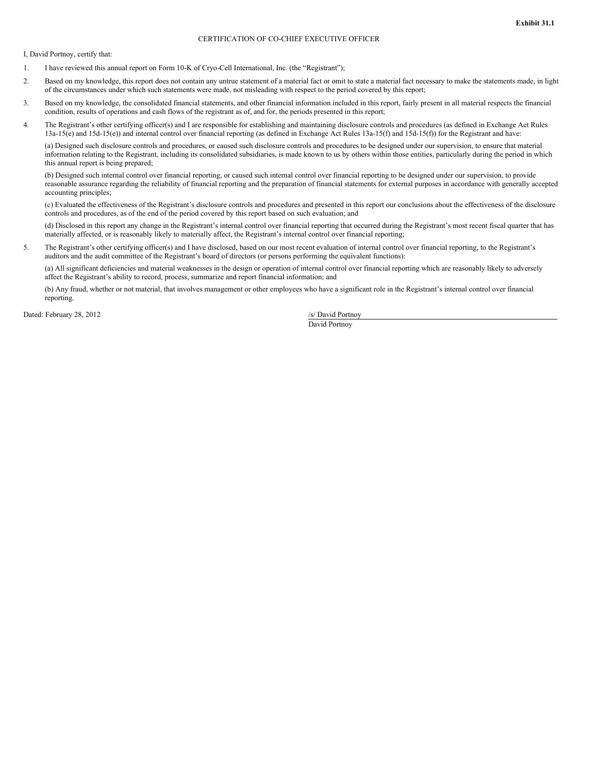# CERTIFICATION OF CO-CHIEF EXECUTIVE OFFICER

I, David Portnoy, certify that:

- 1. I have reviewed this annual report on Form 10-K of Cryo-Cell International, Inc. (the "Registrant");
- 2. Based on my knowledge, this report does not contain any untrue statement of a material fact or omit to state a material fact necessary to make the statements made, in light of the circumstances under which such statements were made, not misleading with respect to the period covered by this report;
- 3. Based on my knowledge, the consolidated financial statements, and other financial information included in this report, fairly present in all material respects the financial condition, results of operations and cash flows of the registrant as of, and for, the periods presented in this report;
- 4. The Registrant's other certifying officer(s) and I are responsible for establishing and maintaining disclosure controls and procedures (as defined in Exchange Act Rules 13a-15(e) and 15d-15(e)) and internal control over financial reporting (as defined in Exchange Act Rules 13a-15(f) and 15d-15(f)) for the Registrant and have:

(a) Designed such disclosure controls and procedures, or caused such disclosure controls and procedures to be designed under our supervision, to ensure that material information relating to the Registrant, including its consolidated subsidiaries, is made known to us by others within those entities, particularly during the period in which this annual report is being prepared;

(b) Designed such internal control over financial reporting, or caused such internal control over financial reporting to be designed under our supervision, to provide reasonable assurance regarding the reliability of financial reporting and the preparation of financial statements for external purposes in accordance with generally accepted accounting principles;

(c) Evaluated the effectiveness of the Registrant's disclosure controls and procedures and presented in this report our conclusions about the effectiveness of the disclosure controls and procedures, as of the end of the period covered by this report based on such evaluation; and

(d) Disclosed in this report any change in the Registrant's internal control over financial reporting that occurred during the Registrant's most recent fiscal quarter that has materially affected, or is reasonably likely to materially affect, the Registrant's internal control over financial reporting;

5. The Registrant's other certifying officer(s) and I have disclosed, based on our most recent evaluation of internal control over financial reporting, to the Registrant's auditors and the audit committee of the Registrant's board of directors (or persons performing the equivalent functions):

(a) All significant deficiencies and material weaknesses in the design or operation of internal control over financial reporting which are reasonably likely to adversely affect the Registrant's ability to record, process, summarize and report financial information; and

(b) Any fraud, whether or not material, that involves management or other employees who have a significant role in the Registrant's internal control over financial reporting.

Dated: February 28, 2012 /s/ David Portnoy

David Portnoy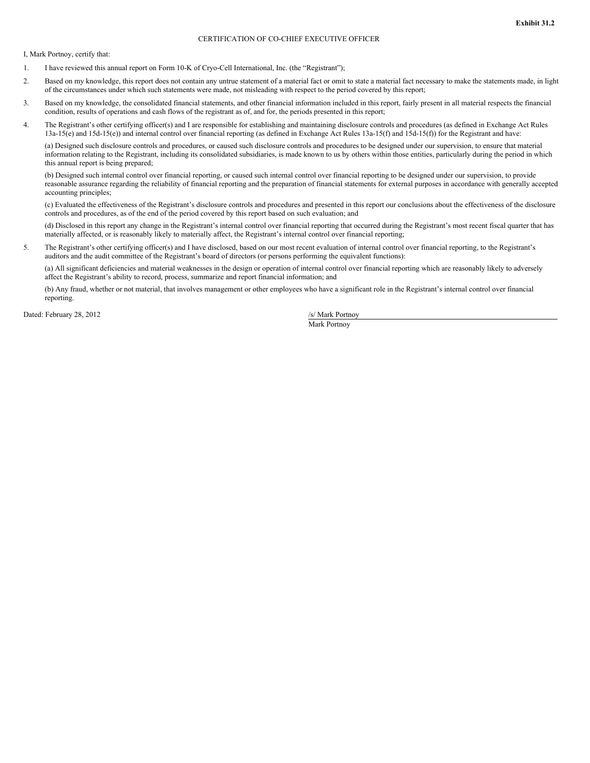# CERTIFICATION OF CO-CHIEF EXECUTIVE OFFICER

I, Mark Portnoy, certify that:

- 1. I have reviewed this annual report on Form 10-K of Cryo-Cell International, Inc. (the "Registrant");
- 2. Based on my knowledge, this report does not contain any untrue statement of a material fact or omit to state a material fact necessary to make the statements made, in light of the circumstances under which such statements were made, not misleading with respect to the period covered by this report;
- 3. Based on my knowledge, the consolidated financial statements, and other financial information included in this report, fairly present in all material respects the financial condition, results of operations and cash flows of the registrant as of, and for, the periods presented in this report;
- 4. The Registrant's other certifying officer(s) and I are responsible for establishing and maintaining disclosure controls and procedures (as defined in Exchange Act Rules 13a-15(e) and 15d-15(e)) and internal control over financial reporting (as defined in Exchange Act Rules 13a-15(f) and 15d-15(f)) for the Registrant and have:

(a) Designed such disclosure controls and procedures, or caused such disclosure controls and procedures to be designed under our supervision, to ensure that material information relating to the Registrant, including its consolidated subsidiaries, is made known to us by others within those entities, particularly during the period in which this annual report is being prepared;

(b) Designed such internal control over financial reporting, or caused such internal control over financial reporting to be designed under our supervision, to provide reasonable assurance regarding the reliability of financial reporting and the preparation of financial statements for external purposes in accordance with generally accepted accounting principles;

(c) Evaluated the effectiveness of the Registrant's disclosure controls and procedures and presented in this report our conclusions about the effectiveness of the disclosure controls and procedures, as of the end of the period covered by this report based on such evaluation; and

(d) Disclosed in this report any change in the Registrant's internal control over financial reporting that occurred during the Registrant's most recent fiscal quarter that has materially affected, or is reasonably likely to materially affect, the Registrant's internal control over financial reporting;

5. The Registrant's other certifying officer(s) and I have disclosed, based on our most recent evaluation of internal control over financial reporting, to the Registrant's auditors and the audit committee of the Registrant's board of directors (or persons performing the equivalent functions):

(a) All significant deficiencies and material weaknesses in the design or operation of internal control over financial reporting which are reasonably likely to adversely affect the Registrant's ability to record, process, summarize and report financial information; and

(b) Any fraud, whether or not material, that involves management or other employees who have a significant role in the Registrant's internal control over financial reporting.

Dated: February 28, 2012 /s/ Mark Portnoy

Mark Portnoy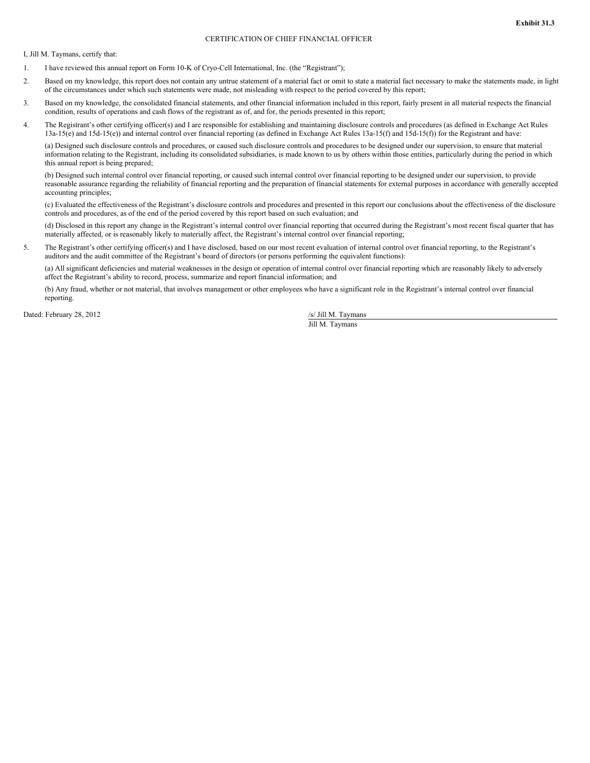## CERTIFICATION OF CHIEF FINANCIAL OFFICER

I, Jill M. Taymans, certify that:

- 1. I have reviewed this annual report on Form 10-K of Cryo-Cell International, Inc. (the "Registrant");
- 2. Based on my knowledge, this report does not contain any untrue statement of a material fact or omit to state a material fact necessary to make the statements made, in light of the circumstances under which such statements were made, not misleading with respect to the period covered by this report;
- 3. Based on my knowledge, the consolidated financial statements, and other financial information included in this report, fairly present in all material respects the financial condition, results of operations and cash flows of the registrant as of, and for, the periods presented in this report;
- 4. The Registrant's other certifying officer(s) and I are responsible for establishing and maintaining disclosure controls and procedures (as defined in Exchange Act Rules 13a-15(e) and 15d-15(e)) and internal control over financial reporting (as defined in Exchange Act Rules 13a-15(f) and 15d-15(f)) for the Registrant and have:

(a) Designed such disclosure controls and procedures, or caused such disclosure controls and procedures to be designed under our supervision, to ensure that material information relating to the Registrant, including its consolidated subsidiaries, is made known to us by others within those entities, particularly during the period in which this annual report is being prepared;

(b) Designed such internal control over financial reporting, or caused such internal control over financial reporting to be designed under our supervision, to provide reasonable assurance regarding the reliability of financial reporting and the preparation of financial statements for external purposes in accordance with generally accepted accounting principles;

(c) Evaluated the effectiveness of the Registrant's disclosure controls and procedures and presented in this report our conclusions about the effectiveness of the disclosure controls and procedures, as of the end of the period covered by this report based on such evaluation; and

(d) Disclosed in this report any change in the Registrant's internal control over financial reporting that occurred during the Registrant's most recent fiscal quarter that has materially affected, or is reasonably likely to materially affect, the Registrant's internal control over financial reporting;

5. The Registrant's other certifying officer(s) and I have disclosed, based on our most recent evaluation of internal control over financial reporting, to the Registrant's auditors and the audit committee of the Registrant's board of directors (or persons performing the equivalent functions):

(a) All significant deficiencies and material weaknesses in the design or operation of internal control over financial reporting which are reasonably likely to adversely affect the Registrant's ability to record, process, summarize and report financial information; and

(b) Any fraud, whether or not material, that involves management or other employees who have a significant role in the Registrant's internal control over financial reporting.

Dated: February 28, 2012 /s/ Jill M. Taymans

Jill M. Taymans